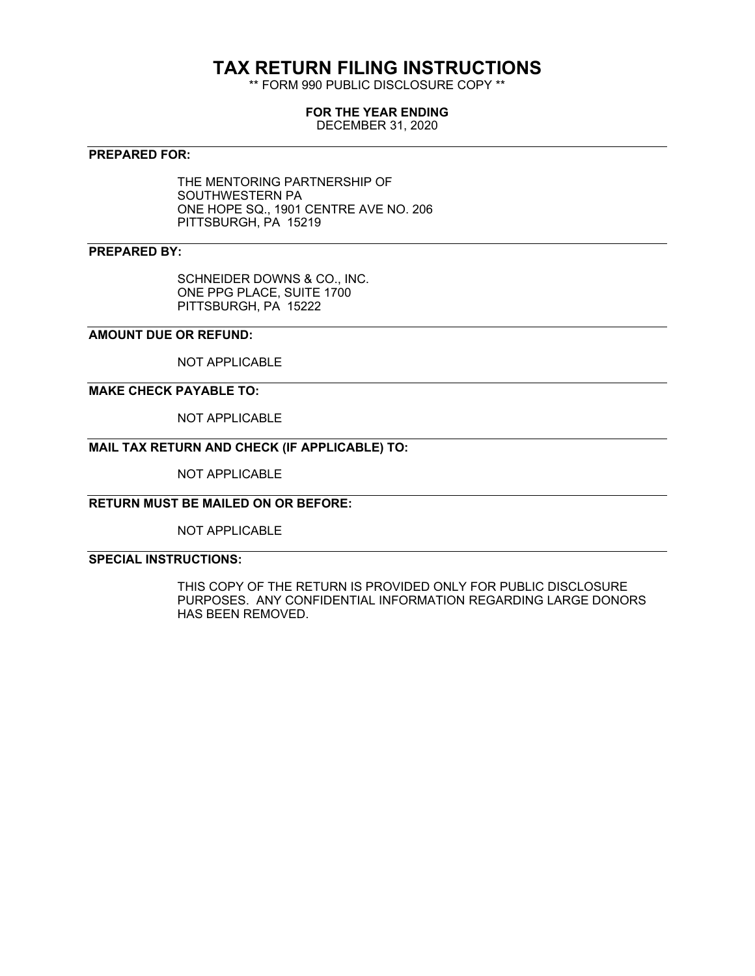# **TAX RETURN FILING INSTRUCTIONS**

\*\* FORM 990 PUBLIC DISCLOSURE COPY \*\*

#### **FOR THE YEAR ENDING**

DECEMBER 31, 2020

### **PREPARED FOR:**

THE MENTORING PARTNERSHIP OF SOUTHWESTERN PA ONE HOPE SQ., 1901 CENTRE AVE NO. 206 PITTSBURGH, PA 15219

#### **PREPARED BY:**

SCHNEIDER DOWNS & CO., INC. ONE PPG PLACE, SUITE 1700 PITTSBURGH, PA 15222

### **AMOUNT DUE OR REFUND:**

NOT APPLICABLE

#### **MAKE CHECK PAYABLE TO:**

NOT APPLICABLE

## **MAIL TAX RETURN AND CHECK (IF APPLICABLE) TO:**

NOT APPLICABLE

#### **RETURN MUST BE MAILED ON OR BEFORE:**

NOT APPLICABLE

#### **SPECIAL INSTRUCTIONS:**

THIS COPY OF THE RETURN IS PROVIDED ONLY FOR PUBLIC DISCLOSURE PURPOSES. ANY CONFIDENTIAL INFORMATION REGARDING LARGE DONORS HAS BEEN REMOVED.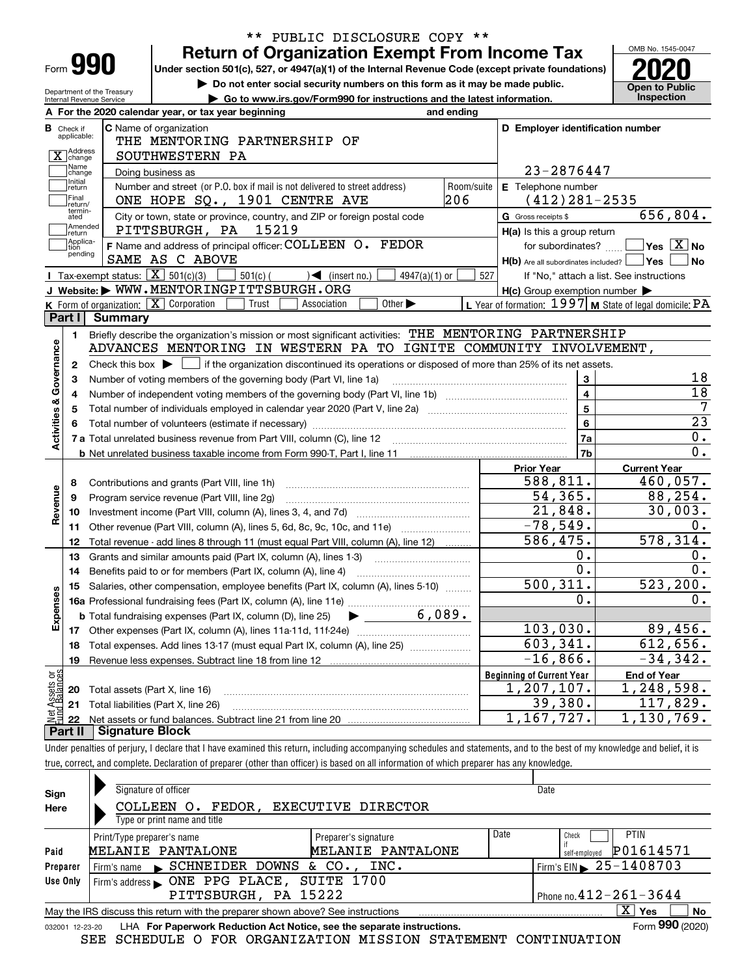| Form |  |
|------|--|

## **Return of Organization Exempt From Income Tax** \*\* PUBLIC DISCLOSURE COPY \*\*

**Under section 501(c), 527, or 4947(a)(1) of the Internal Revenue Code (except private foundations) 2020**

**| Do not enter social security numbers on this form as it may be made public.**

OMB No. 1545-0047 **Open to Public** 

| Department of the Treasury<br>Internal Revenue Service | Go to www.irs.gov/Form990 for instructions and the latest information.                                                                              |                                                         | Inspection                                  |
|--------------------------------------------------------|-----------------------------------------------------------------------------------------------------------------------------------------------------|---------------------------------------------------------|---------------------------------------------|
|                                                        | A For the 2020 calendar year, or tax year beginning<br>and ending                                                                                   |                                                         |                                             |
| <b>B</b> Check if<br>applicable:                       | <b>C</b> Name of organization                                                                                                                       | D Employer identification number                        |                                             |
|                                                        | THE MENTORING PARTNERSHIP OF                                                                                                                        |                                                         |                                             |
| X change<br>Name                                       | SOUTHWESTERN PA                                                                                                                                     |                                                         |                                             |
| change<br>Initial                                      | Doing business as                                                                                                                                   | 23-2876447                                              |                                             |
| return                                                 | Number and street (or P.O. box if mail is not delivered to street address)                                                                          | E Telephone number<br>Room/suite                        |                                             |
| Final<br>return/<br>termin-                            | ONE HOPE SQ., 1901 CENTRE AVE                                                                                                                       | 206<br>$(412)$ 281-2535                                 |                                             |
| ated                                                   | City or town, state or province, country, and ZIP or foreign postal code                                                                            | G Gross receipts \$                                     | 656,804.                                    |
| ]Amended<br>]return                                    | 15219<br>PITTSBURGH, PA                                                                                                                             | H(a) Is this a group return                             |                                             |
| Applica-<br>tion<br>pending                            | F Name and address of principal officer: COLLEEN O. FEDOR                                                                                           |                                                         | for subordinates? $\Box$ Yes $\boxed{X}$ No |
|                                                        | SAME AS C ABOVE                                                                                                                                     | $H(b)$ Are all subordinates included? $\Box$ Yes        | ∣No                                         |
|                                                        | Tax-exempt status: $\boxed{\mathbf{X}}$ 501(c)(3)<br>$501(c)$ (<br>$\sum$ (insert no.)<br>$4947(a)(1)$ or                                           | 527<br>If "No," attach a list. See instructions         |                                             |
|                                                        | J Website: WWW.MENTORINGPITTSBURGH.ORG                                                                                                              | $H(c)$ Group exemption number $\blacktriangleright$     |                                             |
|                                                        | K Form of organization: $\boxed{\mathbf{X}}$ Corporation<br>Trust<br>Association<br>Other $\blacktriangleright$                                     | L Year of formation: 1997 M State of legal domicile: PA |                                             |
| Part I                                                 | Summary                                                                                                                                             |                                                         |                                             |
| 1.                                                     | Briefly describe the organization's mission or most significant activities: THE MENTORING PARTNERSHIP                                               |                                                         |                                             |
|                                                        | ADVANCES MENTORING IN WESTERN PA TO IGNITE COMMUNITY INVOLVEMENT,                                                                                   |                                                         |                                             |
| 2                                                      | Check this box $\blacktriangleright$ $\blacksquare$ if the organization discontinued its operations or disposed of more than 25% of its net assets. |                                                         |                                             |
| з                                                      | Number of voting members of the governing body (Part VI, line 1a)                                                                                   | 3                                                       | 18                                          |
| 4                                                      |                                                                                                                                                     | $\overline{\mathbf{4}}$                                 | $\overline{18}$                             |
| 5                                                      | Total number of individuals employed in calendar year 2020 (Part V, line 2a) manufacture controller to intervent                                    | $\overline{5}$                                          | $\overline{7}$                              |
|                                                        |                                                                                                                                                     | $6\phantom{a}$                                          | $\overline{23}$                             |
|                                                        |                                                                                                                                                     | 7a                                                      | 0.                                          |
|                                                        |                                                                                                                                                     | 7b                                                      | $0$ .                                       |
|                                                        |                                                                                                                                                     | <b>Prior Year</b>                                       | <b>Current Year</b>                         |
| 8                                                      |                                                                                                                                                     | $\overline{588}, \overline{811}$ .                      | 460,057.                                    |
| 9                                                      | Program service revenue (Part VIII, line 2g)                                                                                                        | 54, 365.                                                | 88, 254.                                    |
| 10                                                     |                                                                                                                                                     | $\overline{21,848}$ .                                   | 30,003.                                     |
| 11                                                     | Other revenue (Part VIII, column (A), lines 5, 6d, 8c, 9c, 10c, and 11e)                                                                            | $-78,549.$                                              | 0.                                          |
| 12                                                     | Total revenue - add lines 8 through 11 (must equal Part VIII, column (A), line 12)                                                                  | 586, 475.                                               | 578, 314.                                   |
| 13                                                     | Grants and similar amounts paid (Part IX, column (A), lines 1-3)                                                                                    | 0.                                                      | 0.                                          |
| 14                                                     |                                                                                                                                                     | $\overline{0}$ .                                        | 0.                                          |
| 15                                                     | Salaries, other compensation, employee benefits (Part IX, column (A), lines 5-10)                                                                   | 500, 311.                                               | 523, 200.                                   |
|                                                        |                                                                                                                                                     | 0.                                                      | 0.                                          |
|                                                        | <b>b</b> Total fundraising expenses (Part IX, column (D), line 25) $\rightarrow$ _ 6, 089.                                                          |                                                         |                                             |
|                                                        |                                                                                                                                                     | 103,030.                                                | 89,456.                                     |
| 18                                                     | Total expenses. Add lines 13-17 (must equal Part IX, column (A), line 25) [                                                                         | 603, 341.                                               | 612,656.                                    |
| 19                                                     | Revenue less expenses. Subtract line 18 from line 12                                                                                                | $-16,866$ .                                             | $-34,342.$                                  |
|                                                        |                                                                                                                                                     | <b>Beginning of Current Year</b>                        | <b>End of Year</b>                          |
| 20                                                     | Total assets (Part X, line 16)                                                                                                                      | 1,207,107.                                              | 1,248,598.                                  |
| Net Assets or<br>Fund Balances<br>21                   | Total liabilities (Part X, line 26)                                                                                                                 | 39,380.                                                 | 117,829.                                    |
| 22                                                     |                                                                                                                                                     | 1,167,727.                                              | 1,130,769.                                  |

Under penalties of perjury, I declare that I have examined this return, including accompanying schedules and statements, and to the best of my knowledge and belief, it is true, correct, and complete. Declaration of preparer (other than officer) is based on all information of which preparer has any knowledge.

| Sign            | Signature of officer                                                            |                      |      | Date                                   |
|-----------------|---------------------------------------------------------------------------------|----------------------|------|----------------------------------------|
| Here            | FEDOR ,<br>EXECUTIVE DIRECTOR<br>COLLEEN O.                                     |                      |      |                                        |
|                 | Type or print name and title                                                    |                      |      |                                        |
|                 | Print/Type preparer's name                                                      | Preparer's signature | Date | <b>PTIN</b><br>Check                   |
| Paid            | <b>MELANIE PANTALONE</b>                                                        | MELANIE PANTALONE    |      | P01614571<br>self-emploved             |
| Preparer        | Firm's name SCHNEIDER DOWNS & CO., INC.                                         |                      |      | Firm's EIN $\triangleright$ 25-1408703 |
| Use Only        |                                                                                 |                      |      |                                        |
|                 | PITTSBURGH, PA 15222                                                            |                      |      | Phone no. $412 - 261 - 3644$           |
|                 | May the IRS discuss this return with the preparer shown above? See instructions |                      |      | $\mathbf{X}$<br>No<br>Yes              |
| 032001 12-23-20 | LHA For Paperwork Reduction Act Notice, see the separate instructions.          |                      |      | Form 990 (2020)                        |

SEE SCHEDULE O FOR ORGANIZATION MISSION STATEMENT CONTINUATION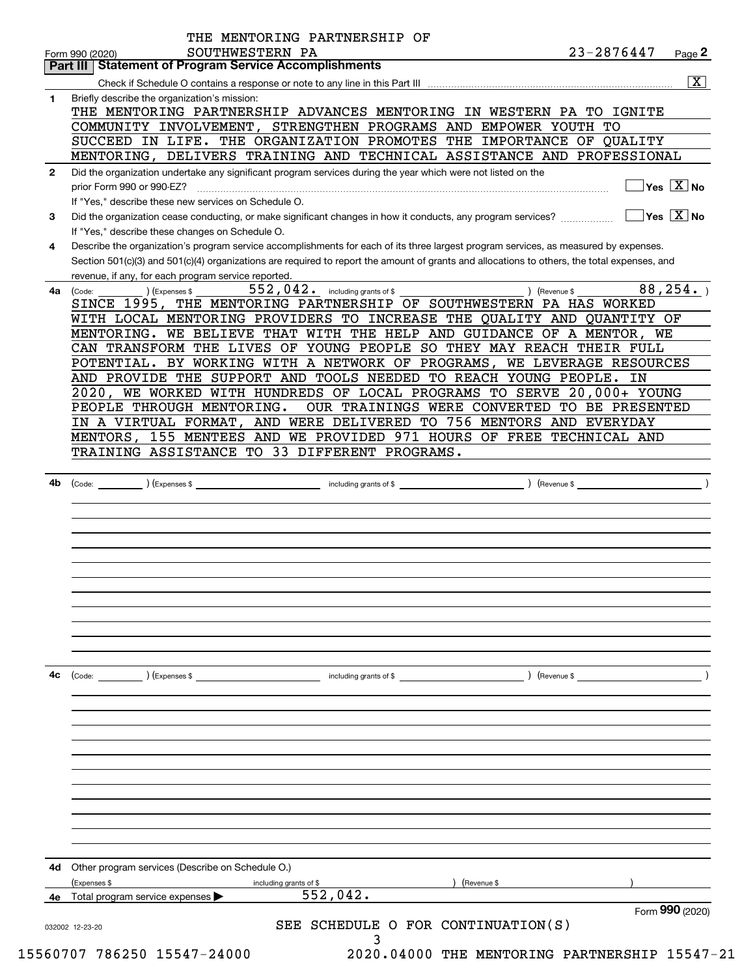| 4с           | ) (Revenue \$<br>(Code:<br>) (Expenses \$<br>including grants of \$                                                                                                                                                            |
|--------------|--------------------------------------------------------------------------------------------------------------------------------------------------------------------------------------------------------------------------------|
|              |                                                                                                                                                                                                                                |
|              |                                                                                                                                                                                                                                |
|              |                                                                                                                                                                                                                                |
|              |                                                                                                                                                                                                                                |
|              |                                                                                                                                                                                                                                |
|              |                                                                                                                                                                                                                                |
|              |                                                                                                                                                                                                                                |
|              |                                                                                                                                                                                                                                |
| 4b           | including grants of \$ (Revenue \$)<br>(Code: ) (Expenses \$                                                                                                                                                                   |
|              |                                                                                                                                                                                                                                |
|              | TRAINING ASSISTANCE TO 33 DIFFERENT PROGRAMS.                                                                                                                                                                                  |
|              | 155 MENTEES AND WE PROVIDED 971 HOURS OF FREE TECHNICAL AND<br>MENTORS,                                                                                                                                                        |
|              | PEOPLE THROUGH MENTORING.<br>OUR TRAININGS WERE CONVERTED TO BE PRESENTED<br>IN A VIRTUAL FORMAT,<br>AND WERE DELIVERED TO 756 MENTORS AND EVERYDAY                                                                            |
|              | 2020, WE WORKED WITH HUNDREDS OF LOCAL PROGRAMS TO SERVE 20,000+ YOUNG                                                                                                                                                         |
|              | AND PROVIDE THE SUPPORT AND TOOLS NEEDED TO REACH YOUNG PEOPLE. IN                                                                                                                                                             |
|              | CAN TRANSFORM THE LIVES OF YOUNG PEOPLE SO THEY MAY REACH THEIR FULL<br>POTENTIAL. BY WORKING WITH A NETWORK OF PROGRAMS, WE LEVERAGE RESOURCES                                                                                |
|              | MENTORING. WE BELIEVE THAT WITH THE HELP AND GUIDANCE OF A MENTOR, WE                                                                                                                                                          |
|              | WITH LOCAL MENTORING PROVIDERS TO INCREASE THE QUALITY AND QUANTITY OF                                                                                                                                                         |
|              | (Expenses \$<br>(Code:<br>SINCE 1995, THE MENTORING PARTNERSHIP OF SOUTHWESTERN PA HAS WORKED                                                                                                                                  |
| 4a           | revenue, if any, for each program service reported.<br>552,042. including grants of \$<br>88, 254.<br>) (Revenue \$                                                                                                            |
|              | Section 501(c)(3) and 501(c)(4) organizations are required to report the amount of grants and allocations to others, the total expenses, and                                                                                   |
| 4            | Describe the organization's program service accomplishments for each of its three largest program services, as measured by expenses.                                                                                           |
|              | If "Yes," describe these changes on Schedule O.                                                                                                                                                                                |
| 3            | If "Yes," describe these new services on Schedule O.<br>$\overline{\mathsf{Yes} \mathrel{\;\; X} \mathsf{No}}$<br>Did the organization cease conducting, or make significant changes in how it conducts, any program services? |
|              | $Yes \quad X \quad No$<br>prior Form 990 or 990-EZ?                                                                                                                                                                            |
| $\mathbf{2}$ | Did the organization undertake any significant program services during the year which were not listed on the                                                                                                                   |
|              | MENTORING, DELIVERS TRAINING AND TECHNICAL ASSISTANCE AND PROFESSIONAL                                                                                                                                                         |
|              | SUCCEED IN LIFE. THE ORGANIZATION PROMOTES THE IMPORTANCE OF QUALITY                                                                                                                                                           |
|              | COMMUNITY INVOLVEMENT, STRENGTHEN PROGRAMS AND EMPOWER YOUTH TO                                                                                                                                                                |
| 1            | Briefly describe the organization's mission:<br>THE MENTORING PARTNERSHIP ADVANCES MENTORING IN WESTERN PA TO IGNITE                                                                                                           |
|              | $\overline{\mathbf{x}}$                                                                                                                                                                                                        |
|              | Part III   Statement of Program Service Accomplishments                                                                                                                                                                        |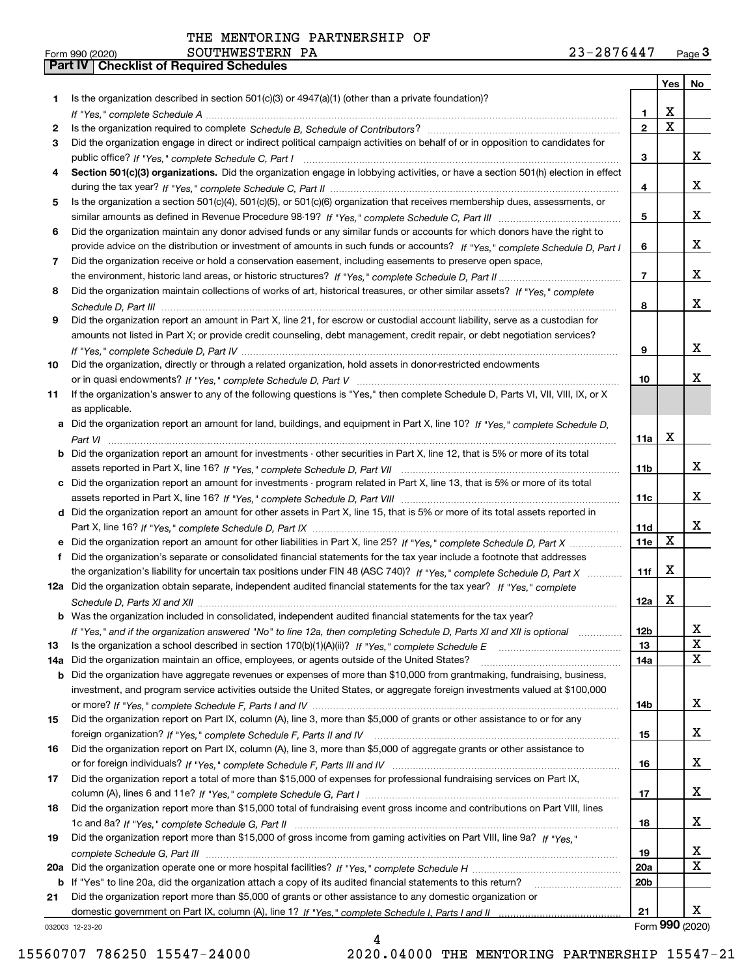**Form 990 (2020)**<br>**Part IV | Checklist of Required Schedules** 

| Form 990 (2020) | SOUTHWESTERN<br>PA | 2876447<br>າ ຊ _<br>Page <b>つ</b><br>ر ہے |
|-----------------|--------------------|-------------------------------------------|
|-----------------|--------------------|-------------------------------------------|

|     |                                                                                                                                       |                         | <b>Yes</b>              | No                      |
|-----|---------------------------------------------------------------------------------------------------------------------------------------|-------------------------|-------------------------|-------------------------|
| 1   | Is the organization described in section $501(c)(3)$ or $4947(a)(1)$ (other than a private foundation)?                               |                         |                         |                         |
|     |                                                                                                                                       | $\mathbf{1}$            | X                       |                         |
| 2   |                                                                                                                                       | $\overline{\mathbf{2}}$ | $\overline{\mathbf{x}}$ |                         |
| 3   | Did the organization engage in direct or indirect political campaign activities on behalf of or in opposition to candidates for       |                         |                         |                         |
|     |                                                                                                                                       | 3                       |                         | x                       |
| 4   | Section 501(c)(3) organizations. Did the organization engage in lobbying activities, or have a section 501(h) election in effect      |                         |                         |                         |
|     |                                                                                                                                       | 4                       |                         | x                       |
| 5   | Is the organization a section 501(c)(4), 501(c)(5), or 501(c)(6) organization that receives membership dues, assessments, or          |                         |                         |                         |
|     |                                                                                                                                       | 5                       |                         | x                       |
| 6   | Did the organization maintain any donor advised funds or any similar funds or accounts for which donors have the right to             |                         |                         | X.                      |
| 7   | provide advice on the distribution or investment of amounts in such funds or accounts? If "Yes," complete Schedule D, Part I          | 6                       |                         |                         |
|     | Did the organization receive or hold a conservation easement, including easements to preserve open space,                             | $\overline{7}$          |                         | x                       |
| 8   | Did the organization maintain collections of works of art, historical treasures, or other similar assets? If "Yes," complete          |                         |                         |                         |
|     |                                                                                                                                       | 8                       |                         | x                       |
| 9   | Did the organization report an amount in Part X, line 21, for escrow or custodial account liability, serve as a custodian for         |                         |                         |                         |
|     | amounts not listed in Part X; or provide credit counseling, debt management, credit repair, or debt negotiation services?             |                         |                         |                         |
|     |                                                                                                                                       | 9                       |                         | x                       |
| 10  | Did the organization, directly or through a related organization, hold assets in donor-restricted endowments                          |                         |                         |                         |
|     |                                                                                                                                       | 10                      |                         | x                       |
| 11  | If the organization's answer to any of the following questions is "Yes," then complete Schedule D, Parts VI, VII, VIII, IX, or X      |                         |                         |                         |
|     | as applicable.                                                                                                                        |                         |                         |                         |
|     | a Did the organization report an amount for land, buildings, and equipment in Part X, line 10? If "Yes," complete Schedule D,         |                         |                         |                         |
|     |                                                                                                                                       | 11a                     | X                       |                         |
|     | <b>b</b> Did the organization report an amount for investments - other securities in Part X, line 12, that is 5% or more of its total |                         |                         |                         |
|     |                                                                                                                                       | 11 <sub>b</sub>         |                         | x                       |
|     | c Did the organization report an amount for investments - program related in Part X, line 13, that is 5% or more of its total         |                         |                         |                         |
|     |                                                                                                                                       | 11c                     |                         | x                       |
|     | d Did the organization report an amount for other assets in Part X, line 15, that is 5% or more of its total assets reported in       |                         |                         | x                       |
|     |                                                                                                                                       | 11d<br>11e              | X                       |                         |
| f   | Did the organization's separate or consolidated financial statements for the tax year include a footnote that addresses               |                         |                         |                         |
|     | the organization's liability for uncertain tax positions under FIN 48 (ASC 740)? If "Yes," complete Schedule D. Part X                | 11f                     | X                       |                         |
|     | 12a Did the organization obtain separate, independent audited financial statements for the tax year? If "Yes," complete               |                         |                         |                         |
|     |                                                                                                                                       | 12a                     | X                       |                         |
|     | <b>b</b> Was the organization included in consolidated, independent audited financial statements for the tax year?                    |                         |                         |                         |
|     | If "Yes," and if the organization answered "No" to line 12a, then completing Schedule D, Parts XI and XII is optional                 | 12b                     |                         | X,                      |
| 13  |                                                                                                                                       | 13                      |                         | X                       |
| 14a | Did the organization maintain an office, employees, or agents outside of the United States?                                           | 14a                     |                         | $\overline{\mathbf{x}}$ |
| b   | Did the organization have aggregate revenues or expenses of more than \$10,000 from grantmaking, fundraising, business,               |                         |                         |                         |
|     | investment, and program service activities outside the United States, or aggregate foreign investments valued at \$100,000            |                         |                         |                         |
|     |                                                                                                                                       | 14b                     |                         | x                       |
| 15  | Did the organization report on Part IX, column (A), line 3, more than \$5,000 of grants or other assistance to or for any             |                         |                         |                         |
|     |                                                                                                                                       | 15                      |                         | X                       |
| 16  | Did the organization report on Part IX, column (A), line 3, more than \$5,000 of aggregate grants or other assistance to              |                         |                         |                         |
|     |                                                                                                                                       | 16                      |                         | X                       |
| 17  | Did the organization report a total of more than \$15,000 of expenses for professional fundraising services on Part IX,               |                         |                         |                         |
|     |                                                                                                                                       | 17                      |                         | X                       |
| 18  | Did the organization report more than \$15,000 total of fundraising event gross income and contributions on Part VIII, lines          | 18                      |                         | X                       |
| 19  | Did the organization report more than \$15,000 of gross income from gaming activities on Part VIII, line 9a? If "Yes."                |                         |                         |                         |
|     |                                                                                                                                       | 19                      |                         | x                       |
| 20a |                                                                                                                                       | <b>20a</b>              |                         | X                       |
| b   | If "Yes" to line 20a, did the organization attach a copy of its audited financial statements to this return?                          | 20 <sub>b</sub>         |                         |                         |
| 21  | Did the organization report more than \$5,000 of grants or other assistance to any domestic organization or                           |                         |                         |                         |
|     |                                                                                                                                       | 21                      |                         | x                       |
|     | 032003 12-23-20                                                                                                                       |                         |                         | Form 990 (2020)         |

4

032003 12-23-20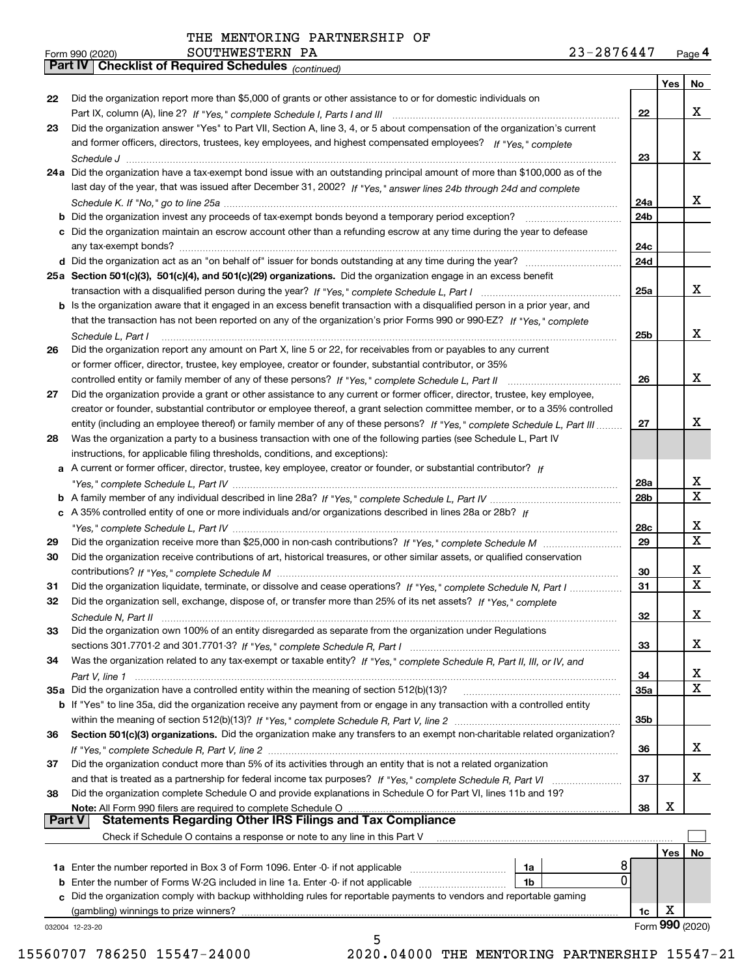|               | 23-2876447<br>SOUTHWESTERN PA<br>Form 990 (2020)                                                                             |             |                 | Page 4         |
|---------------|------------------------------------------------------------------------------------------------------------------------------|-------------|-----------------|----------------|
|               | Part IV   Checklist of Required Schedules (continued)                                                                        |             |                 |                |
|               |                                                                                                                              |             | Yes             | No             |
| 22            | Did the organization report more than \$5,000 of grants or other assistance to or for domestic individuals on                |             |                 |                |
|               |                                                                                                                              | 22          |                 | X              |
| 23            | Did the organization answer "Yes" to Part VII, Section A, line 3, 4, or 5 about compensation of the organization's current   |             |                 |                |
|               | and former officers, directors, trustees, key employees, and highest compensated employees? If "Yes." complete               |             |                 | X              |
|               |                                                                                                                              | 23          |                 |                |
|               | 24a Did the organization have a tax-exempt bond issue with an outstanding principal amount of more than \$100,000 as of the  |             |                 |                |
|               | last day of the year, that was issued after December 31, 2002? If "Yes," answer lines 24b through 24d and complete           |             |                 | x              |
|               |                                                                                                                              | 24a<br>24b  |                 |                |
|               | c Did the organization maintain an escrow account other than a refunding escrow at any time during the year to defease       |             |                 |                |
|               |                                                                                                                              | 24с         |                 |                |
|               |                                                                                                                              | 24d         |                 |                |
|               | 25a Section 501(c)(3), 501(c)(4), and 501(c)(29) organizations. Did the organization engage in an excess benefit             |             |                 |                |
|               |                                                                                                                              | 25a         |                 | x              |
|               | b Is the organization aware that it engaged in an excess benefit transaction with a disqualified person in a prior year, and |             |                 |                |
|               | that the transaction has not been reported on any of the organization's prior Forms 990 or 990-EZ? If "Yes," complete        |             |                 |                |
|               | Schedule L, Part I                                                                                                           | 25b         |                 | x              |
| 26            | Did the organization report any amount on Part X, line 5 or 22, for receivables from or payables to any current              |             |                 |                |
|               | or former officer, director, trustee, key employee, creator or founder, substantial contributor, or 35%                      |             |                 |                |
|               |                                                                                                                              | 26          |                 | X              |
| 27            | Did the organization provide a grant or other assistance to any current or former officer, director, trustee, key employee,  |             |                 |                |
|               | creator or founder, substantial contributor or employee thereof, a grant selection committee member, or to a 35% controlled  |             |                 |                |
|               | entity (including an employee thereof) or family member of any of these persons? If "Yes," complete Schedule L, Part III     | 27          |                 | x              |
| 28            | Was the organization a party to a business transaction with one of the following parties (see Schedule L, Part IV            |             |                 |                |
|               | instructions, for applicable filing thresholds, conditions, and exceptions):                                                 |             |                 |                |
|               | a A current or former officer, director, trustee, key employee, creator or founder, or substantial contributor? If           |             |                 |                |
|               |                                                                                                                              | 28a         |                 | X              |
|               |                                                                                                                              | 28b         |                 | X              |
|               | c A 35% controlled entity of one or more individuals and/or organizations described in lines 28a or 28b? If                  |             |                 |                |
|               |                                                                                                                              | 28c         |                 | х              |
| 29            |                                                                                                                              | 29          |                 | X              |
| 30            | Did the organization receive contributions of art, historical treasures, or other similar assets, or qualified conservation  |             |                 |                |
|               |                                                                                                                              | 30          |                 | х<br>X         |
| 31            | Did the organization liquidate, terminate, or dissolve and cease operations? If "Yes," complete Schedule N, Part I           | 31          |                 |                |
|               | Did the organization sell, exchange, dispose of, or transfer more than 25% of its net assets? If "Yes," complete             |             |                 | X              |
|               | Did the organization own 100% of an entity disregarded as separate from the organization under Regulations                   | 32          |                 |                |
| 33            |                                                                                                                              | 33          |                 | х              |
| 34            | Was the organization related to any tax-exempt or taxable entity? If "Yes," complete Schedule R, Part II, III, or IV, and    |             |                 |                |
|               |                                                                                                                              | 34          |                 | х              |
|               |                                                                                                                              | 35a         |                 | X              |
|               | b If "Yes" to line 35a, did the organization receive any payment from or engage in any transaction with a controlled entity  |             |                 |                |
|               |                                                                                                                              | 35b         |                 |                |
| 36            | Section 501(c)(3) organizations. Did the organization make any transfers to an exempt non-charitable related organization?   |             |                 |                |
|               |                                                                                                                              | 36          |                 | x              |
| 37            | Did the organization conduct more than 5% of its activities through an entity that is not a related organization             |             |                 |                |
|               |                                                                                                                              | 37          |                 | х              |
| 38            | Did the organization complete Schedule O and provide explanations in Schedule O for Part VI, lines 11b and 19?               |             |                 |                |
|               | Note: All Form 990 filers are required to complete Schedule O                                                                | 38          | х               |                |
| <b>Part V</b> | <b>Statements Regarding Other IRS Filings and Tax Compliance</b>                                                             |             |                 |                |
|               | Check if Schedule O contains a response or note to any line in this Part V                                                   |             |                 |                |
|               |                                                                                                                              |             |                 | Yes $\vert$ No |
|               | 1a                                                                                                                           | 8           |                 |                |
|               | <b>b</b> Enter the number of Forms W-2G included in line 1a. Enter -0- if not applicable<br>1b                               | $\mathbf 0$ |                 |                |
|               | c Did the organization comply with backup withholding rules for reportable payments to vendors and reportable gaming         |             |                 |                |
|               | (gambling) winnings to prize winners?                                                                                        | 1c          | х               |                |
|               | 032004 12-23-20                                                                                                              |             | Form 990 (2020) |                |
|               | 5                                                                                                                            |             |                 |                |

15560707 786250 15547-24000 2020.04000 THE MENTORING PARTNERSHIP 15547-21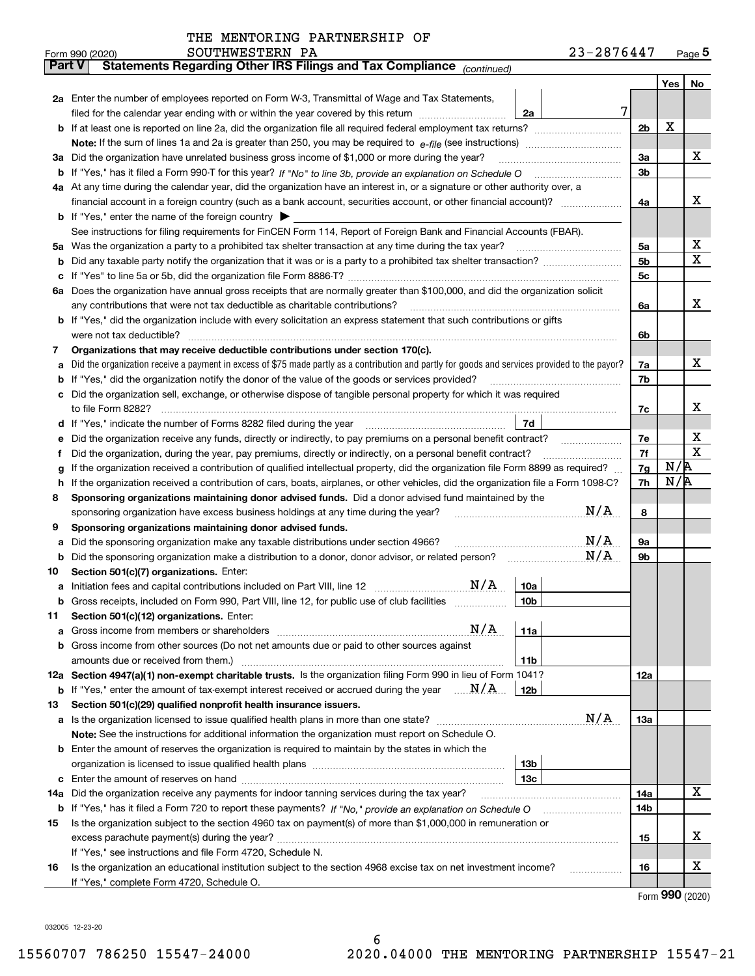|               | Form 990 (2020) | SOUTHWESTERN PA                                                                                                                                 |                 | 23-2876447 |                |     | Page $5$    |
|---------------|-----------------|-------------------------------------------------------------------------------------------------------------------------------------------------|-----------------|------------|----------------|-----|-------------|
| <b>Part V</b> |                 | Statements Regarding Other IRS Filings and Tax Compliance (continued)                                                                           |                 |            |                |     |             |
|               |                 |                                                                                                                                                 |                 |            |                | Yes | No          |
|               |                 | 2a Enter the number of employees reported on Form W-3, Transmittal of Wage and Tax Statements,                                                  |                 |            |                |     |             |
|               |                 | filed for the calendar year ending with or within the year covered by this return <i>manumumumum</i>                                            | 2a              | 7          |                |     |             |
|               |                 |                                                                                                                                                 |                 |            | 2 <sub>b</sub> | Х   |             |
|               |                 |                                                                                                                                                 |                 |            |                |     |             |
|               |                 | 3a Did the organization have unrelated business gross income of \$1,000 or more during the year?                                                |                 |            | 3a             |     | х           |
|               |                 |                                                                                                                                                 |                 |            | 3b             |     |             |
|               |                 | 4a At any time during the calendar year, did the organization have an interest in, or a signature or other authority over, a                    |                 |            |                |     |             |
|               |                 |                                                                                                                                                 |                 |            | 4a             |     | х           |
|               |                 | <b>b</b> If "Yes," enter the name of the foreign country $\blacktriangleright$                                                                  |                 |            |                |     |             |
|               |                 | See instructions for filing requirements for FinCEN Form 114, Report of Foreign Bank and Financial Accounts (FBAR).                             |                 |            |                |     |             |
| 5a            |                 | Was the organization a party to a prohibited tax shelter transaction at any time during the tax year?                                           |                 |            | 5а             |     | X           |
| b             |                 |                                                                                                                                                 |                 |            | 5b             |     | $\mathbf X$ |
| с             |                 |                                                                                                                                                 |                 |            | 5c             |     |             |
|               |                 | 6a Does the organization have annual gross receipts that are normally greater than \$100,000, and did the organization solicit                  |                 |            |                |     |             |
|               |                 | any contributions that were not tax deductible as charitable contributions?                                                                     |                 |            | 6a             |     | х           |
|               |                 | b If "Yes," did the organization include with every solicitation an express statement that such contributions or gifts                          |                 |            |                |     |             |
|               |                 | were not tax deductible?                                                                                                                        |                 |            | 6b             |     |             |
| 7             |                 | Organizations that may receive deductible contributions under section 170(c).                                                                   |                 |            |                |     | х           |
| a             |                 | Did the organization receive a payment in excess of \$75 made partly as a contribution and partly for goods and services provided to the payor? |                 |            | 7a             |     |             |
| b             |                 | If "Yes," did the organization notify the donor of the value of the goods or services provided?                                                 |                 |            | 7b             |     |             |
|               |                 | Did the organization sell, exchange, or otherwise dispose of tangible personal property for which it was required                               |                 |            |                |     | х           |
|               |                 |                                                                                                                                                 | 7d              |            | 7c             |     |             |
| d             |                 |                                                                                                                                                 |                 |            | 7e             |     | х           |
| е<br>f        |                 | Did the organization, during the year, pay premiums, directly or indirectly, on a personal benefit contract?                                    |                 |            | 7f             |     | X           |
| g             |                 | If the organization received a contribution of qualified intellectual property, did the organization file Form 8899 as required?                |                 |            | 7g             | N/R |             |
| h             |                 | If the organization received a contribution of cars, boats, airplanes, or other vehicles, did the organization file a Form 1098-C?              |                 |            | 7h             | N/R |             |
| 8             |                 | Sponsoring organizations maintaining donor advised funds. Did a donor advised fund maintained by the                                            |                 |            |                |     |             |
|               |                 | sponsoring organization have excess business holdings at any time during the year?                                                              |                 | N/A        | 8              |     |             |
| 9             |                 | Sponsoring organizations maintaining donor advised funds.                                                                                       |                 |            |                |     |             |
| a             |                 | Did the sponsoring organization make any taxable distributions under section 4966?                                                              |                 | N/A        | 9а             |     |             |
| b             |                 | Did the sponsoring organization make a distribution to a donor, donor advisor, or related person?                                               |                 | N/A        | 9b             |     |             |
| 10            |                 | Section 501(c)(7) organizations. Enter:                                                                                                         |                 |            |                |     |             |
|               |                 | N/A<br>a Initiation fees and capital contributions included on Part VIII, line 12 [111] [11] [12] [11] [12] [11] [11]                           | 10a             |            |                |     |             |
|               |                 | Gross receipts, included on Form 990, Part VIII, line 12, for public use of club facilities                                                     | 10 <sub>b</sub> |            |                |     |             |
| 11            |                 | Section 501(c)(12) organizations. Enter:                                                                                                        |                 |            |                |     |             |
| a             |                 | N/A<br>Gross income from members or shareholders                                                                                                | 11a             |            |                |     |             |
|               |                 | b Gross income from other sources (Do not net amounts due or paid to other sources against                                                      |                 |            |                |     |             |
|               |                 |                                                                                                                                                 | 11 <sub>b</sub> |            |                |     |             |
|               |                 | 12a Section 4947(a)(1) non-exempt charitable trusts. Is the organization filing Form 990 in lieu of Form 1041?                                  |                 |            | 12a            |     |             |
|               |                 | <b>b</b> If "Yes," enter the amount of tax-exempt interest received or accrued during the year $\ldots \mathbf{N}/\mathbf{A}$                   | 12 <sub>b</sub> |            |                |     |             |
| 13            |                 | Section 501(c)(29) qualified nonprofit health insurance issuers.                                                                                |                 |            |                |     |             |
|               |                 | a Is the organization licensed to issue qualified health plans in more than one state?                                                          |                 | N/A        | 13a            |     |             |
|               |                 | Note: See the instructions for additional information the organization must report on Schedule O.                                               |                 |            |                |     |             |
|               |                 | <b>b</b> Enter the amount of reserves the organization is required to maintain by the states in which the                                       |                 |            |                |     |             |
|               |                 |                                                                                                                                                 | 13 <sub>b</sub> |            |                |     |             |
|               |                 |                                                                                                                                                 | 13 <sub>c</sub> |            |                |     |             |
| 14a           |                 | Did the organization receive any payments for indoor tanning services during the tax year?                                                      |                 |            | 14a            |     | х           |
|               |                 | <b>b</b> If "Yes," has it filed a Form 720 to report these payments? If "No," provide an explanation on Schedule O                              |                 |            | 14b            |     |             |
| 15            |                 | Is the organization subject to the section 4960 tax on payment(s) of more than \$1,000,000 in remuneration or                                   |                 |            |                |     |             |
|               |                 |                                                                                                                                                 |                 |            | 15             |     | х           |
|               |                 | If "Yes," see instructions and file Form 4720, Schedule N.                                                                                      |                 |            |                |     |             |
| 16            |                 | Is the organization an educational institution subject to the section 4968 excise tax on net investment income?                                 |                 |            | 16             |     | X           |
|               |                 | If "Yes," complete Form 4720, Schedule O.                                                                                                       |                 |            |                |     |             |

Form (2020) **990**

032005 12-23-20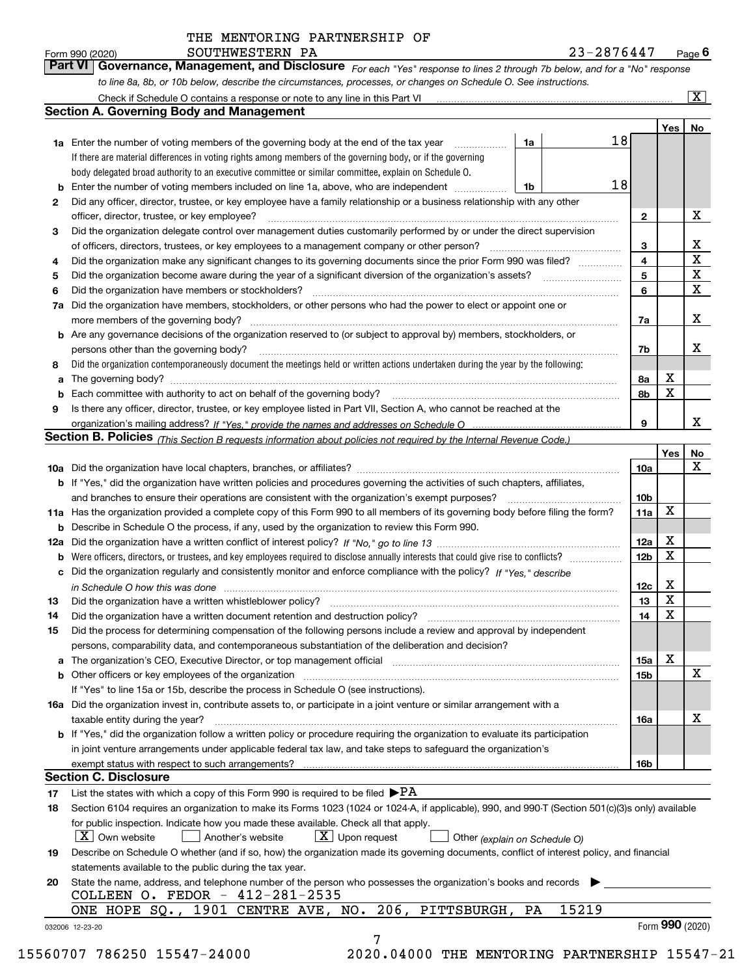*For each "Yes" response to lines 2 through 7b below, and for a "No" response to line 8a, 8b, or 10b below, describe the circumstances, processes, or changes on Schedule O. See instructions.* Form 990 (2020) **COUTHWESTERN PA 1990 (2020) 1999 12-2876447** Page **6**<br>**Part VI Governance, Management, and Disclosure** For each "Yes" response to lines 2 through 7b below, and for a "No" response

|    |                                                                                                                                                                               |    |       |    |                 | Yes   No        |                            |
|----|-------------------------------------------------------------------------------------------------------------------------------------------------------------------------------|----|-------|----|-----------------|-----------------|----------------------------|
|    | <b>1a</b> Enter the number of voting members of the governing body at the end of the tax year <i>manumum</i>                                                                  | 1a |       | 18 |                 |                 |                            |
|    | If there are material differences in voting rights among members of the governing body, or if the governing                                                                   |    |       |    |                 |                 |                            |
|    | body delegated broad authority to an executive committee or similar committee, explain on Schedule O.                                                                         |    |       |    |                 |                 |                            |
|    | <b>b</b> Enter the number of voting members included on line 1a, above, who are independent <i>manumum</i>                                                                    | 1b |       | 18 |                 |                 |                            |
| 2  | Did any officer, director, trustee, or key employee have a family relationship or a business relationship with any other                                                      |    |       |    |                 |                 |                            |
|    | officer, director, trustee, or key employee?                                                                                                                                  |    |       |    | $\mathbf{2}$    |                 | X                          |
| 3  | Did the organization delegate control over management duties customarily performed by or under the direct supervision                                                         |    |       |    |                 |                 |                            |
|    |                                                                                                                                                                               |    |       |    | 3               |                 | X                          |
| 4  | Did the organization make any significant changes to its governing documents since the prior Form 990 was filed?                                                              |    |       |    | $\overline{4}$  |                 | $\mathbf X$                |
| 5  |                                                                                                                                                                               |    |       |    | 5               |                 | $\mathbf X$<br>$\mathbf X$ |
| 6  |                                                                                                                                                                               |    |       |    | 6               |                 |                            |
| 7a | Did the organization have members, stockholders, or other persons who had the power to elect or appoint one or                                                                |    |       |    |                 |                 |                            |
|    |                                                                                                                                                                               |    |       |    | 7a              |                 | х                          |
|    | <b>b</b> Are any governance decisions of the organization reserved to (or subject to approval by) members, stockholders, or                                                   |    |       |    |                 |                 |                            |
|    | persons other than the governing body?                                                                                                                                        |    |       |    | 7b              |                 | х                          |
| 8  | Did the organization contemporaneously document the meetings held or written actions undertaken during the year by the following:                                             |    |       |    |                 |                 |                            |
| a  |                                                                                                                                                                               |    |       |    | 8a              | X               |                            |
|    |                                                                                                                                                                               |    |       |    | 8b              | X               |                            |
| 9  | Is there any officer, director, trustee, or key employee listed in Part VII, Section A, who cannot be reached at the                                                          |    |       |    |                 |                 |                            |
|    |                                                                                                                                                                               |    |       |    | 9               |                 | x                          |
|    | Section B. Policies (This Section B requests information about policies not required by the Internal Revenue Code.)                                                           |    |       |    |                 |                 |                            |
|    |                                                                                                                                                                               |    |       |    |                 | Yes             | No                         |
|    |                                                                                                                                                                               |    |       |    | 10a             |                 | X                          |
|    | <b>b</b> If "Yes," did the organization have written policies and procedures governing the activities of such chapters, affiliates,                                           |    |       |    |                 |                 |                            |
|    |                                                                                                                                                                               |    |       |    | 10 <sub>b</sub> |                 |                            |
|    | 11a Has the organization provided a complete copy of this Form 990 to all members of its governing body before filing the form?                                               |    |       |    | 11a             | X               |                            |
|    | <b>b</b> Describe in Schedule O the process, if any, used by the organization to review this Form 990.                                                                        |    |       |    |                 |                 |                            |
|    |                                                                                                                                                                               |    |       |    | 12a             | X               |                            |
| b  |                                                                                                                                                                               |    |       |    | 12 <sub>b</sub> | X               |                            |
|    | c Did the organization regularly and consistently monitor and enforce compliance with the policy? If "Yes." describe                                                          |    |       |    |                 |                 |                            |
|    | in Schedule O how this was done manufactured and continuum control of the Schedule O how this was done manufactured and continuum control of the Schedule O how this was done |    |       |    | 12c             | X               |                            |
| 13 |                                                                                                                                                                               |    |       |    | 13              | X               |                            |
| 14 | Did the organization have a written document retention and destruction policy? manufactured and the organization have a written document retention and destruction policy?    |    |       |    | 14              | X               |                            |
| 15 | Did the process for determining compensation of the following persons include a review and approval by independent                                                            |    |       |    |                 |                 |                            |
|    | persons, comparability data, and contemporaneous substantiation of the deliberation and decision?                                                                             |    |       |    |                 |                 |                            |
|    |                                                                                                                                                                               |    |       |    | 15a             | X               |                            |
|    |                                                                                                                                                                               |    |       |    | 15 <sub>b</sub> |                 | $\mathbf X$                |
|    | If "Yes" to line 15a or 15b, describe the process in Schedule O (see instructions).                                                                                           |    |       |    |                 |                 |                            |
|    | 16a Did the organization invest in, contribute assets to, or participate in a joint venture or similar arrangement with a                                                     |    |       |    |                 |                 |                            |
|    | taxable entity during the year?                                                                                                                                               |    |       |    | 16a             |                 | х                          |
|    | b If "Yes," did the organization follow a written policy or procedure requiring the organization to evaluate its participation                                                |    |       |    |                 |                 |                            |
|    | in joint venture arrangements under applicable federal tax law, and take steps to safeguard the organization's                                                                |    |       |    |                 |                 |                            |
|    | exempt status with respect to such arrangements?                                                                                                                              |    |       |    | <b>16b</b>      |                 |                            |
|    | <b>Section C. Disclosure</b>                                                                                                                                                  |    |       |    |                 |                 |                            |
| 17 | List the states with which a copy of this Form 990 is required to be filed $\blacktriangleright$ PA                                                                           |    |       |    |                 |                 |                            |
| 18 | Section 6104 requires an organization to make its Forms 1023 (1024 or 1024-A, if applicable), 990, and 990-T (Section 501(c)(3)s only) available                              |    |       |    |                 |                 |                            |
|    | for public inspection. Indicate how you made these available. Check all that apply.                                                                                           |    |       |    |                 |                 |                            |
|    | $\lfloor x \rfloor$ Own website<br>$\lfloor x \rfloor$ Upon request<br>Another's website<br>Other (explain on Schedule O)                                                     |    |       |    |                 |                 |                            |
| 19 | Describe on Schedule O whether (and if so, how) the organization made its governing documents, conflict of interest policy, and financial                                     |    |       |    |                 |                 |                            |
|    | statements available to the public during the tax year.                                                                                                                       |    |       |    |                 |                 |                            |
| 20 | State the name, address, and telephone number of the person who possesses the organization's books and records                                                                |    |       |    |                 |                 |                            |
|    | COLLEEN O. FEDOR - 412-281-2535                                                                                                                                               |    |       |    |                 |                 |                            |
|    | ONE HOPE SQ., 1901 CENTRE AVE, NO. 206, PITTSBURGH,                                                                                                                           | PA | 15219 |    |                 |                 |                            |
|    | 032006 12-23-20                                                                                                                                                               |    |       |    |                 | Form 990 (2020) |                            |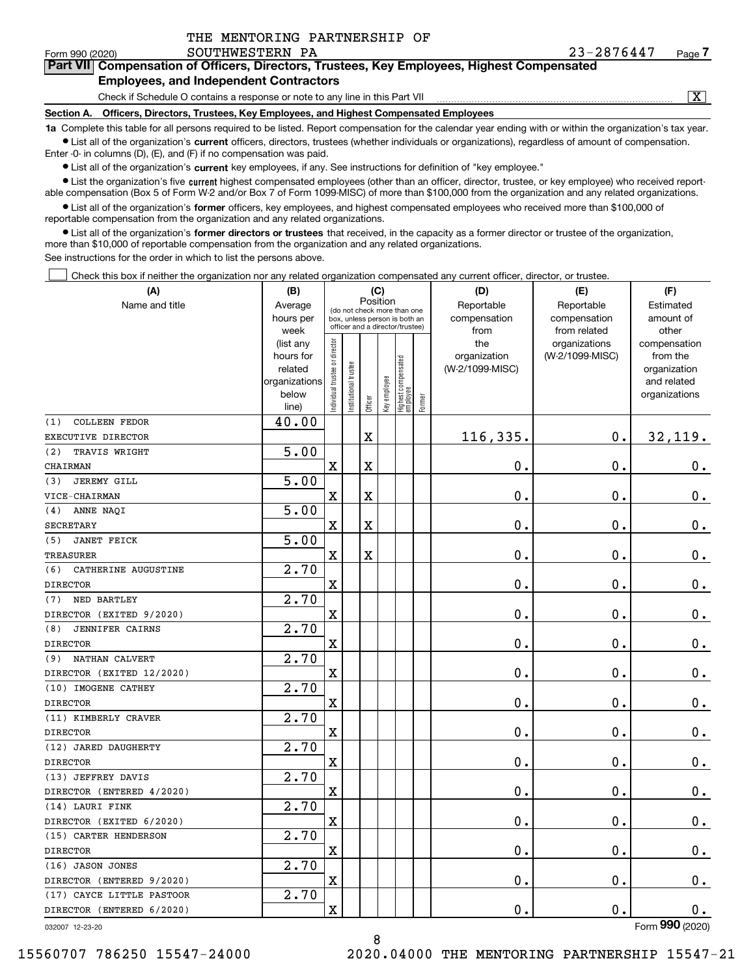|  | THE MENTORING PARTNERSHIP OF |  |
|--|------------------------------|--|
|  |                              |  |

# **7Part VII Compensation of Officers, Directors, Trustees, Key Employees, Highest Compensated Employees, and Independent Contractors**

Check if Schedule O contains a response or note to any line in this Part VII

 $\boxed{\text{X}}$ 

**Section A. Officers, Directors, Trustees, Key Employees, and Highest Compensated Employees**

**1a**  Complete this table for all persons required to be listed. Report compensation for the calendar year ending with or within the organization's tax year. **•** List all of the organization's current officers, directors, trustees (whether individuals or organizations), regardless of amount of compensation.

Enter -0- in columns (D), (E), and (F) if no compensation was paid.

 $\bullet$  List all of the organization's  $\,$ current key employees, if any. See instructions for definition of "key employee."

**•** List the organization's five current highest compensated employees (other than an officer, director, trustee, or key employee) who received reportable compensation (Box 5 of Form W-2 and/or Box 7 of Form 1099-MISC) of more than \$100,000 from the organization and any related organizations.

**•** List all of the organization's former officers, key employees, and highest compensated employees who received more than \$100,000 of reportable compensation from the organization and any related organizations.

**former directors or trustees**  ¥ List all of the organization's that received, in the capacity as a former director or trustee of the organization, more than \$10,000 of reportable compensation from the organization and any related organizations.

See instructions for the order in which to list the persons above.

Check this box if neither the organization nor any related organization compensated any current officer, director, or trustee.  $\mathcal{L}^{\text{max}}$ 

| (A)                           | (B)                                                |                               |                       |             | (C)          |                                  |        | (D)             | (E)             | (F)                         |
|-------------------------------|----------------------------------------------------|-------------------------------|-----------------------|-------------|--------------|----------------------------------|--------|-----------------|-----------------|-----------------------------|
| Name and title                | Position<br>Average<br>(do not check more than one |                               |                       |             |              |                                  |        | Reportable      | Reportable      | Estimated                   |
|                               | hours per                                          |                               |                       |             |              | box, unless person is both an    |        | compensation    | compensation    | amount of                   |
|                               | week                                               |                               |                       |             |              | officer and a director/trustee)  |        | from            | from related    | other                       |
|                               | (list any                                          |                               |                       |             |              |                                  |        | the             | organizations   | compensation                |
|                               | hours for                                          |                               |                       |             |              |                                  |        | organization    | (W-2/1099-MISC) | from the                    |
|                               | related<br>organizations                           |                               |                       |             |              |                                  |        | (W-2/1099-MISC) |                 | organization<br>and related |
|                               | below                                              |                               |                       |             |              |                                  |        |                 |                 | organizations               |
|                               | line)                                              | ndividual trustee or director | Institutional trustee | Officer     | Key employee | Highest compensated<br> employee | Former |                 |                 |                             |
| <b>COLLEEN FEDOR</b><br>(1)   | 40.00                                              |                               |                       |             |              |                                  |        |                 |                 |                             |
| EXECUTIVE DIRECTOR            |                                                    |                               |                       | $\mathbf X$ |              |                                  |        | 116,335.        | $\mathbf 0$ .   | 32,119.                     |
| (2)<br>TRAVIS WRIGHT          | $\overline{5.00}$                                  |                               |                       |             |              |                                  |        |                 |                 |                             |
| CHAIRMAN                      |                                                    | $\overline{\mathbf{X}}$       |                       | $\mathbf X$ |              |                                  |        | 0.              | 0.              | $0_{.}$                     |
| <b>JEREMY GILL</b><br>(3)     | $\overline{5.00}$                                  |                               |                       |             |              |                                  |        |                 |                 |                             |
| VICE-CHAIRMAN                 |                                                    | X                             |                       | $\mathbf X$ |              |                                  |        | 0.              | 0.              | 0.                          |
| ANNE NAQI<br>(4)              | $\overline{5.00}$                                  |                               |                       |             |              |                                  |        |                 |                 |                             |
| <b>SECRETARY</b>              |                                                    | X                             |                       | $\mathbf X$ |              |                                  |        | 0.              | 0.              | 0.                          |
| <b>JANET FEICK</b><br>(5)     | $\overline{5.00}$                                  |                               |                       |             |              |                                  |        |                 |                 |                             |
| <b>TREASURER</b>              |                                                    | $\mathbf X$                   |                       | $\mathbf X$ |              |                                  |        | 0.              | 0.              | $0_{.}$                     |
| CATHERINE AUGUSTINE<br>(6)    | 2.70                                               |                               |                       |             |              |                                  |        |                 |                 |                             |
| <b>DIRECTOR</b>               |                                                    | X                             |                       |             |              |                                  |        | 0.              | 0.              | $\mathbf 0$ .               |
| NED BARTLEY<br>(7)            | 2.70                                               |                               |                       |             |              |                                  |        |                 |                 |                             |
| DIRECTOR (EXITED 9/2020)      |                                                    | X                             |                       |             |              |                                  |        | 0.              | 0.              | $\mathbf 0$ .               |
| <b>JENNIFER CAIRNS</b><br>(8) | 2.70                                               |                               |                       |             |              |                                  |        |                 |                 |                             |
| <b>DIRECTOR</b>               |                                                    | X                             |                       |             |              |                                  |        | 0.              | 0.              | $\mathbf 0$ .               |
| NATHAN CALVERT<br>(9)         | 2.70                                               |                               |                       |             |              |                                  |        |                 |                 |                             |
| DIRECTOR (EXITED 12/2020)     |                                                    | X                             |                       |             |              |                                  |        | 0.              | 0.              | $\mathbf 0$ .               |
| (10) IMOGENE CATHEY           | 2.70                                               |                               |                       |             |              |                                  |        |                 |                 |                             |
| <b>DIRECTOR</b>               |                                                    | X                             |                       |             |              |                                  |        | 0.              | 0.              | $\mathbf 0$ .               |
| (11) KIMBERLY CRAVER          | 2.70                                               |                               |                       |             |              |                                  |        |                 |                 |                             |
| <b>DIRECTOR</b>               |                                                    | X                             |                       |             |              |                                  |        | 0.              | 0.              | $\mathbf 0$ .               |
| (12) JARED DAUGHERTY          | 2.70                                               |                               |                       |             |              |                                  |        |                 |                 |                             |
| <b>DIRECTOR</b>               |                                                    | X                             |                       |             |              |                                  |        | 0.              | 0.              | 0.                          |
| (13) JEFFREY DAVIS            | 2.70                                               |                               |                       |             |              |                                  |        |                 |                 |                             |
| DIRECTOR (ENTERED 4/2020)     |                                                    | X                             |                       |             |              |                                  |        | 0.              | 0.              | 0.                          |
| (14) LAURI FINK               | 2.70                                               |                               |                       |             |              |                                  |        |                 |                 |                             |
| DIRECTOR (EXITED 6/2020)      |                                                    | $\mathbf X$                   |                       |             |              |                                  |        | 0.              | $\mathbf 0$ .   | 0.                          |
| (15) CARTER HENDERSON         | 2.70                                               |                               |                       |             |              |                                  |        |                 |                 |                             |
| <b>DIRECTOR</b>               |                                                    | X                             |                       |             |              |                                  |        | 0.              | $\mathbf 0$ .   | 0.                          |
| (16) JASON JONES              | 2.70                                               |                               |                       |             |              |                                  |        |                 |                 |                             |
| DIRECTOR (ENTERED 9/2020)     |                                                    | $\mathbf X$                   |                       |             |              |                                  |        | 0.              | $\mathfrak o$ . | 0.                          |
| (17) CAYCE LITTLE PASTOOR     | 2.70                                               |                               |                       |             |              |                                  |        |                 |                 |                             |
| DIRECTOR (ENTERED 6/2020)     |                                                    | $\mathbf X$                   |                       |             |              |                                  |        | 0.              | $\mathbf 0$ .   | 0.                          |
| 032007 12-23-20               |                                                    |                               |                       |             |              |                                  |        |                 |                 | Form 990 (2020)             |

8

032007 12-23-20

15560707 786250 15547-24000 2020.04000 THE MENTORING PARTNERSHIP 15547-21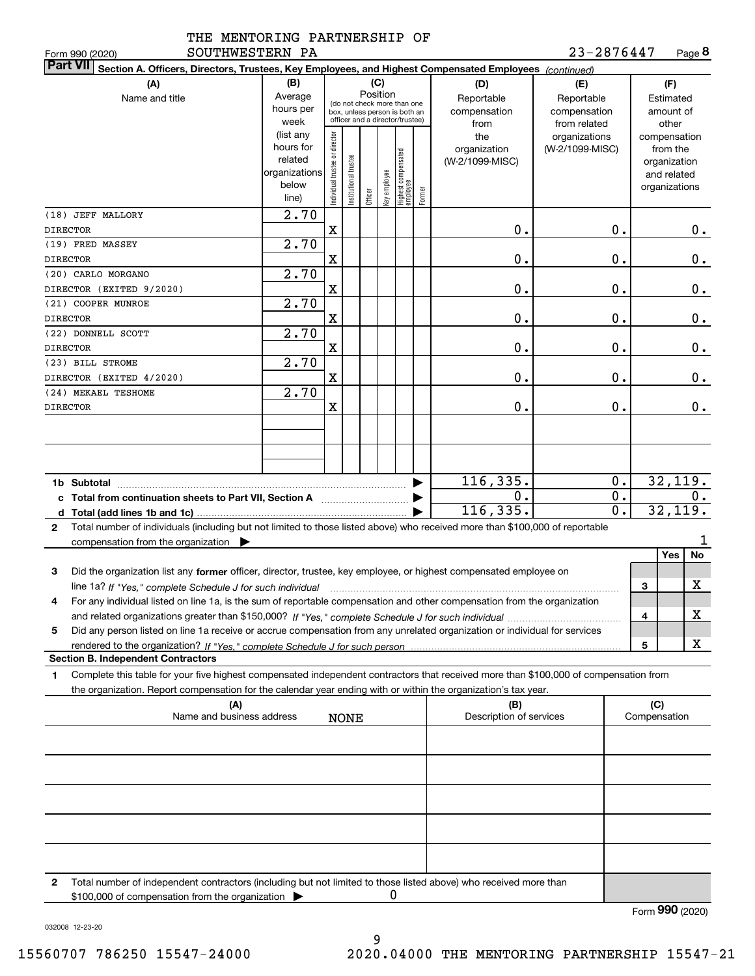|                 | THE MENTORING PARTNERSHIP OF |  |
|-----------------|------------------------------|--|
| commumpcoopn as |                              |  |

**8**23-2876447

| SOUTHWESTERN PA<br>Form 990 (2020)                                                                                                              |                    |                               |                      |         |              |                                                              |        |                         | 23-2876447       |              | Page 8        |
|-------------------------------------------------------------------------------------------------------------------------------------------------|--------------------|-------------------------------|----------------------|---------|--------------|--------------------------------------------------------------|--------|-------------------------|------------------|--------------|---------------|
| <b>Part VII</b><br>Section A. Officers, Directors, Trustees, Key Employees, and Highest Compensated Employees (continued)                       |                    |                               |                      |         |              |                                                              |        |                         |                  |              |               |
| (A)                                                                                                                                             | (B)                |                               |                      |         | (C)          |                                                              |        | (D)                     | (E)              |              | (F)           |
| Name and title                                                                                                                                  | Average            |                               |                      |         | Position     |                                                              |        | Reportable              | Reportable       |              | Estimated     |
|                                                                                                                                                 | hours per          |                               |                      |         |              | (do not check more than one<br>box, unless person is both an |        | compensation            | compensation     |              | amount of     |
|                                                                                                                                                 | week               |                               |                      |         |              | officer and a director/trustee)                              |        | from                    | from related     |              | other         |
|                                                                                                                                                 | (list any          |                               |                      |         |              |                                                              |        | the                     | organizations    |              | compensation  |
|                                                                                                                                                 | hours for          |                               |                      |         |              |                                                              |        | organization            | (W-2/1099-MISC)  |              | from the      |
|                                                                                                                                                 | related            |                               |                      |         |              |                                                              |        | (W-2/1099-MISC)         |                  |              | organization  |
|                                                                                                                                                 | organizations      |                               |                      |         |              |                                                              |        |                         |                  |              | and related   |
|                                                                                                                                                 | below              |                               |                      |         |              |                                                              |        |                         |                  |              | organizations |
|                                                                                                                                                 | line)              | ndividual trustee or director | nstitutional trustee | Officer | Key employee | Highest compensated<br> employee                             | Former |                         |                  |              |               |
| (18) JEFF MALLORY                                                                                                                               | $\overline{2}$ .70 |                               |                      |         |              |                                                              |        |                         |                  |              |               |
|                                                                                                                                                 |                    |                               |                      |         |              |                                                              |        |                         |                  |              |               |
| <b>DIRECTOR</b>                                                                                                                                 |                    | X                             |                      |         |              |                                                              |        | 0.                      | 0.               |              | $0$ .         |
| (19) FRED MASSEY                                                                                                                                | 2.70               |                               |                      |         |              |                                                              |        |                         |                  |              |               |
| <b>DIRECTOR</b>                                                                                                                                 |                    | X                             |                      |         |              |                                                              |        | 0.                      | $\mathbf 0$ .    |              | 0.            |
| (20) CARLO MORGANO                                                                                                                              | $\overline{2}$ .70 |                               |                      |         |              |                                                              |        |                         |                  |              |               |
| DIRECTOR (EXITED 9/2020)                                                                                                                        |                    | X                             |                      |         |              |                                                              |        | 0.                      | $\mathbf 0$ .    |              | $0$ .         |
| (21) COOPER MUNROE                                                                                                                              | 2.70               |                               |                      |         |              |                                                              |        |                         |                  |              |               |
| <b>DIRECTOR</b>                                                                                                                                 |                    | X                             |                      |         |              |                                                              |        | 0.                      | 0.               |              | $0$ .         |
|                                                                                                                                                 |                    |                               |                      |         |              |                                                              |        |                         |                  |              |               |
| (22) DONNELL SCOTT                                                                                                                              | 2.70               |                               |                      |         |              |                                                              |        |                         |                  |              |               |
| <b>DIRECTOR</b>                                                                                                                                 |                    | X                             |                      |         |              |                                                              |        | 0.                      | 0.               |              | $0$ .         |
| (23) BILL STROME                                                                                                                                | 2.70               |                               |                      |         |              |                                                              |        |                         |                  |              |               |
| DIRECTOR (EXITED 4/2020)                                                                                                                        |                    | X                             |                      |         |              |                                                              |        | 0.                      | 0.               |              | 0.            |
| (24) MEKAEL TESHOME                                                                                                                             | 2.70               |                               |                      |         |              |                                                              |        |                         |                  |              |               |
| <b>DIRECTOR</b>                                                                                                                                 |                    | X                             |                      |         |              |                                                              |        | 0.                      | 0.               |              | $0$ .         |
|                                                                                                                                                 |                    |                               |                      |         |              |                                                              |        |                         |                  |              |               |
|                                                                                                                                                 |                    |                               |                      |         |              |                                                              |        |                         |                  |              |               |
|                                                                                                                                                 |                    |                               |                      |         |              |                                                              |        |                         |                  |              |               |
|                                                                                                                                                 |                    |                               |                      |         |              |                                                              |        |                         |                  |              |               |
|                                                                                                                                                 |                    |                               |                      |         |              |                                                              |        |                         |                  |              |               |
|                                                                                                                                                 |                    |                               |                      |         |              |                                                              | ▶      | 116, 335.               | 0.               |              | 32,119.       |
| c Total from continuation sheets to Part VII, Section A                                                                                         |                    |                               |                      |         |              |                                                              |        | 0.                      | 0.               |              | 0.            |
|                                                                                                                                                 |                    |                               |                      |         |              |                                                              |        | 116, 335.               | $\overline{0}$ . |              | 32,119.       |
| Total number of individuals (including but not limited to those listed above) who received more than \$100,000 of reportable<br>$\mathbf{2}$    |                    |                               |                      |         |              |                                                              |        |                         |                  |              |               |
|                                                                                                                                                 |                    |                               |                      |         |              |                                                              |        |                         |                  |              |               |
| compensation from the organization $\blacktriangleright$                                                                                        |                    |                               |                      |         |              |                                                              |        |                         |                  |              |               |
|                                                                                                                                                 |                    |                               |                      |         |              |                                                              |        |                         |                  |              | No<br>Yes     |
| 3<br>Did the organization list any former officer, director, trustee, key employee, or highest compensated employee on                          |                    |                               |                      |         |              |                                                              |        |                         |                  |              |               |
| line 1a? If "Yes," complete Schedule J for such individual manufactured contained and the 1a? If "Yes," complete Schedule J for such individual |                    |                               |                      |         |              |                                                              |        |                         |                  | 3            | х             |
| For any individual listed on line 1a, is the sum of reportable compensation and other compensation from the organization                        |                    |                               |                      |         |              |                                                              |        |                         |                  |              |               |
|                                                                                                                                                 |                    |                               |                      |         |              |                                                              |        |                         |                  | 4            | х             |
| Did any person listed on line 1a receive or accrue compensation from any unrelated organization or individual for services<br>5                 |                    |                               |                      |         |              |                                                              |        |                         |                  |              |               |
|                                                                                                                                                 |                    |                               |                      |         |              |                                                              |        |                         |                  | 5            | x             |
| <b>Section B. Independent Contractors</b>                                                                                                       |                    |                               |                      |         |              |                                                              |        |                         |                  |              |               |
|                                                                                                                                                 |                    |                               |                      |         |              |                                                              |        |                         |                  |              |               |
| Complete this table for your five highest compensated independent contractors that received more than \$100,000 of compensation from<br>1.      |                    |                               |                      |         |              |                                                              |        |                         |                  |              |               |
| the organization. Report compensation for the calendar year ending with or within the organization's tax year.                                  |                    |                               |                      |         |              |                                                              |        |                         |                  |              |               |
| (A)                                                                                                                                             |                    |                               |                      |         |              |                                                              |        | (B)                     |                  | (C)          |               |
| Name and business address                                                                                                                       |                    |                               | <b>NONE</b>          |         |              |                                                              |        | Description of services |                  | Compensation |               |
|                                                                                                                                                 |                    |                               |                      |         |              |                                                              |        |                         |                  |              |               |
|                                                                                                                                                 |                    |                               |                      |         |              |                                                              |        |                         |                  |              |               |
|                                                                                                                                                 |                    |                               |                      |         |              |                                                              |        |                         |                  |              |               |
|                                                                                                                                                 |                    |                               |                      |         |              |                                                              |        |                         |                  |              |               |
|                                                                                                                                                 |                    |                               |                      |         |              |                                                              |        |                         |                  |              |               |
|                                                                                                                                                 |                    |                               |                      |         |              |                                                              |        |                         |                  |              |               |
|                                                                                                                                                 |                    |                               |                      |         |              |                                                              |        |                         |                  |              |               |
|                                                                                                                                                 |                    |                               |                      |         |              |                                                              |        |                         |                  |              |               |
|                                                                                                                                                 |                    |                               |                      |         |              |                                                              |        |                         |                  |              |               |
|                                                                                                                                                 |                    |                               |                      |         |              |                                                              |        |                         |                  |              |               |
|                                                                                                                                                 |                    |                               |                      |         |              |                                                              |        |                         |                  |              |               |
|                                                                                                                                                 |                    |                               |                      |         |              |                                                              |        |                         |                  |              |               |
| Total number of independent contractors (including but not limited to those listed above) who received more than<br>2                           |                    |                               |                      |         |              |                                                              |        |                         |                  |              |               |
| \$100,000 of compensation from the organization                                                                                                 |                    |                               |                      |         |              | 0                                                            |        |                         |                  |              |               |

Form (2020) **990**

032008 12-23-20

9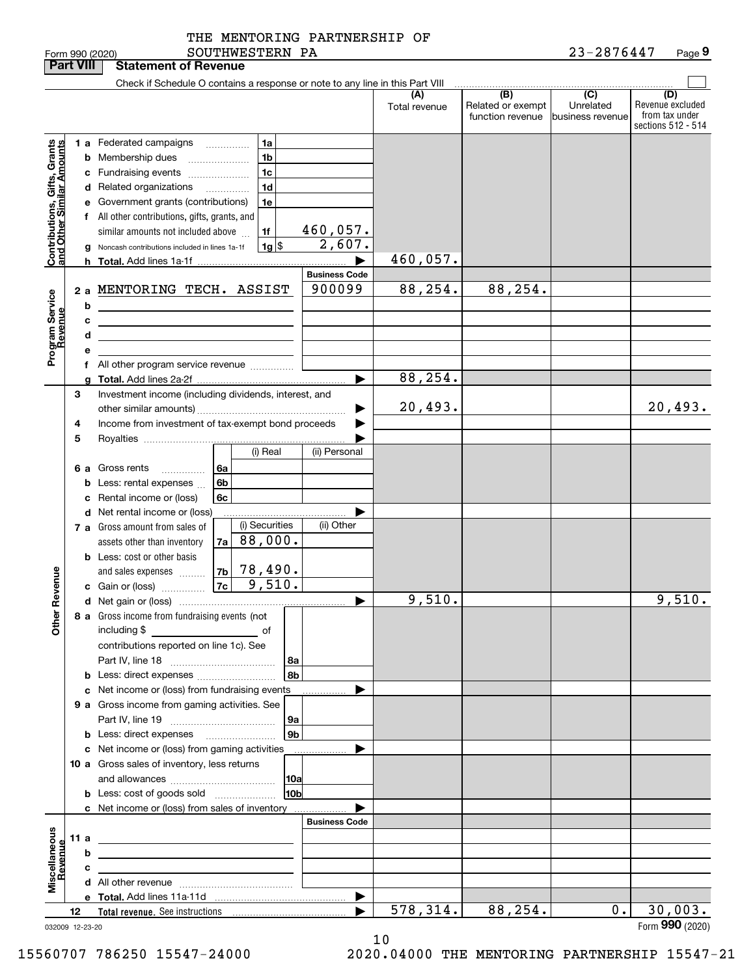| <b>Part VIII</b>                                          |      |   | <b>Statement of Revenue</b>                                                                                          |    |                                 |                 |                       |                      |                                              |                                                   |                                                                 |
|-----------------------------------------------------------|------|---|----------------------------------------------------------------------------------------------------------------------|----|---------------------------------|-----------------|-----------------------|----------------------|----------------------------------------------|---------------------------------------------------|-----------------------------------------------------------------|
|                                                           |      |   | Check if Schedule O contains a response or note to any line in this Part VIII                                        |    |                                 |                 |                       |                      |                                              |                                                   |                                                                 |
|                                                           |      |   |                                                                                                                      |    |                                 |                 |                       | (A)<br>Total revenue | (B)<br>Related or exempt<br>function revenue | $\overline{(C)}$<br>Unrelated<br>business revenue | (D)<br>Revenue excluded<br>from tax under<br>sections 512 - 514 |
|                                                           |      |   | 1 a Federated campaigns                                                                                              |    | 1a                              |                 |                       |                      |                                              |                                                   |                                                                 |
|                                                           |      |   | <b>b</b> Membership dues                                                                                             |    | 1 <sub>b</sub>                  |                 |                       |                      |                                              |                                                   |                                                                 |
|                                                           |      |   | c Fundraising events                                                                                                 |    | 1c                              |                 |                       |                      |                                              |                                                   |                                                                 |
|                                                           |      |   | d Related organizations                                                                                              |    | 1 <sub>d</sub>                  |                 |                       |                      |                                              |                                                   |                                                                 |
|                                                           |      |   | e Government grants (contributions)                                                                                  |    | 1e                              |                 |                       |                      |                                              |                                                   |                                                                 |
|                                                           |      |   | f All other contributions, gifts, grants, and                                                                        |    |                                 |                 |                       |                      |                                              |                                                   |                                                                 |
|                                                           |      |   | similar amounts not included above                                                                                   |    | 1f                              |                 | 460,057.              |                      |                                              |                                                   |                                                                 |
| Contributions, Gifts, Grants<br>and Other Similar Amounts |      |   | g Noncash contributions included in lines 1a-1f                                                                      |    |                                 | $1g$ \$         | 2,607.                |                      |                                              |                                                   |                                                                 |
|                                                           |      |   |                                                                                                                      |    |                                 |                 | $\blacktriangleright$ | 460,057.             |                                              |                                                   |                                                                 |
|                                                           |      |   |                                                                                                                      |    |                                 |                 | <b>Business Code</b>  |                      |                                              |                                                   |                                                                 |
|                                                           |      |   | 2 a MENTORING TECH. ASSIST                                                                                           |    |                                 |                 | 900099                | 88, 254.             | 88, 254.                                     |                                                   |                                                                 |
| Program Service<br>Revenue                                |      | b | <u> 1989 - Johann Stoff, Amerikaansk politiker (</u>                                                                 |    |                                 |                 |                       |                      |                                              |                                                   |                                                                 |
|                                                           |      | c | <u> 1989 - Johann Barbara, marka a shekara tsa 1989 - An tsa 1989 - An tsa 1989 - An tsa 1989 - An tsa 1989 - An</u> |    |                                 |                 |                       |                      |                                              |                                                   |                                                                 |
|                                                           |      | d | the control of the control of the control of the control of the control of                                           |    |                                 |                 |                       |                      |                                              |                                                   |                                                                 |
|                                                           |      | e | f All other program service revenue                                                                                  |    |                                 |                 |                       |                      |                                              |                                                   |                                                                 |
|                                                           |      |   |                                                                                                                      |    |                                 |                 |                       | 88, 254.             |                                              |                                                   |                                                                 |
|                                                           | 3    |   | Investment income (including dividends, interest, and                                                                |    |                                 |                 |                       |                      |                                              |                                                   |                                                                 |
|                                                           |      |   |                                                                                                                      |    |                                 |                 |                       | 20, 493.             |                                              |                                                   | 20,493.                                                         |
|                                                           | 4    |   | Income from investment of tax-exempt bond proceeds                                                                   |    |                                 |                 |                       |                      |                                              |                                                   |                                                                 |
|                                                           | 5    |   |                                                                                                                      |    |                                 |                 |                       |                      |                                              |                                                   |                                                                 |
|                                                           |      |   |                                                                                                                      |    | (i) Real                        |                 | (ii) Personal         |                      |                                              |                                                   |                                                                 |
|                                                           |      |   | 6 a Gross rents<br>.                                                                                                 | 6a |                                 |                 |                       |                      |                                              |                                                   |                                                                 |
|                                                           |      |   | <b>b</b> Less: rental expenses                                                                                       | 6b |                                 |                 |                       |                      |                                              |                                                   |                                                                 |
|                                                           |      |   | c Rental income or (loss)                                                                                            | 6c |                                 |                 |                       |                      |                                              |                                                   |                                                                 |
|                                                           |      |   | <b>d</b> Net rental income or (loss)                                                                                 |    |                                 |                 |                       |                      |                                              |                                                   |                                                                 |
|                                                           |      |   | 7 a Gross amount from sales of                                                                                       |    | (i) Securities                  |                 | (ii) Other            |                      |                                              |                                                   |                                                                 |
|                                                           |      |   | assets other than inventory                                                                                          | 7a | 88,000.                         |                 |                       |                      |                                              |                                                   |                                                                 |
|                                                           |      |   | <b>b</b> Less: cost or other basis                                                                                   |    |                                 |                 |                       |                      |                                              |                                                   |                                                                 |
|                                                           |      |   | and sales expenses                                                                                                   |    | $ 7b $ 78,490.<br>$7c - 9,510.$ |                 |                       |                      |                                              |                                                   |                                                                 |
| Revenue                                                   |      |   | c Gain or (loss)                                                                                                     |    |                                 |                 | ▶                     | 9,510.               |                                              |                                                   | 9,510.                                                          |
|                                                           |      |   | 8 a Gross income from fundraising events (not                                                                        |    |                                 |                 |                       |                      |                                              |                                                   |                                                                 |
| <b>Othe</b>                                               |      |   | including \$                                                                                                         |    |                                 |                 |                       |                      |                                              |                                                   |                                                                 |
|                                                           |      |   | contributions reported on line 1c). See                                                                              |    |                                 |                 |                       |                      |                                              |                                                   |                                                                 |
|                                                           |      |   |                                                                                                                      |    |                                 | 8a              |                       |                      |                                              |                                                   |                                                                 |
|                                                           |      |   |                                                                                                                      |    |                                 | 8b              |                       |                      |                                              |                                                   |                                                                 |
|                                                           |      |   | c Net income or (loss) from fundraising events                                                                       |    |                                 |                 |                       |                      |                                              |                                                   |                                                                 |
|                                                           |      |   | 9 a Gross income from gaming activities. See                                                                         |    |                                 |                 |                       |                      |                                              |                                                   |                                                                 |
|                                                           |      |   |                                                                                                                      |    |                                 | 9a              |                       |                      |                                              |                                                   |                                                                 |
|                                                           |      |   | <b>b</b> Less: direct expenses <b>manually</b>                                                                       |    |                                 | 9b              |                       |                      |                                              |                                                   |                                                                 |
|                                                           |      |   | c Net income or (loss) from gaming activities                                                                        |    |                                 |                 | .                     |                      |                                              |                                                   |                                                                 |
|                                                           |      |   | 10 a Gross sales of inventory, less returns                                                                          |    |                                 |                 |                       |                      |                                              |                                                   |                                                                 |
|                                                           |      |   |                                                                                                                      |    |                                 | 10a             |                       |                      |                                              |                                                   |                                                                 |
|                                                           |      |   | <b>b</b> Less: cost of goods sold                                                                                    |    |                                 | 10 <sub>b</sub> |                       |                      |                                              |                                                   |                                                                 |
|                                                           |      |   | c Net income or (loss) from sales of inventory                                                                       |    |                                 |                 | <b>Business Code</b>  |                      |                                              |                                                   |                                                                 |
|                                                           | 11 a |   |                                                                                                                      |    |                                 |                 |                       |                      |                                              |                                                   |                                                                 |
|                                                           |      | b | <u> 1989 - Johann Stein, marwolaethau a bhann an t-Amhair an t-Amhair an t-Amhair an t-Amhair an t-Amhair an t-A</u> |    |                                 |                 |                       |                      |                                              |                                                   |                                                                 |
|                                                           |      | с | the contract of the contract of the contract of the contract of the contract of                                      |    |                                 |                 |                       |                      |                                              |                                                   |                                                                 |
| Miscellaneous<br>Revenue                                  |      |   |                                                                                                                      |    |                                 |                 |                       |                      |                                              |                                                   |                                                                 |
|                                                           |      |   |                                                                                                                      |    |                                 |                 | $\blacktriangleright$ |                      |                                              |                                                   |                                                                 |
|                                                           | 12   |   |                                                                                                                      |    |                                 |                 |                       | 578, 314.            | 88,254.                                      | 0.1                                               | 30,003.                                                         |
| 032009 12-23-20                                           |      |   |                                                                                                                      |    |                                 |                 |                       |                      |                                              |                                                   | Form 990 (2020)                                                 |

10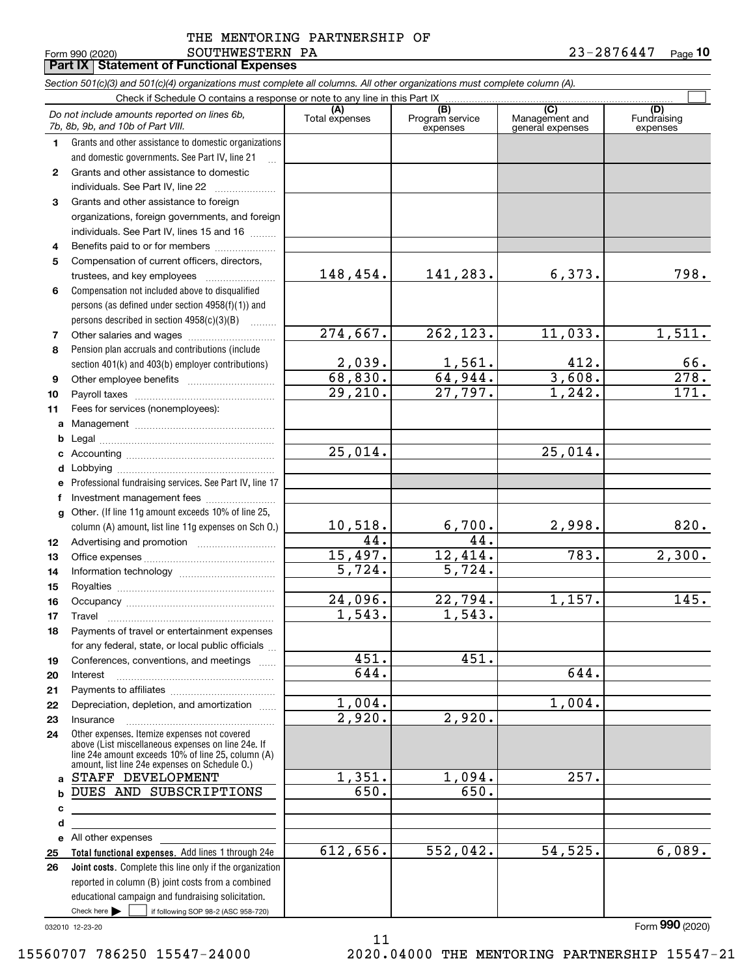#### Form 990 (2020) Page **Part IX Statement of Functional Expenses** SOUTHWESTERN PA THE MENTORING PARTNERSHIP OF

|              | Section 501(c)(3) and 501(c)(4) organizations must complete all columns. All other organizations must complete column (A).                                                                                 |                          |                             |                                    |                         |
|--------------|------------------------------------------------------------------------------------------------------------------------------------------------------------------------------------------------------------|--------------------------|-----------------------------|------------------------------------|-------------------------|
|              | Check if Schedule O contains a response or note to any line in this Part IX                                                                                                                                | (A)                      | (B)                         | (C)                                | (D)                     |
|              | Do not include amounts reported on lines 6b,<br>7b, 8b, 9b, and 10b of Part VIII.                                                                                                                          | Total expenses           | Program service<br>expenses | Management and<br>general expenses | Fundraising<br>expenses |
| $\mathbf 1$  | Grants and other assistance to domestic organizations                                                                                                                                                      |                          |                             |                                    |                         |
|              | and domestic governments. See Part IV, line 21                                                                                                                                                             |                          |                             |                                    |                         |
| $\mathbf{2}$ | Grants and other assistance to domestic                                                                                                                                                                    |                          |                             |                                    |                         |
|              | individuals. See Part IV, line 22                                                                                                                                                                          |                          |                             |                                    |                         |
| 3            | Grants and other assistance to foreign                                                                                                                                                                     |                          |                             |                                    |                         |
|              | organizations, foreign governments, and foreign                                                                                                                                                            |                          |                             |                                    |                         |
|              | individuals. See Part IV, lines 15 and 16                                                                                                                                                                  |                          |                             |                                    |                         |
| 4            | Benefits paid to or for members                                                                                                                                                                            |                          |                             |                                    |                         |
| 5            | Compensation of current officers, directors,                                                                                                                                                               |                          |                             |                                    |                         |
|              | trustees, and key employees                                                                                                                                                                                | <u>148,454.</u>          | <u>141,283.</u>             | <u>6,373.</u>                      | 798.                    |
| 6            | Compensation not included above to disqualified                                                                                                                                                            |                          |                             |                                    |                         |
|              | persons (as defined under section 4958(f)(1)) and                                                                                                                                                          |                          |                             |                                    |                         |
|              | persons described in section 4958(c)(3)(B)<br>.                                                                                                                                                            | 274,667.                 | 262, 123.                   | 11,033.                            | 1,511.                  |
| 7            |                                                                                                                                                                                                            |                          |                             |                                    |                         |
| 8            | Pension plan accruals and contributions (include                                                                                                                                                           |                          |                             |                                    |                         |
|              | section 401(k) and 403(b) employer contributions)                                                                                                                                                          | $\frac{2,039}{68,830}$ . | $\frac{1,561}{64,944}$ .    | $\frac{412}{3,608}$                | $\frac{66}{278}$ .      |
| 9<br>10      | Other employee benefits                                                                                                                                                                                    | 29,210.                  | $\overline{27.797}$ .       | 1,242.                             | 171.                    |
| 11           | Fees for services (nonemployees):                                                                                                                                                                          |                          |                             |                                    |                         |
| a            |                                                                                                                                                                                                            |                          |                             |                                    |                         |
| b            |                                                                                                                                                                                                            |                          |                             |                                    |                         |
| с            |                                                                                                                                                                                                            | $\overline{25,014}$ .    |                             | 25,014.                            |                         |
| d            |                                                                                                                                                                                                            |                          |                             |                                    |                         |
| е            | Professional fundraising services. See Part IV, line 17                                                                                                                                                    |                          |                             |                                    |                         |
| f            | Investment management fees                                                                                                                                                                                 |                          |                             |                                    |                         |
| a            | Other. (If line 11g amount exceeds 10% of line 25,                                                                                                                                                         |                          |                             |                                    |                         |
|              | column (A) amount, list line 11g expenses on Sch O.)                                                                                                                                                       |                          |                             | 2,998.                             | 820.                    |
| 12           |                                                                                                                                                                                                            | $\frac{10,518.}{44.}$    | $\frac{6,700.}{44.}$        |                                    |                         |
| 13           |                                                                                                                                                                                                            | 15,497.                  | 12,414.                     | 783.                               | 2,300.                  |
| 14           |                                                                                                                                                                                                            | 5,724.                   | 5,724.                      |                                    |                         |
| 15           |                                                                                                                                                                                                            |                          |                             |                                    |                         |
| 16           |                                                                                                                                                                                                            | $\overline{24}$ , 096.   | 22,794.                     | 1,157.                             | 145.                    |
| 17           |                                                                                                                                                                                                            | 1,543.                   | 1,543.                      |                                    |                         |
| 18           | Payments of travel or entertainment expenses                                                                                                                                                               |                          |                             |                                    |                         |
|              | for any federal, state, or local public officials                                                                                                                                                          |                          |                             |                                    |                         |
| 19           | Conferences, conventions, and meetings                                                                                                                                                                     | 451.                     | 451.                        |                                    |                         |
| 20           | Interest                                                                                                                                                                                                   | 644.                     |                             | 644.                               |                         |
| 21           |                                                                                                                                                                                                            |                          |                             |                                    |                         |
| 22           | Depreciation, depletion, and amortization                                                                                                                                                                  | 1,004.                   |                             | 1,004.                             |                         |
| 23           | Insurance                                                                                                                                                                                                  | 2,920.                   | $\overline{2,920}$ .        |                                    |                         |
| 24           | Other expenses. Itemize expenses not covered<br>above (List miscellaneous expenses on line 24e. If<br>line 24e amount exceeds 10% of line 25, column (A)<br>amount, list line 24e expenses on Schedule O.) |                          |                             |                                    |                         |
| a            | STAFF DEVELOPMENT                                                                                                                                                                                          | 1,351.                   | 1,094.                      | $\overline{257}$ .                 |                         |
| b            | DUES AND SUBSCRIPTIONS                                                                                                                                                                                     | 650.                     | 650.                        |                                    |                         |
| c            |                                                                                                                                                                                                            |                          |                             |                                    |                         |
| d            |                                                                                                                                                                                                            |                          |                             |                                    |                         |
| е            | All other expenses                                                                                                                                                                                         |                          |                             |                                    |                         |
| 25           | Total functional expenses. Add lines 1 through 24e                                                                                                                                                         | 612,656.                 | 552,042.                    | 54,525.                            | 6,089.                  |
| 26           | Joint costs. Complete this line only if the organization                                                                                                                                                   |                          |                             |                                    |                         |
|              | reported in column (B) joint costs from a combined                                                                                                                                                         |                          |                             |                                    |                         |
|              | educational campaign and fundraising solicitation.                                                                                                                                                         |                          |                             |                                    |                         |
|              | if following SOP 98-2 (ASC 958-720)<br>Check here $\blacktriangleright$                                                                                                                                    |                          |                             |                                    |                         |

11

032010 12-23-20

Form (2020) **990**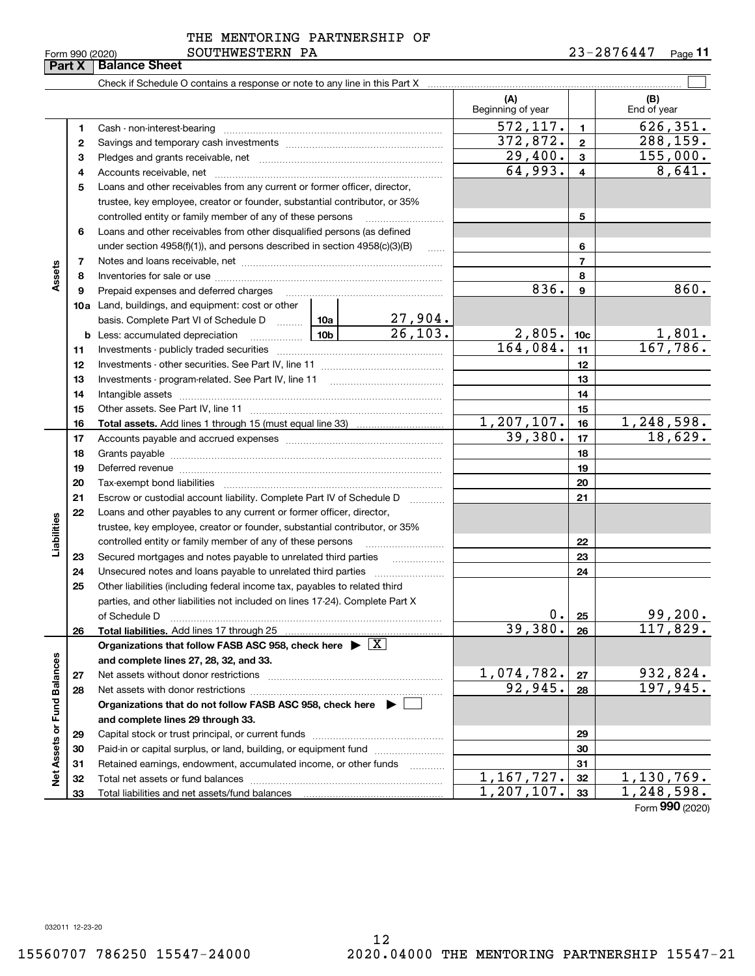|  | Form 990 (2020) |
|--|-----------------|
|  |                 |

|                             | Part X | <b>Balance Sheet</b>                                                                                                                                                                                                           |  |          |                          |                 |                         |
|-----------------------------|--------|--------------------------------------------------------------------------------------------------------------------------------------------------------------------------------------------------------------------------------|--|----------|--------------------------|-----------------|-------------------------|
|                             |        |                                                                                                                                                                                                                                |  |          |                          |                 |                         |
|                             |        |                                                                                                                                                                                                                                |  |          | (A)<br>Beginning of year |                 | (B)<br>End of year      |
|                             | 1      |                                                                                                                                                                                                                                |  |          | 572, 117.                | $\mathbf{1}$    | $\overline{626}$ , 351. |
|                             | 2      |                                                                                                                                                                                                                                |  |          | 372,872.                 | $\mathbf{2}$    | 288, 159.               |
|                             | з      |                                                                                                                                                                                                                                |  |          | 29,400.                  | 3               | 155,000.                |
|                             | 4      |                                                                                                                                                                                                                                |  |          | 64,993.                  | 4               | 8,641.                  |
|                             | 5      | Loans and other receivables from any current or former officer, director,                                                                                                                                                      |  |          |                          |                 |                         |
|                             |        | trustee, key employee, creator or founder, substantial contributor, or 35%                                                                                                                                                     |  |          |                          |                 |                         |
|                             |        | controlled entity or family member of any of these persons                                                                                                                                                                     |  |          |                          | 5               |                         |
|                             | 6      | Loans and other receivables from other disqualified persons (as defined                                                                                                                                                        |  |          |                          |                 |                         |
|                             |        | under section $4958(f)(1)$ , and persons described in section $4958(c)(3)(B)$                                                                                                                                                  |  | $\ldots$ |                          | 6               |                         |
|                             | 7      |                                                                                                                                                                                                                                |  |          |                          | 7               |                         |
| Assets                      | 8      |                                                                                                                                                                                                                                |  |          | 8                        |                 |                         |
|                             | 9      | Prepaid expenses and deferred charges                                                                                                                                                                                          |  |          | 836.                     | 9               | 860.                    |
|                             |        | <b>10a</b> Land, buildings, and equipment: cost or other                                                                                                                                                                       |  |          |                          |                 |                         |
|                             |        | basis. Complete Part VI of Schedule D  10a                                                                                                                                                                                     |  | 27,904.  |                          |                 |                         |
|                             |        | $\begin{array}{ c c c c c }\n\hline\n\hline\n\textbf{10b} & \textbf{10b}\n\end{array}$<br><b>b</b> Less: accumulated depreciation                                                                                              |  | 26, 103. | 2,805.                   | 10 <sub>c</sub> | 1,801.                  |
|                             | 11     |                                                                                                                                                                                                                                |  |          | 164,084.                 | 11              | 167,786.                |
|                             | 12     |                                                                                                                                                                                                                                |  | 12       |                          |                 |                         |
|                             | 13     | Investments - program-related. See Part IV, line 11                                                                                                                                                                            |  | 13       |                          |                 |                         |
|                             | 14     |                                                                                                                                                                                                                                |  |          | 14                       |                 |                         |
|                             | 15     |                                                                                                                                                                                                                                |  |          |                          | 15              |                         |
|                             | 16     |                                                                                                                                                                                                                                |  |          | 1,207,107.               | 16              | 1,248,598.              |
|                             | 17     |                                                                                                                                                                                                                                |  | 39,380.  | 17                       | 18,629.         |                         |
|                             | 18     |                                                                                                                                                                                                                                |  | 18       |                          |                 |                         |
|                             | 19     | Deferred revenue imminimum contracts and all the contracts and all the contracts and all the contracts are contracted and all the contracts are contracted and all the contracts are contracted and contract are contracted an |  |          |                          | 19              |                         |
|                             | 20     |                                                                                                                                                                                                                                |  |          |                          | 20              |                         |
|                             | 21     | Escrow or custodial account liability. Complete Part IV of Schedule D                                                                                                                                                          |  |          |                          | 21              |                         |
|                             | 22     | Loans and other payables to any current or former officer, director,                                                                                                                                                           |  |          |                          |                 |                         |
|                             |        | trustee, key employee, creator or founder, substantial contributor, or 35%                                                                                                                                                     |  |          |                          |                 |                         |
| Liabilities                 |        | controlled entity or family member of any of these persons                                                                                                                                                                     |  |          |                          | 22              |                         |
|                             | 23     | Secured mortgages and notes payable to unrelated third parties                                                                                                                                                                 |  | .        |                          | 23              |                         |
|                             | 24     |                                                                                                                                                                                                                                |  |          |                          | 24              |                         |
|                             | 25     | Other liabilities (including federal income tax, payables to related third                                                                                                                                                     |  |          |                          |                 |                         |
|                             |        | parties, and other liabilities not included on lines 17-24). Complete Part X                                                                                                                                                   |  |          |                          |                 |                         |
|                             |        | of Schedule D                                                                                                                                                                                                                  |  |          | 0.                       | 25              | 99,200.                 |
|                             | 26     | Total liabilities. Add lines 17 through 25                                                                                                                                                                                     |  |          | 39,380.                  | 26              | 117,829.                |
|                             |        | Organizations that follow FASB ASC 958, check here $\blacktriangleright \boxed{X}$                                                                                                                                             |  |          |                          |                 |                         |
|                             |        | and complete lines 27, 28, 32, and 33.                                                                                                                                                                                         |  |          |                          |                 |                         |
|                             | 27     | Net assets without donor restrictions                                                                                                                                                                                          |  |          | 1,074,782.<br>92,945.    | 27              | 932,824.<br>197,945.    |
|                             | 28     |                                                                                                                                                                                                                                |  |          |                          | 28              |                         |
|                             |        | Organizations that do not follow FASB ASC 958, check here $\blacktriangleright$                                                                                                                                                |  |          |                          |                 |                         |
|                             |        | and complete lines 29 through 33.                                                                                                                                                                                              |  |          |                          |                 |                         |
| Net Assets or Fund Balances | 29     |                                                                                                                                                                                                                                |  |          |                          | 29              |                         |
|                             | 30     | Paid-in or capital surplus, or land, building, or equipment fund                                                                                                                                                               |  |          |                          | 30              |                         |
|                             | 31     | Retained earnings, endowment, accumulated income, or other funds                                                                                                                                                               |  | .        | 1,167,727.               | 31              | 1,130,769.              |
|                             | 32     |                                                                                                                                                                                                                                |  |          | 1,207,107.               | 32              | 1,248,598.              |
|                             | 33     |                                                                                                                                                                                                                                |  |          |                          | 33              |                         |

Form (2020) **990**

032011 12-23-20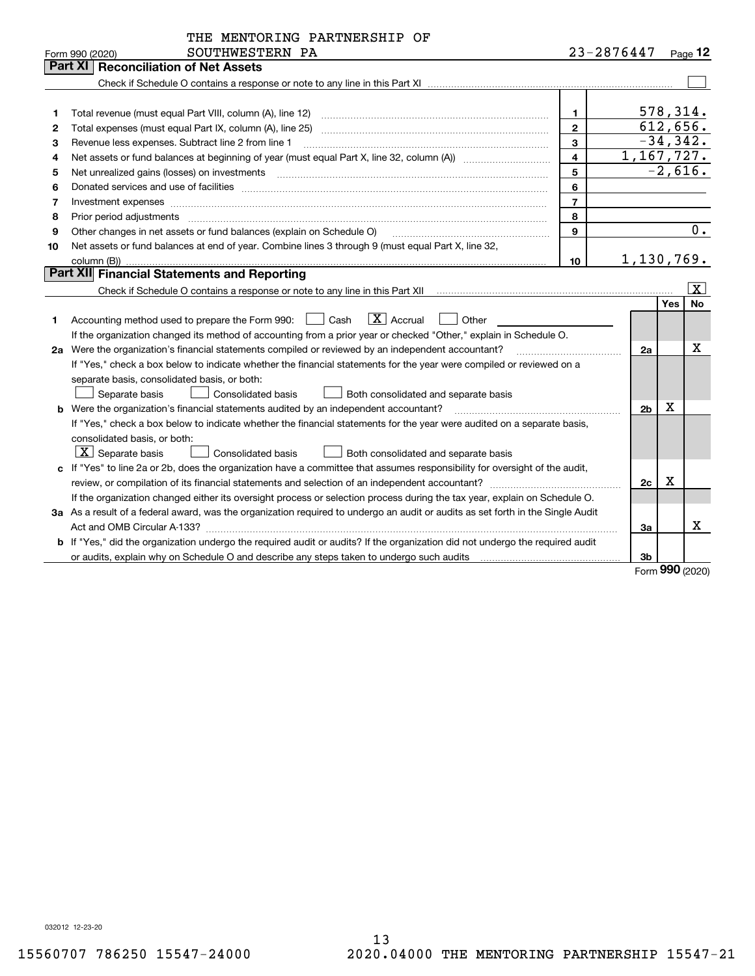|    | THE MENTORING PARTNERSHIP OF                                                                                                                                                                                                   |                         |                |    |     |            |
|----|--------------------------------------------------------------------------------------------------------------------------------------------------------------------------------------------------------------------------------|-------------------------|----------------|----|-----|------------|
|    | SOUTHWESTERN PA<br>Form 990 (2020)                                                                                                                                                                                             |                         | 23-2876447     |    |     | Page 12    |
|    | Part XI   Reconciliation of Net Assets                                                                                                                                                                                         |                         |                |    |     |            |
|    |                                                                                                                                                                                                                                |                         |                |    |     |            |
|    |                                                                                                                                                                                                                                |                         |                |    |     |            |
| 1  |                                                                                                                                                                                                                                | $\mathbf 1$             |                |    |     | 578,314.   |
| 2  |                                                                                                                                                                                                                                | $\overline{\mathbf{c}}$ |                |    |     | 612,656.   |
| 3  | Revenue less expenses. Subtract line 2 from line 1                                                                                                                                                                             | 3                       |                |    |     | $-34,342.$ |
| 4  |                                                                                                                                                                                                                                | $\overline{\mathbf{4}}$ | 1,167,727.     |    |     |            |
| 5  |                                                                                                                                                                                                                                | 5                       |                |    |     | $-2,616.$  |
| 6  | Donated services and use of facilities [111] matter contracts and the facilities in the matter of facilities [11] matter contracts and use of facilities [11] matter contracts and the service of the service of the service o | 6                       |                |    |     |            |
| 7  |                                                                                                                                                                                                                                | $\overline{7}$          |                |    |     |            |
| 8  | Prior period adjustments material contents and content of the content of the content of the content of the content of the content of the content of the content of the content of the content of the content of the content of | 8                       |                |    |     |            |
| 9  | Other changes in net assets or fund balances (explain on Schedule O)                                                                                                                                                           | 9                       |                |    |     | 0.         |
| 10 | Net assets or fund balances at end of year. Combine lines 3 through 9 (must equal Part X, line 32,                                                                                                                             |                         |                |    |     |            |
|    | column (B))                                                                                                                                                                                                                    | 10                      | 1,130,769.     |    |     |            |
|    | Part XII Financial Statements and Reporting                                                                                                                                                                                    |                         |                |    |     |            |
|    |                                                                                                                                                                                                                                |                         |                |    |     | ΙX.        |
|    |                                                                                                                                                                                                                                |                         |                |    | Yes | <b>No</b>  |
| 1  | $ X $ Accrual<br>Accounting method used to prepare the Form 990: <u>I</u> Cash<br>Other                                                                                                                                        |                         |                |    |     |            |
|    | If the organization changed its method of accounting from a prior year or checked "Other," explain in Schedule O.                                                                                                              |                         |                |    |     |            |
|    | 2a Were the organization's financial statements compiled or reviewed by an independent accountant?                                                                                                                             |                         |                | 2a |     | х          |
|    | If "Yes," check a box below to indicate whether the financial statements for the year were compiled or reviewed on a                                                                                                           |                         |                |    |     |            |
|    | separate basis, consolidated basis, or both:                                                                                                                                                                                   |                         |                |    |     |            |
|    | <b>Consolidated basis</b><br>Separate basis<br>Both consolidated and separate basis                                                                                                                                            |                         |                |    |     |            |
|    | <b>b</b> Were the organization's financial statements audited by an independent accountant?                                                                                                                                    |                         | 2 <sub>b</sub> |    | x   |            |
|    | If "Yes," check a box below to indicate whether the financial statements for the year were audited on a separate basis,                                                                                                        |                         |                |    |     |            |
|    | consolidated basis, or both:                                                                                                                                                                                                   |                         |                |    |     |            |
|    | $\boxed{\textbf{X}}$ Separate basis<br>Both consolidated and separate basis<br><b>Consolidated basis</b>                                                                                                                       |                         |                |    |     |            |
|    | c If "Yes" to line 2a or 2b, does the organization have a committee that assumes responsibility for oversight of the audit,                                                                                                    |                         |                |    |     |            |
|    |                                                                                                                                                                                                                                |                         |                | 2c | X   |            |
|    | If the organization changed either its oversight process or selection process during the tax year, explain on Schedule O.                                                                                                      |                         |                |    |     |            |
|    | 3a As a result of a federal award, was the organization required to undergo an audit or audits as set forth in the Single Audit                                                                                                |                         |                |    |     |            |
|    |                                                                                                                                                                                                                                |                         | За             |    |     | X.         |
|    | <b>b</b> If "Yes," did the organization undergo the required audit or audits? If the organization did not undergo the required audit                                                                                           |                         |                |    |     |            |
|    |                                                                                                                                                                                                                                |                         | 3b             |    |     |            |

Form (2020) **990**

032012 12-23-20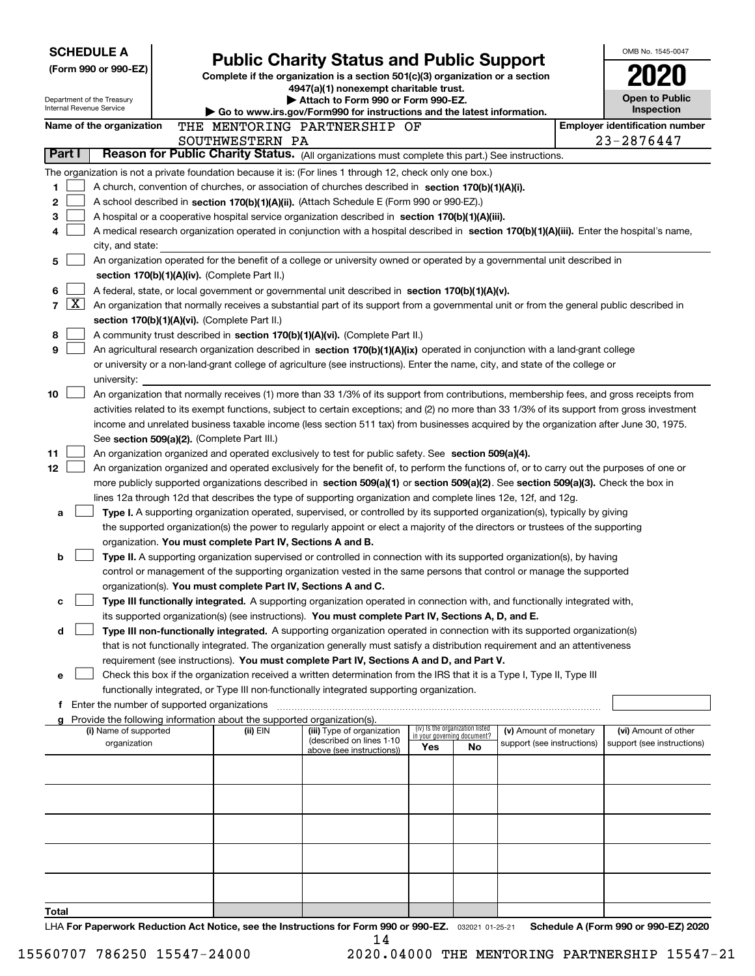|       |                     | <b>SCHEDULE A</b><br>(Form 990 or 990-EZ)<br>Department of the Treasury<br>Internal Revenue Service | <b>Public Charity Status and Public Support</b><br>Complete if the organization is a section 501(c)(3) organization or a section<br>4947(a)(1) nonexempt charitable trust.<br>Attach to Form 990 or Form 990-EZ. | OMB No. 1545-0047<br><b>Open to Public</b><br>Inspection                                                                                     |     |                                          |                            |                                       |
|-------|---------------------|-----------------------------------------------------------------------------------------------------|------------------------------------------------------------------------------------------------------------------------------------------------------------------------------------------------------------------|----------------------------------------------------------------------------------------------------------------------------------------------|-----|------------------------------------------|----------------------------|---------------------------------------|
|       |                     | Name of the organization                                                                            |                                                                                                                                                                                                                  | ▶ Go to www.irs.gov/Form990 for instructions and the latest information.<br>THE MENTORING PARTNERSHIP OF                                     |     |                                          |                            | <b>Employer identification number</b> |
|       |                     |                                                                                                     | SOUTHWESTERN PA                                                                                                                                                                                                  |                                                                                                                                              |     |                                          |                            | 23-2876447                            |
|       | Part I              |                                                                                                     |                                                                                                                                                                                                                  | Reason for Public Charity Status. (All organizations must complete this part.) See instructions.                                             |     |                                          |                            |                                       |
|       |                     |                                                                                                     |                                                                                                                                                                                                                  | The organization is not a private foundation because it is: (For lines 1 through 12, check only one box.)                                    |     |                                          |                            |                                       |
| 1     |                     |                                                                                                     |                                                                                                                                                                                                                  | A church, convention of churches, or association of churches described in section 170(b)(1)(A)(i).                                           |     |                                          |                            |                                       |
| 2     |                     |                                                                                                     |                                                                                                                                                                                                                  | A school described in section 170(b)(1)(A)(ii). (Attach Schedule E (Form 990 or 990-EZ).)                                                    |     |                                          |                            |                                       |
| 3     |                     |                                                                                                     |                                                                                                                                                                                                                  | A hospital or a cooperative hospital service organization described in section 170(b)(1)(A)(iii).                                            |     |                                          |                            |                                       |
| 4     |                     |                                                                                                     |                                                                                                                                                                                                                  | A medical research organization operated in conjunction with a hospital described in section 170(b)(1)(A)(iii). Enter the hospital's name,   |     |                                          |                            |                                       |
|       |                     | city, and state:                                                                                    |                                                                                                                                                                                                                  |                                                                                                                                              |     |                                          |                            |                                       |
| 5     |                     |                                                                                                     | section 170(b)(1)(A)(iv). (Complete Part II.)                                                                                                                                                                    | An organization operated for the benefit of a college or university owned or operated by a governmental unit described in                    |     |                                          |                            |                                       |
| 6     |                     |                                                                                                     |                                                                                                                                                                                                                  | A federal, state, or local government or governmental unit described in section 170(b)(1)(A)(v).                                             |     |                                          |                            |                                       |
| 7     | $\lfloor x \rfloor$ |                                                                                                     |                                                                                                                                                                                                                  | An organization that normally receives a substantial part of its support from a governmental unit or from the general public described in    |     |                                          |                            |                                       |
|       |                     |                                                                                                     | section 170(b)(1)(A)(vi). (Complete Part II.)                                                                                                                                                                    |                                                                                                                                              |     |                                          |                            |                                       |
| 8     |                     |                                                                                                     |                                                                                                                                                                                                                  | A community trust described in section 170(b)(1)(A)(vi). (Complete Part II.)                                                                 |     |                                          |                            |                                       |
| 9     |                     |                                                                                                     |                                                                                                                                                                                                                  | An agricultural research organization described in section 170(b)(1)(A)(ix) operated in conjunction with a land-grant college                |     |                                          |                            |                                       |
|       |                     |                                                                                                     |                                                                                                                                                                                                                  | or university or a non-land-grant college of agriculture (see instructions). Enter the name, city, and state of the college or               |     |                                          |                            |                                       |
|       |                     | university:                                                                                         |                                                                                                                                                                                                                  |                                                                                                                                              |     |                                          |                            |                                       |
| 10    |                     |                                                                                                     |                                                                                                                                                                                                                  | An organization that normally receives (1) more than 33 1/3% of its support from contributions, membership fees, and gross receipts from     |     |                                          |                            |                                       |
|       |                     |                                                                                                     |                                                                                                                                                                                                                  | activities related to its exempt functions, subject to certain exceptions; and (2) no more than 33 1/3% of its support from gross investment |     |                                          |                            |                                       |
|       |                     |                                                                                                     | See section 509(a)(2). (Complete Part III.)                                                                                                                                                                      | income and unrelated business taxable income (less section 511 tax) from businesses acquired by the organization after June 30, 1975.        |     |                                          |                            |                                       |
| 11    |                     |                                                                                                     |                                                                                                                                                                                                                  | An organization organized and operated exclusively to test for public safety. See section 509(a)(4).                                         |     |                                          |                            |                                       |
| 12    |                     |                                                                                                     |                                                                                                                                                                                                                  | An organization organized and operated exclusively for the benefit of, to perform the functions of, or to carry out the purposes of one or   |     |                                          |                            |                                       |
|       |                     |                                                                                                     |                                                                                                                                                                                                                  | more publicly supported organizations described in section 509(a)(1) or section 509(a)(2). See section 509(a)(3). Check the box in           |     |                                          |                            |                                       |
|       |                     |                                                                                                     |                                                                                                                                                                                                                  | lines 12a through 12d that describes the type of supporting organization and complete lines 12e, 12f, and 12g.                               |     |                                          |                            |                                       |
| a     |                     |                                                                                                     |                                                                                                                                                                                                                  | Type I. A supporting organization operated, supervised, or controlled by its supported organization(s), typically by giving                  |     |                                          |                            |                                       |
|       |                     |                                                                                                     |                                                                                                                                                                                                                  | the supported organization(s) the power to regularly appoint or elect a majority of the directors or trustees of the supporting              |     |                                          |                            |                                       |
|       |                     |                                                                                                     | organization. You must complete Part IV, Sections A and B.                                                                                                                                                       |                                                                                                                                              |     |                                          |                            |                                       |
| b     |                     |                                                                                                     |                                                                                                                                                                                                                  | Type II. A supporting organization supervised or controlled in connection with its supported organization(s), by having                      |     |                                          |                            |                                       |
|       |                     |                                                                                                     | organization(s). You must complete Part IV, Sections A and C.                                                                                                                                                    | control or management of the supporting organization vested in the same persons that control or manage the supported                         |     |                                          |                            |                                       |
| c     |                     |                                                                                                     |                                                                                                                                                                                                                  | Type III functionally integrated. A supporting organization operated in connection with, and functionally integrated with,                   |     |                                          |                            |                                       |
|       |                     |                                                                                                     |                                                                                                                                                                                                                  | its supported organization(s) (see instructions). You must complete Part IV, Sections A, D, and E.                                           |     |                                          |                            |                                       |
| d     |                     |                                                                                                     |                                                                                                                                                                                                                  | Type III non-functionally integrated. A supporting organization operated in connection with its supported organization(s)                    |     |                                          |                            |                                       |
|       |                     |                                                                                                     |                                                                                                                                                                                                                  | that is not functionally integrated. The organization generally must satisfy a distribution requirement and an attentiveness                 |     |                                          |                            |                                       |
|       |                     |                                                                                                     |                                                                                                                                                                                                                  | requirement (see instructions). You must complete Part IV, Sections A and D, and Part V.                                                     |     |                                          |                            |                                       |
| е     |                     |                                                                                                     |                                                                                                                                                                                                                  | Check this box if the organization received a written determination from the IRS that it is a Type I, Type II, Type III                      |     |                                          |                            |                                       |
|       |                     |                                                                                                     |                                                                                                                                                                                                                  | functionally integrated, or Type III non-functionally integrated supporting organization.                                                    |     |                                          |                            |                                       |
|       |                     |                                                                                                     | <b>f</b> Enter the number of supported organizations                                                                                                                                                             |                                                                                                                                              |     |                                          |                            |                                       |
|       |                     | (i) Name of supported                                                                               | g Provide the following information about the supported organization(s).<br>(ii) EIN                                                                                                                             | (iii) Type of organization                                                                                                                   |     | (iv) Is the organization listed          | (v) Amount of monetary     | (vi) Amount of other                  |
|       |                     | organization                                                                                        |                                                                                                                                                                                                                  | (described on lines 1-10<br>above (see instructions))                                                                                        | Yes | in your governing document?<br><b>No</b> | support (see instructions) | support (see instructions)            |
|       |                     |                                                                                                     |                                                                                                                                                                                                                  |                                                                                                                                              |     |                                          |                            |                                       |
|       |                     |                                                                                                     |                                                                                                                                                                                                                  |                                                                                                                                              |     |                                          |                            |                                       |
|       |                     |                                                                                                     |                                                                                                                                                                                                                  |                                                                                                                                              |     |                                          |                            |                                       |
|       |                     |                                                                                                     |                                                                                                                                                                                                                  |                                                                                                                                              |     |                                          |                            |                                       |
|       |                     |                                                                                                     |                                                                                                                                                                                                                  |                                                                                                                                              |     |                                          |                            |                                       |
|       |                     |                                                                                                     |                                                                                                                                                                                                                  |                                                                                                                                              |     |                                          |                            |                                       |
|       |                     |                                                                                                     |                                                                                                                                                                                                                  |                                                                                                                                              |     |                                          |                            |                                       |
|       |                     |                                                                                                     |                                                                                                                                                                                                                  |                                                                                                                                              |     |                                          |                            |                                       |
|       |                     |                                                                                                     |                                                                                                                                                                                                                  |                                                                                                                                              |     |                                          |                            |                                       |
| Total |                     |                                                                                                     |                                                                                                                                                                                                                  |                                                                                                                                              |     |                                          |                            |                                       |
|       |                     |                                                                                                     |                                                                                                                                                                                                                  | U. Ear Reparatively Reduction Act Notice, see the Instructions for Ferm 000 or 000-F7 200001.01.05.01 Schoolule A (Ferm 000 or 000-F7) 2020  |     |                                          |                            |                                       |

032021 01-25-21 **For Paperwork Reduction Act Notice, see the Instructions for Form 990 or 990-EZ. Schedule A (Form 990 or 990-EZ) 2020 LHA For Paperwork Reduction Act Notion** the Instructions for Form 990<br> $14$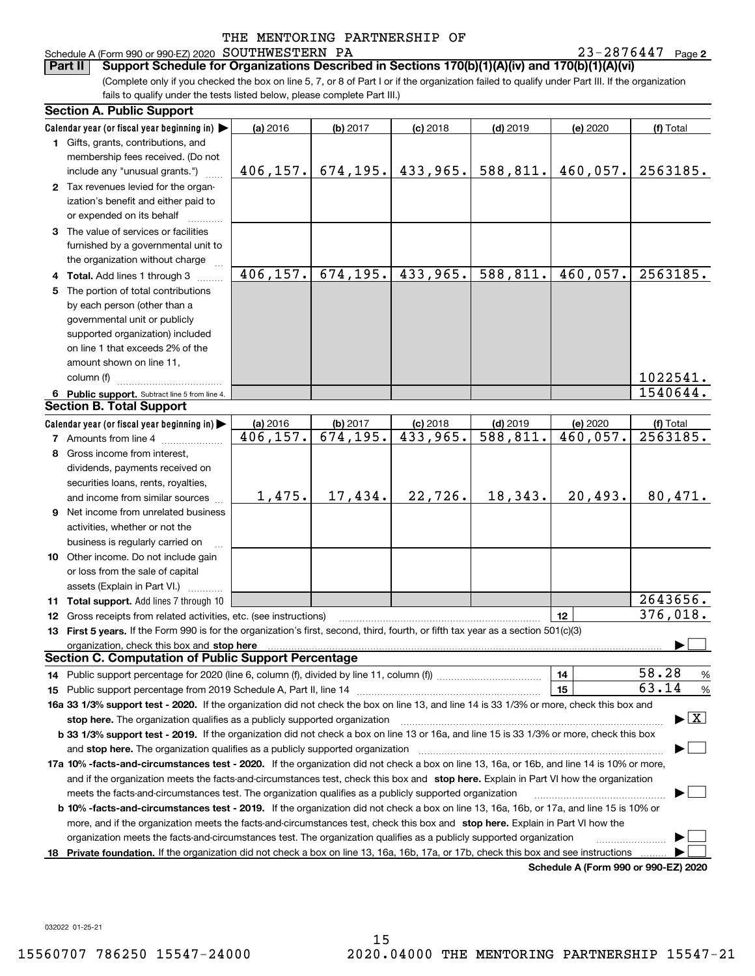#### Schedule A (Form 990 or 990-EZ) 2020 Page SOUTHWESTERN PA 23-2876447

23-2876447 Page 2

(Complete only if you checked the box on line 5, 7, or 8 of Part I or if the organization failed to qualify under Part III. If the organization fails to qualify under the tests listed below, please complete Part III.) **Part II Support Schedule for Organizations Described in Sections 170(b)(1)(A)(iv) and 170(b)(1)(A)(vi)**

|    | <b>Section A. Public Support</b>                                                                                                                                                                                               |           |           |            |                         |                                      |                                          |
|----|--------------------------------------------------------------------------------------------------------------------------------------------------------------------------------------------------------------------------------|-----------|-----------|------------|-------------------------|--------------------------------------|------------------------------------------|
|    | Calendar year (or fiscal year beginning in)                                                                                                                                                                                    | (a) 2016  | (b) 2017  | $(c)$ 2018 | $(d)$ 2019              | (e) 2020                             | (f) Total                                |
|    | 1 Gifts, grants, contributions, and                                                                                                                                                                                            |           |           |            |                         |                                      |                                          |
|    | membership fees received. (Do not                                                                                                                                                                                              |           |           |            |                         |                                      |                                          |
|    | include any "unusual grants.")                                                                                                                                                                                                 | 406, 157. | 674, 195. | 433,965.   | 588, 811.               | 460,057.                             | 2563185.                                 |
|    | 2 Tax revenues levied for the organ-                                                                                                                                                                                           |           |           |            |                         |                                      |                                          |
|    | ization's benefit and either paid to                                                                                                                                                                                           |           |           |            |                         |                                      |                                          |
|    | or expended on its behalf                                                                                                                                                                                                      |           |           |            |                         |                                      |                                          |
|    | 3 The value of services or facilities                                                                                                                                                                                          |           |           |            |                         |                                      |                                          |
|    | furnished by a governmental unit to                                                                                                                                                                                            |           |           |            |                         |                                      |                                          |
|    | the organization without charge                                                                                                                                                                                                |           |           |            |                         |                                      |                                          |
|    | 4 Total. Add lines 1 through 3                                                                                                                                                                                                 | 406, 157. | 674, 195. | 433,965.   | 588, 811.               | 460,057.                             | 2563185.                                 |
| 5. | The portion of total contributions                                                                                                                                                                                             |           |           |            |                         |                                      |                                          |
|    | by each person (other than a                                                                                                                                                                                                   |           |           |            |                         |                                      |                                          |
|    | governmental unit or publicly                                                                                                                                                                                                  |           |           |            |                         |                                      |                                          |
|    | supported organization) included                                                                                                                                                                                               |           |           |            |                         |                                      |                                          |
|    | on line 1 that exceeds 2% of the                                                                                                                                                                                               |           |           |            |                         |                                      |                                          |
|    | amount shown on line 11,                                                                                                                                                                                                       |           |           |            |                         |                                      |                                          |
|    | column (f)                                                                                                                                                                                                                     |           |           |            |                         |                                      | 1022541.                                 |
|    | 6 Public support. Subtract line 5 from line 4.                                                                                                                                                                                 |           |           |            |                         |                                      | 1540644.                                 |
|    | <b>Section B. Total Support</b>                                                                                                                                                                                                |           |           |            |                         |                                      |                                          |
|    | Calendar year (or fiscal year beginning in)                                                                                                                                                                                    | (a) 2016  | (b) 2017  | $(c)$ 2018 | $(d)$ 2019              | (e) 2020                             | (f) Total                                |
|    | <b>7</b> Amounts from line 4                                                                                                                                                                                                   | 406,157.  | 674, 195. | 433,965.   | $\overline{588, 811}$ . | 460,057.                             | 2563185.                                 |
|    | 8 Gross income from interest,                                                                                                                                                                                                  |           |           |            |                         |                                      |                                          |
|    | dividends, payments received on                                                                                                                                                                                                |           |           |            |                         |                                      |                                          |
|    | securities loans, rents, royalties,                                                                                                                                                                                            |           |           |            |                         |                                      |                                          |
|    | and income from similar sources                                                                                                                                                                                                | 1,475.    | 17,434.   | 22,726.    | 18,343.                 | 20,493.                              | 80,471.                                  |
|    | 9 Net income from unrelated business                                                                                                                                                                                           |           |           |            |                         |                                      |                                          |
|    | activities, whether or not the                                                                                                                                                                                                 |           |           |            |                         |                                      |                                          |
|    | business is regularly carried on                                                                                                                                                                                               |           |           |            |                         |                                      |                                          |
|    | 10 Other income. Do not include gain                                                                                                                                                                                           |           |           |            |                         |                                      |                                          |
|    | or loss from the sale of capital                                                                                                                                                                                               |           |           |            |                         |                                      |                                          |
|    | assets (Explain in Part VI.)                                                                                                                                                                                                   |           |           |            |                         |                                      |                                          |
|    | 11 Total support. Add lines 7 through 10                                                                                                                                                                                       |           |           |            |                         |                                      | 2643656.                                 |
|    | 12 Gross receipts from related activities, etc. (see instructions)                                                                                                                                                             |           |           |            |                         | 12                                   | 376,018.                                 |
|    | 13 First 5 years. If the Form 990 is for the organization's first, second, third, fourth, or fifth tax year as a section 501(c)(3)                                                                                             |           |           |            |                         |                                      |                                          |
|    | organization, check this box and stop here manufactured and content to the state of the state of the state of the state of the state of the state of the state of the state of the state of the state of the state of the stat |           |           |            |                         |                                      |                                          |
|    | <b>Section C. Computation of Public Support Percentage</b>                                                                                                                                                                     |           |           |            |                         |                                      |                                          |
|    |                                                                                                                                                                                                                                |           |           |            |                         | 14                                   | 58.28<br>%                               |
|    |                                                                                                                                                                                                                                |           |           |            |                         | 15                                   | 63.14<br>%                               |
|    | 16a 33 1/3% support test - 2020. If the organization did not check the box on line 13, and line 14 is 33 1/3% or more, check this box and                                                                                      |           |           |            |                         |                                      |                                          |
|    | stop here. The organization qualifies as a publicly supported organization                                                                                                                                                     |           |           |            |                         |                                      | $\blacktriangleright$ $\boxed{\text{X}}$ |
|    | b 33 1/3% support test - 2019. If the organization did not check a box on line 13 or 16a, and line 15 is 33 1/3% or more, check this box                                                                                       |           |           |            |                         |                                      |                                          |
|    | and stop here. The organization qualifies as a publicly supported organization                                                                                                                                                 |           |           |            |                         |                                      |                                          |
|    | 17a 10% -facts-and-circumstances test - 2020. If the organization did not check a box on line 13, 16a, or 16b, and line 14 is 10% or more,                                                                                     |           |           |            |                         |                                      |                                          |
|    | and if the organization meets the facts-and-circumstances test, check this box and stop here. Explain in Part VI how the organization                                                                                          |           |           |            |                         |                                      |                                          |
|    | meets the facts-and-circumstances test. The organization qualifies as a publicly supported organization                                                                                                                        |           |           |            |                         |                                      |                                          |
|    | <b>b 10% -facts-and-circumstances test - 2019.</b> If the organization did not check a box on line 13, 16a, 16b, or 17a, and line 15 is 10% or                                                                                 |           |           |            |                         |                                      |                                          |
|    | more, and if the organization meets the facts-and-circumstances test, check this box and stop here. Explain in Part VI how the                                                                                                 |           |           |            |                         |                                      |                                          |
|    | organization meets the facts-and-circumstances test. The organization qualifies as a publicly supported organization                                                                                                           |           |           |            |                         |                                      |                                          |
|    | 18 Private foundation. If the organization did not check a box on line 13, 16a, 16b, 17a, or 17b, check this box and see instructions                                                                                          |           |           |            |                         |                                      |                                          |
|    |                                                                                                                                                                                                                                |           |           |            |                         | Schedule A (Form 990 or 990-F7) 2020 |                                          |

**Schedule A (Form 990 or 990-EZ) 2020**

032022 01-25-21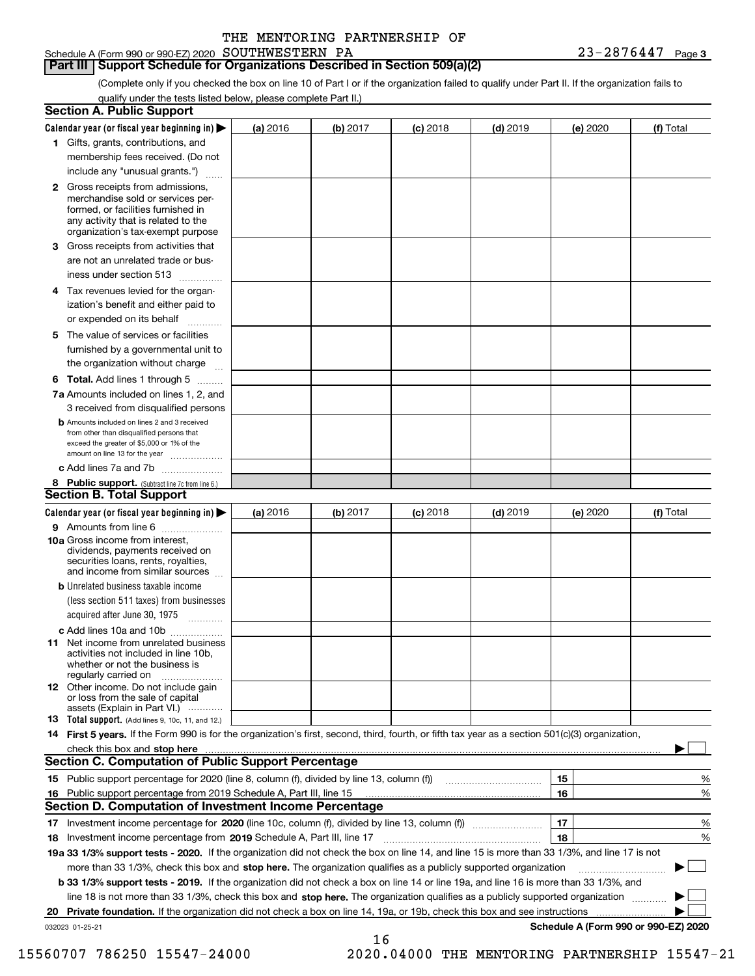### **Part III Support Schedule for Organizations Described in Section 509(a)(2)**

(Complete only if you checked the box on line 10 of Part I or if the organization failed to qualify under Part II. If the organization fails to qualify under the tests listed below, please complete Part II.)

|    | <b>Section A. Public Support</b>                                                                                                                                                                |          |          |            |            |          |                                      |
|----|-------------------------------------------------------------------------------------------------------------------------------------------------------------------------------------------------|----------|----------|------------|------------|----------|--------------------------------------|
|    | Calendar year (or fiscal year beginning in) $\blacktriangleright$                                                                                                                               | (a) 2016 | (b) 2017 | $(c)$ 2018 | $(d)$ 2019 | (e) 2020 | (f) Total                            |
|    | 1 Gifts, grants, contributions, and                                                                                                                                                             |          |          |            |            |          |                                      |
|    | membership fees received. (Do not                                                                                                                                                               |          |          |            |            |          |                                      |
|    | include any "unusual grants.")                                                                                                                                                                  |          |          |            |            |          |                                      |
|    | <b>2</b> Gross receipts from admissions,<br>merchandise sold or services per-<br>formed, or facilities furnished in<br>any activity that is related to the<br>organization's tax-exempt purpose |          |          |            |            |          |                                      |
|    | 3 Gross receipts from activities that<br>are not an unrelated trade or bus-                                                                                                                     |          |          |            |            |          |                                      |
|    | iness under section 513                                                                                                                                                                         |          |          |            |            |          |                                      |
|    | 4 Tax revenues levied for the organ-<br>ization's benefit and either paid to                                                                                                                    |          |          |            |            |          |                                      |
|    | or expended on its behalf<br>.                                                                                                                                                                  |          |          |            |            |          |                                      |
|    | 5 The value of services or facilities<br>furnished by a governmental unit to<br>the organization without charge                                                                                 |          |          |            |            |          |                                      |
|    |                                                                                                                                                                                                 |          |          |            |            |          |                                      |
|    | <b>6 Total.</b> Add lines 1 through 5<br>7a Amounts included on lines 1, 2, and<br>3 received from disqualified persons                                                                         |          |          |            |            |          |                                      |
|    | <b>b</b> Amounts included on lines 2 and 3 received<br>from other than disqualified persons that<br>exceed the greater of \$5,000 or 1% of the<br>amount on line 13 for the year                |          |          |            |            |          |                                      |
|    | c Add lines 7a and 7b                                                                                                                                                                           |          |          |            |            |          |                                      |
|    | 8 Public support. (Subtract line 7c from line 6.)                                                                                                                                               |          |          |            |            |          |                                      |
|    | <b>Section B. Total Support</b>                                                                                                                                                                 |          |          |            |            |          |                                      |
|    | Calendar year (or fiscal year beginning in)                                                                                                                                                     | (a) 2016 | (b) 2017 | $(c)$ 2018 | $(d)$ 2019 | (e) 2020 | (f) Total                            |
|    | 9 Amounts from line 6<br>10a Gross income from interest,                                                                                                                                        |          |          |            |            |          |                                      |
|    | dividends, payments received on<br>securities loans, rents, royalties,<br>and income from similar sources                                                                                       |          |          |            |            |          |                                      |
|    | <b>b</b> Unrelated business taxable income<br>(less section 511 taxes) from businesses<br>acquired after June 30, 1975                                                                          |          |          |            |            |          |                                      |
|    | c Add lines 10a and 10b                                                                                                                                                                         |          |          |            |            |          |                                      |
|    | 11 Net income from unrelated business<br>activities not included in line 10b,<br>whether or not the business is<br>regularly carried on                                                         |          |          |            |            |          |                                      |
|    | <b>12</b> Other income. Do not include gain<br>or loss from the sale of capital<br>assets (Explain in Part VI.)                                                                                 |          |          |            |            |          |                                      |
|    | <b>13</b> Total support. (Add lines 9, 10c, 11, and 12.)                                                                                                                                        |          |          |            |            |          |                                      |
|    | 14 First 5 years. If the Form 990 is for the organization's first, second, third, fourth, or fifth tax year as a section 501(c)(3) organization,                                                |          |          |            |            |          |                                      |
|    | check this box and stop here measurements are constructed as the state of the state of the state of the state o                                                                                 |          |          |            |            |          |                                      |
|    | Section C. Computation of Public Support Percentage                                                                                                                                             |          |          |            |            |          |                                      |
|    |                                                                                                                                                                                                 |          |          |            |            | 15       | %                                    |
|    | 16 Public support percentage from 2019 Schedule A, Part III, line 15                                                                                                                            |          |          |            |            | 16       | %                                    |
|    | <b>Section D. Computation of Investment Income Percentage</b>                                                                                                                                   |          |          |            |            |          |                                      |
|    | 17 Investment income percentage for 2020 (line 10c, column (f), divided by line 13, column (f))<br>18 Investment income percentage from 2019 Schedule A, Part III, line 17                      |          |          |            |            | 17<br>18 | %<br>%                               |
|    | 19a 33 1/3% support tests - 2020. If the organization did not check the box on line 14, and line 15 is more than 33 1/3%, and line 17 is not                                                    |          |          |            |            |          |                                      |
|    | more than 33 1/3%, check this box and stop here. The organization qualifies as a publicly supported organization                                                                                |          |          |            |            |          | $\sim$                               |
|    | b 33 1/3% support tests - 2019. If the organization did not check a box on line 14 or line 19a, and line 16 is more than 33 1/3%, and                                                           |          |          |            |            |          |                                      |
|    | line 18 is not more than 33 1/3%, check this box and stop here. The organization qualifies as a publicly supported organization                                                                 |          |          |            |            |          |                                      |
| 20 | <b>Private foundation.</b> If the organization did not check a box on line 14, 19a, or 19b, check this box and see instructions                                                                 |          |          |            |            |          |                                      |
|    | 032023 01-25-21                                                                                                                                                                                 |          |          |            |            |          | Schedule A (Form 990 or 990-EZ) 2020 |
|    |                                                                                                                                                                                                 |          | 16       |            |            |          |                                      |

15560707 786250 15547-24000 2020.04000 THE MENTORING PARTNERSHIP 15547-21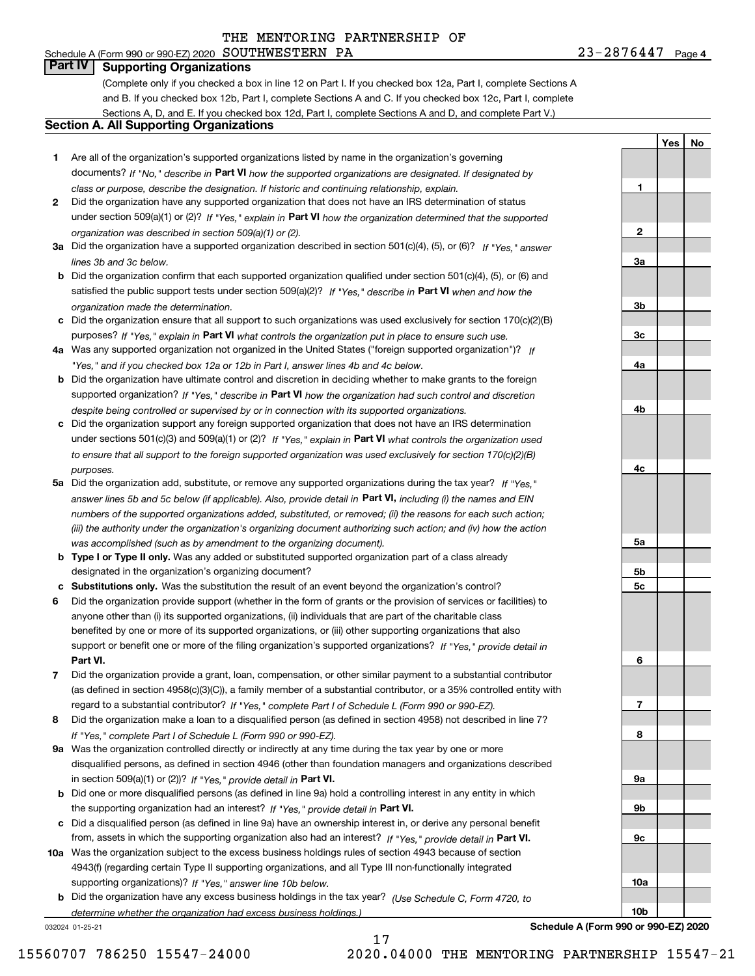## Schedule A (Form 990 or 990-EZ) 2020 Page SOUTHWESTERN PA 23-2876447

**1**

**2**

**3a**

**3b**

**3c**

**4a**

**4b**

**4c**

**5a**

**5b5c**

**6**

**7**

**8**

**9a**

**9b**

**9c**

**10a**

**10b**

**YesNo**

## **Part IV Supporting Organizations**

(Complete only if you checked a box in line 12 on Part I. If you checked box 12a, Part I, complete Sections A and B. If you checked box 12b, Part I, complete Sections A and C. If you checked box 12c, Part I, complete Sections A, D, and E. If you checked box 12d, Part I, complete Sections A and D, and complete Part V.)

#### **Section A. All Supporting Organizations**

- **1** Are all of the organization's supported organizations listed by name in the organization's governing documents? If "No," describe in **Part VI** how the supported organizations are designated. If designated by *class or purpose, describe the designation. If historic and continuing relationship, explain.*
- **2** Did the organization have any supported organization that does not have an IRS determination of status under section 509(a)(1) or (2)? If "Yes," explain in Part VI how the organization determined that the supported *organization was described in section 509(a)(1) or (2).*
- **3a** Did the organization have a supported organization described in section 501(c)(4), (5), or (6)? If "Yes," answer *lines 3b and 3c below.*
- **b** Did the organization confirm that each supported organization qualified under section 501(c)(4), (5), or (6) and satisfied the public support tests under section 509(a)(2)? If "Yes," describe in **Part VI** when and how the *organization made the determination.*
- **c**Did the organization ensure that all support to such organizations was used exclusively for section 170(c)(2)(B) purposes? If "Yes," explain in **Part VI** what controls the organization put in place to ensure such use.
- **4a***If* Was any supported organization not organized in the United States ("foreign supported organization")? *"Yes," and if you checked box 12a or 12b in Part I, answer lines 4b and 4c below.*
- **b** Did the organization have ultimate control and discretion in deciding whether to make grants to the foreign supported organization? If "Yes," describe in **Part VI** how the organization had such control and discretion *despite being controlled or supervised by or in connection with its supported organizations.*
- **c** Did the organization support any foreign supported organization that does not have an IRS determination under sections 501(c)(3) and 509(a)(1) or (2)? If "Yes," explain in **Part VI** what controls the organization used *to ensure that all support to the foreign supported organization was used exclusively for section 170(c)(2)(B) purposes.*
- **5a** Did the organization add, substitute, or remove any supported organizations during the tax year? If "Yes," answer lines 5b and 5c below (if applicable). Also, provide detail in **Part VI,** including (i) the names and EIN *numbers of the supported organizations added, substituted, or removed; (ii) the reasons for each such action; (iii) the authority under the organization's organizing document authorizing such action; and (iv) how the action was accomplished (such as by amendment to the organizing document).*
- **b** Type I or Type II only. Was any added or substituted supported organization part of a class already designated in the organization's organizing document?
- **cSubstitutions only.**  Was the substitution the result of an event beyond the organization's control?
- **6** Did the organization provide support (whether in the form of grants or the provision of services or facilities) to **Part VI.** *If "Yes," provide detail in* support or benefit one or more of the filing organization's supported organizations? anyone other than (i) its supported organizations, (ii) individuals that are part of the charitable class benefited by one or more of its supported organizations, or (iii) other supporting organizations that also
- **7**Did the organization provide a grant, loan, compensation, or other similar payment to a substantial contributor *If "Yes," complete Part I of Schedule L (Form 990 or 990-EZ).* regard to a substantial contributor? (as defined in section 4958(c)(3)(C)), a family member of a substantial contributor, or a 35% controlled entity with
- **8** Did the organization make a loan to a disqualified person (as defined in section 4958) not described in line 7? *If "Yes," complete Part I of Schedule L (Form 990 or 990-EZ).*
- **9a** Was the organization controlled directly or indirectly at any time during the tax year by one or more in section 509(a)(1) or (2))? If "Yes," *provide detail in* <code>Part VI.</code> disqualified persons, as defined in section 4946 (other than foundation managers and organizations described
- **b**the supporting organization had an interest? If "Yes," provide detail in P**art VI**. Did one or more disqualified persons (as defined in line 9a) hold a controlling interest in any entity in which
- **c**Did a disqualified person (as defined in line 9a) have an ownership interest in, or derive any personal benefit from, assets in which the supporting organization also had an interest? If "Yes," provide detail in P**art VI.**
- **10a** Was the organization subject to the excess business holdings rules of section 4943 because of section supporting organizations)? If "Yes," answer line 10b below. 4943(f) (regarding certain Type II supporting organizations, and all Type III non-functionally integrated
- **b** Did the organization have any excess business holdings in the tax year? (Use Schedule C, Form 4720, to *determine whether the organization had excess business holdings.)*

17

032024 01-25-21

**Schedule A (Form 990 or 990-EZ) 2020**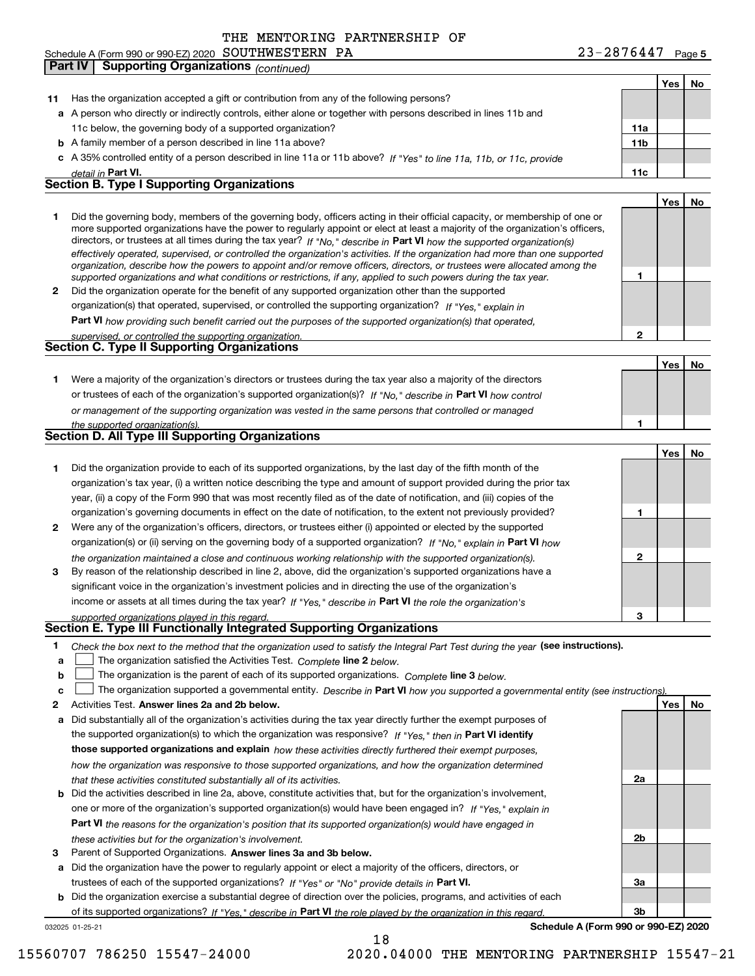|  |  |  | 23-2876447 | Page 5 |
|--|--|--|------------|--------|
|--|--|--|------------|--------|

|              | <b>Part IV</b> | <b>Supporting Organizations (continued)</b>                                                                                                                                                                                                               |                 |     |    |
|--------------|----------------|-----------------------------------------------------------------------------------------------------------------------------------------------------------------------------------------------------------------------------------------------------------|-----------------|-----|----|
|              |                |                                                                                                                                                                                                                                                           |                 | Yes | No |
| 11           |                | Has the organization accepted a gift or contribution from any of the following persons?                                                                                                                                                                   |                 |     |    |
|              |                | a A person who directly or indirectly controls, either alone or together with persons described in lines 11b and                                                                                                                                          |                 |     |    |
|              |                | 11c below, the governing body of a supported organization?                                                                                                                                                                                                | 11a             |     |    |
|              |                | <b>b</b> A family member of a person described in line 11a above?                                                                                                                                                                                         | 11 <sub>b</sub> |     |    |
|              |                | c A 35% controlled entity of a person described in line 11a or 11b above? If "Yes" to line 11a, 11b, or 11c, provide                                                                                                                                      |                 |     |    |
|              |                | detail in Part VI.                                                                                                                                                                                                                                        | 11c             |     |    |
|              |                | <b>Section B. Type I Supporting Organizations</b>                                                                                                                                                                                                         |                 |     |    |
|              |                |                                                                                                                                                                                                                                                           |                 | Yes | No |
| 1            |                | Did the governing body, members of the governing body, officers acting in their official capacity, or membership of one or                                                                                                                                |                 |     |    |
|              |                | more supported organizations have the power to regularly appoint or elect at least a majority of the organization's officers,                                                                                                                             |                 |     |    |
|              |                | directors, or trustees at all times during the tax year? If "No," describe in Part VI how the supported organization(s)<br>effectively operated, supervised, or controlled the organization's activities. If the organization had more than one supported |                 |     |    |
|              |                | organization, describe how the powers to appoint and/or remove officers, directors, or trustees were allocated among the                                                                                                                                  |                 |     |    |
|              |                | supported organizations and what conditions or restrictions, if any, applied to such powers during the tax year.                                                                                                                                          | 1               |     |    |
| $\mathbf{2}$ |                | Did the organization operate for the benefit of any supported organization other than the supported                                                                                                                                                       |                 |     |    |
|              |                | organization(s) that operated, supervised, or controlled the supporting organization? If "Yes," explain in                                                                                                                                                |                 |     |    |
|              |                | Part VI how providing such benefit carried out the purposes of the supported organization(s) that operated,                                                                                                                                               |                 |     |    |
|              |                | supervised, or controlled the supporting organization.                                                                                                                                                                                                    | $\overline{2}$  |     |    |
|              |                | Section C. Type II Supporting Organizations                                                                                                                                                                                                               |                 |     |    |
|              |                |                                                                                                                                                                                                                                                           |                 | Yes | No |
| 1.           |                | Were a majority of the organization's directors or trustees during the tax year also a majority of the directors                                                                                                                                          |                 |     |    |
|              |                | or trustees of each of the organization's supported organization(s)? If "No," describe in Part VI how control                                                                                                                                             |                 |     |    |
|              |                | or management of the supporting organization was vested in the same persons that controlled or managed                                                                                                                                                    |                 |     |    |
|              |                | the supported organization(s).                                                                                                                                                                                                                            | 1               |     |    |
|              |                | <b>Section D. All Type III Supporting Organizations</b>                                                                                                                                                                                                   |                 |     |    |
|              |                |                                                                                                                                                                                                                                                           |                 | Yes | No |
| 1            |                | Did the organization provide to each of its supported organizations, by the last day of the fifth month of the                                                                                                                                            |                 |     |    |
|              |                | organization's tax year, (i) a written notice describing the type and amount of support provided during the prior tax                                                                                                                                     |                 |     |    |
|              |                | year, (ii) a copy of the Form 990 that was most recently filed as of the date of notification, and (iii) copies of the                                                                                                                                    |                 |     |    |
|              |                | organization's governing documents in effect on the date of notification, to the extent not previously provided?                                                                                                                                          | 1               |     |    |
| $\mathbf{2}$ |                | Were any of the organization's officers, directors, or trustees either (i) appointed or elected by the supported                                                                                                                                          |                 |     |    |
|              |                | organization(s) or (ii) serving on the governing body of a supported organization? If "No," explain in Part VI how                                                                                                                                        |                 |     |    |
|              |                | the organization maintained a close and continuous working relationship with the supported organization(s).                                                                                                                                               | 2               |     |    |
| 3            |                | By reason of the relationship described in line 2, above, did the organization's supported organizations have a                                                                                                                                           |                 |     |    |
|              |                | significant voice in the organization's investment policies and in directing the use of the organization's                                                                                                                                                |                 |     |    |
|              |                | income or assets at all times during the tax year? If "Yes," describe in Part VI the role the organization's                                                                                                                                              |                 |     |    |
|              |                | supported organizations played in this regard.<br>Section E. Type III Functionally Integrated Supporting Organizations                                                                                                                                    |                 |     |    |
|              |                |                                                                                                                                                                                                                                                           |                 |     |    |
| 1<br>a       |                | Check the box next to the method that the organization used to satisfy the Integral Part Test during the year (see instructions).                                                                                                                         |                 |     |    |
| b            |                | The organization satisfied the Activities Test. Complete line 2 below.<br>The organization is the parent of each of its supported organizations. Complete line 3 below.                                                                                   |                 |     |    |
| c            |                | The organization supported a governmental entity. Describe in Part VI how you supported a governmental entity (see instructions)                                                                                                                          |                 |     |    |
| 2            |                | Activities Test. Answer lines 2a and 2b below.                                                                                                                                                                                                            |                 | Yes | No |
| а            |                | Did substantially all of the organization's activities during the tax year directly further the exempt purposes of                                                                                                                                        |                 |     |    |
|              |                | the supported organization(s) to which the organization was responsive? If "Yes," then in Part VI identify                                                                                                                                                |                 |     |    |
|              |                | those supported organizations and explain how these activities directly furthered their exempt purposes,                                                                                                                                                  |                 |     |    |
|              |                | how the organization was responsive to those supported organizations, and how the organization determined                                                                                                                                                 |                 |     |    |
|              |                | that these activities constituted substantially all of its activities.                                                                                                                                                                                    | 2a              |     |    |
|              |                | <b>b</b> Did the activities described in line 2a, above, constitute activities that, but for the organization's involvement,                                                                                                                              |                 |     |    |
|              |                | one or more of the organization's supported organization(s) would have been engaged in? If "Yes," explain in                                                                                                                                              |                 |     |    |
|              |                | <b>Part VI</b> the reasons for the organization's position that its supported organization(s) would have engaged in                                                                                                                                       |                 |     |    |
|              |                | these activities but for the organization's involvement.                                                                                                                                                                                                  | 2b              |     |    |
| 3            |                | Parent of Supported Organizations. Answer lines 3a and 3b below.                                                                                                                                                                                          |                 |     |    |
| a            |                | Did the organization have the power to regularly appoint or elect a majority of the officers, directors, or                                                                                                                                               |                 |     |    |
|              |                | trustees of each of the supported organizations? If "Yes" or "No" provide details in Part VI.                                                                                                                                                             | За              |     |    |
|              |                | h Did the organization exercise a substantial degree of direction over the policies programs, and activities of each                                                                                                                                      |                 |     |    |

**b** Did the organization exercise a substantial degree of direction over the policies, programs, and activities of each of its supported organizations? If "Yes," describe in Part VI the role played by the organization in this regard.

18

032025 01-25-21

**Schedule A (Form 990 or 990-EZ) 2020**

**3b**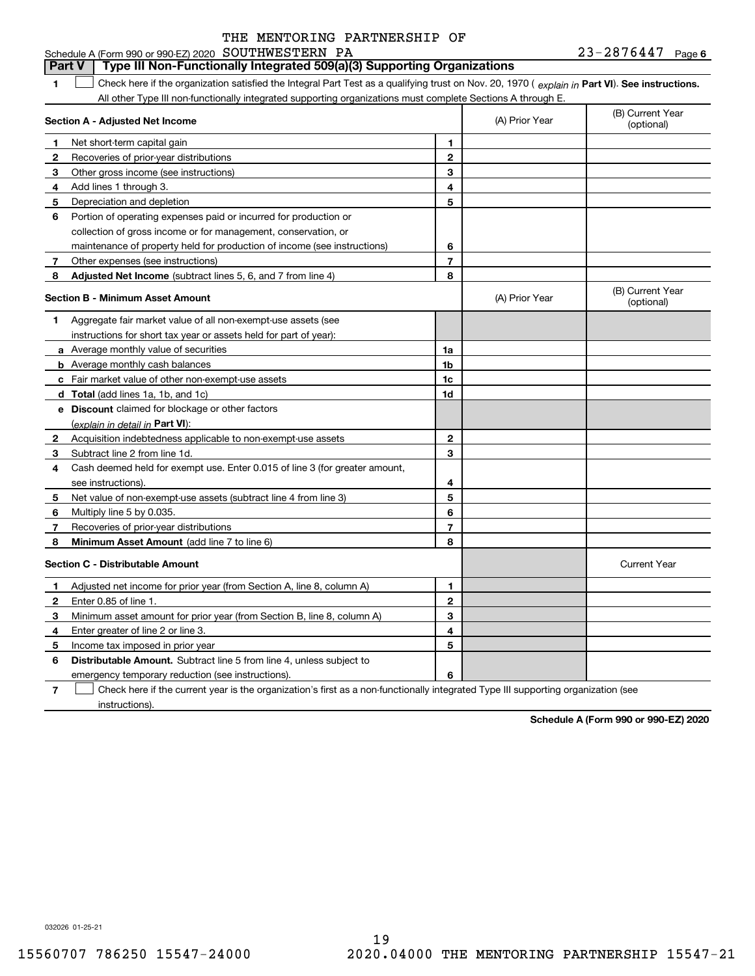#### **1Part VI** Check here if the organization satisfied the Integral Part Test as a qualifying trust on Nov. 20, 1970 ( explain in Part **VI**). See instructions. **Section A - Adjusted Net Income 123** Other gross income (see instructions) **456** Portion of operating expenses paid or incurred for production or **7** Other expenses (see instructions) **8** Adjusted Net Income (subtract lines 5, 6, and 7 from line 4) **8 8 1234567Section B - Minimum Asset Amount 1**Aggregate fair market value of all non-exempt-use assets (see **2**Acquisition indebtedness applicable to non-exempt-use assets **3** Subtract line 2 from line 1d. **4**Cash deemed held for exempt use. Enter 0.015 of line 3 (for greater amount, **5** Net value of non-exempt-use assets (subtract line 4 from line 3) **678a** Average monthly value of securities **b** Average monthly cash balances **c**Fair market value of other non-exempt-use assets **dTotal**  (add lines 1a, 1b, and 1c) **eDiscount** claimed for blockage or other factors **1a1b1c1d2345678**(explain in detail in Part VI): **Minimum Asset Amount**  (add line 7 to line 6) **Section C - Distributable Amount 12**Enter 0.85 of line 1. **3456123456Distributable Amount.** Subtract line 5 from line 4, unless subject to Schedule A (Form 990 or 990-EZ) 2020 Page SOUTHWESTERN PA 23-2876447 All other Type III non-functionally integrated supporting organizations must complete Sections A through E. (B) Current Year (optional)(A) Prior Year Net short-term capital gain Recoveries of prior-year distributions Add lines 1 through 3. Depreciation and depletion collection of gross income or for management, conservation, or maintenance of property held for production of income (see instructions) (B) Current Year (optional)(A) Prior Year instructions for short tax year or assets held for part of year): see instructions). Multiply line 5 by 0.035. Recoveries of prior-year distributions Current Year Adjusted net income for prior year (from Section A, line 8, column A) Minimum asset amount for prior year (from Section B, line 8, column A) Enter greater of line 2 or line 3. Income tax imposed in prior year emergency temporary reduction (see instructions). **Part V Type III Non-Functionally Integrated 509(a)(3) Supporting Organizations**   $\mathcal{L}^{\text{max}}$

**7**Check here if the current year is the organization's first as a non-functionally integrated Type III supporting organization (see instructions). $\mathcal{L}^{\text{max}}$ 

**Schedule A (Form 990 or 990-EZ) 2020**

032026 01-25-21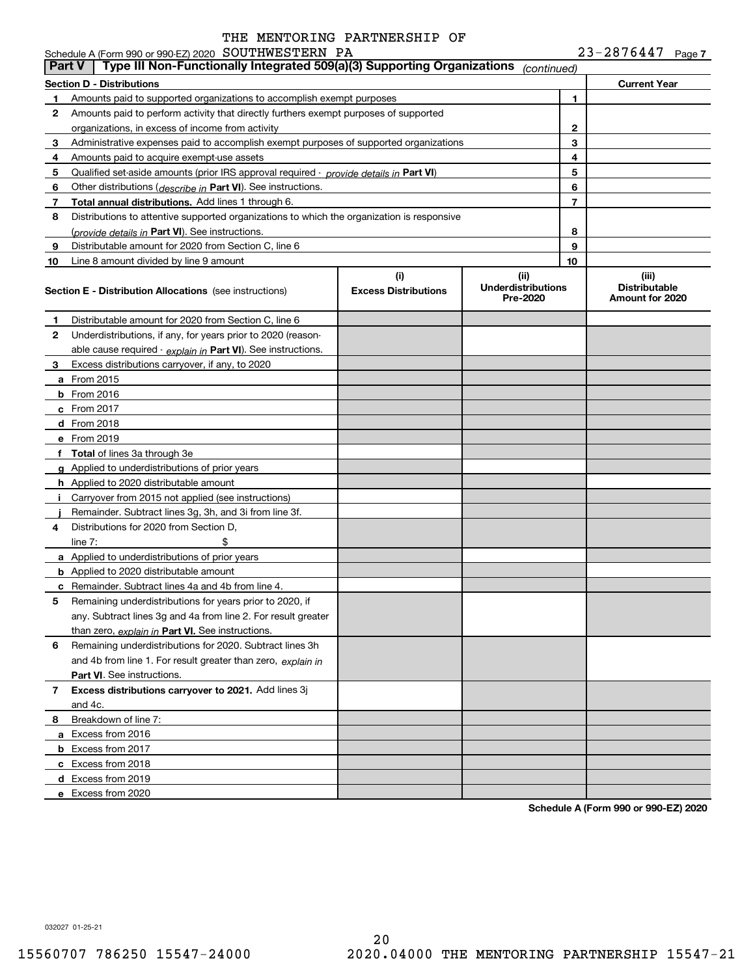|    | Schedule A (Form 990 or 990-EZ) 2020 SOUTHWESTERN PA<br>Type III Non-Functionally Integrated 509(a)(3) Supporting Organizations<br>  Part V |                                    |                                               |    | Z3-Z8/644/<br>Page 7                             |
|----|---------------------------------------------------------------------------------------------------------------------------------------------|------------------------------------|-----------------------------------------------|----|--------------------------------------------------|
|    | <b>Section D - Distributions</b>                                                                                                            |                                    | (continued)                                   |    | <b>Current Year</b>                              |
| 1  | Amounts paid to supported organizations to accomplish exempt purposes                                                                       |                                    |                                               | 1  |                                                  |
| 2  | Amounts paid to perform activity that directly furthers exempt purposes of supported                                                        |                                    |                                               |    |                                                  |
|    | organizations, in excess of income from activity                                                                                            |                                    |                                               | 2  |                                                  |
| 3  | Administrative expenses paid to accomplish exempt purposes of supported organizations                                                       |                                    |                                               | 3  |                                                  |
| 4  | Amounts paid to acquire exempt-use assets                                                                                                   |                                    |                                               | 4  |                                                  |
| 5  | Qualified set-aside amounts (prior IRS approval required - provide details in Part VI)                                                      |                                    | 5                                             |    |                                                  |
| 6  | Other distributions ( <i>describe in</i> Part VI). See instructions.                                                                        |                                    | 6                                             |    |                                                  |
| 7  | Total annual distributions. Add lines 1 through 6.                                                                                          |                                    |                                               | 7  |                                                  |
| 8  | Distributions to attentive supported organizations to which the organization is responsive                                                  |                                    |                                               |    |                                                  |
|    | (provide details in Part VI). See instructions.                                                                                             |                                    |                                               | 8  |                                                  |
| 9  | Distributable amount for 2020 from Section C, line 6                                                                                        |                                    |                                               | 9  |                                                  |
| 10 | Line 8 amount divided by line 9 amount                                                                                                      |                                    |                                               | 10 |                                                  |
|    | <b>Section E - Distribution Allocations</b> (see instructions)                                                                              | (i)<br><b>Excess Distributions</b> | (ii)<br><b>Underdistributions</b><br>Pre-2020 |    | (iii)<br><b>Distributable</b><br>Amount for 2020 |
| 1  | Distributable amount for 2020 from Section C, line 6                                                                                        |                                    |                                               |    |                                                  |
| 2  | Underdistributions, if any, for years prior to 2020 (reason-                                                                                |                                    |                                               |    |                                                  |
|    | able cause required - explain in Part VI). See instructions.                                                                                |                                    |                                               |    |                                                  |
| З. | Excess distributions carryover, if any, to 2020                                                                                             |                                    |                                               |    |                                                  |
|    | a From 2015                                                                                                                                 |                                    |                                               |    |                                                  |
|    | <b>b</b> From 2016                                                                                                                          |                                    |                                               |    |                                                  |
|    | $c$ From 2017                                                                                                                               |                                    |                                               |    |                                                  |
|    | <b>d</b> From 2018                                                                                                                          |                                    |                                               |    |                                                  |
|    | e From 2019                                                                                                                                 |                                    |                                               |    |                                                  |
|    | f Total of lines 3a through 3e                                                                                                              |                                    |                                               |    |                                                  |
|    | g Applied to underdistributions of prior years                                                                                              |                                    |                                               |    |                                                  |
|    | h Applied to 2020 distributable amount                                                                                                      |                                    |                                               |    |                                                  |
| Î. | Carryover from 2015 not applied (see instructions)                                                                                          |                                    |                                               |    |                                                  |
|    | Remainder. Subtract lines 3g, 3h, and 3i from line 3f.                                                                                      |                                    |                                               |    |                                                  |
| 4  | Distributions for 2020 from Section D,                                                                                                      |                                    |                                               |    |                                                  |
|    | \$<br>line $7:$                                                                                                                             |                                    |                                               |    |                                                  |
|    | a Applied to underdistributions of prior years                                                                                              |                                    |                                               |    |                                                  |
|    | <b>b</b> Applied to 2020 distributable amount                                                                                               |                                    |                                               |    |                                                  |
|    | <b>c</b> Remainder. Subtract lines 4a and 4b from line 4.                                                                                   |                                    |                                               |    |                                                  |
| 5  | Remaining underdistributions for years prior to 2020, if                                                                                    |                                    |                                               |    |                                                  |
|    | any. Subtract lines 3g and 4a from line 2. For result greater                                                                               |                                    |                                               |    |                                                  |
|    | than zero, explain in Part VI. See instructions.                                                                                            |                                    |                                               |    |                                                  |
| 6  | Remaining underdistributions for 2020. Subtract lines 3h                                                                                    |                                    |                                               |    |                                                  |
|    | and 4b from line 1. For result greater than zero, explain in                                                                                |                                    |                                               |    |                                                  |
|    | Part VI. See instructions.                                                                                                                  |                                    |                                               |    |                                                  |
| 7  | Excess distributions carryover to 2021. Add lines 3j                                                                                        |                                    |                                               |    |                                                  |
|    | and 4c.                                                                                                                                     |                                    |                                               |    |                                                  |
| 8  | Breakdown of line 7:                                                                                                                        |                                    |                                               |    |                                                  |
|    | a Excess from 2016                                                                                                                          |                                    |                                               |    |                                                  |
|    | <b>b</b> Excess from 2017                                                                                                                   |                                    |                                               |    |                                                  |
|    | c Excess from 2018                                                                                                                          |                                    |                                               |    |                                                  |
|    | d Excess from 2019                                                                                                                          |                                    |                                               |    |                                                  |
|    | e Excess from 2020                                                                                                                          |                                    |                                               |    |                                                  |

**Schedule A (Form 990 or 990-EZ) 2020**

032027 01-25-21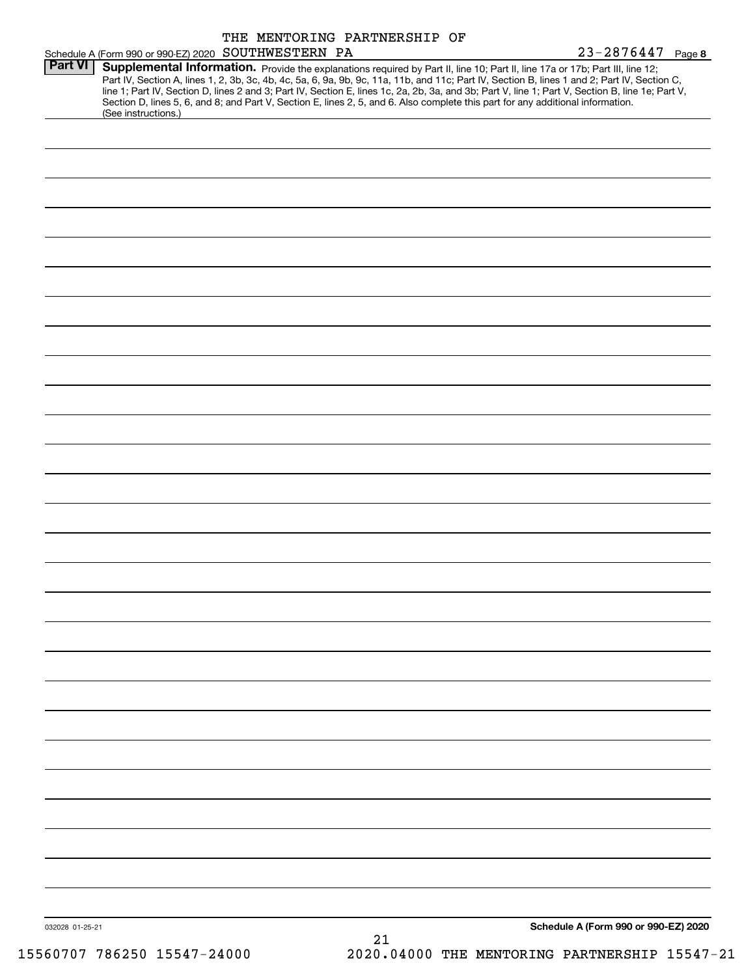|                 |                                                                                                                                                      | THE MENTORING PARTNERSHIP OF                                                                                                    |    |                                                                                                                                                                                                                                                                                                  |  |
|-----------------|------------------------------------------------------------------------------------------------------------------------------------------------------|---------------------------------------------------------------------------------------------------------------------------------|----|--------------------------------------------------------------------------------------------------------------------------------------------------------------------------------------------------------------------------------------------------------------------------------------------------|--|
|                 | Schedule A (Form 990 or 990-EZ) 2020 SOUTHWESTERN PA                                                                                                 |                                                                                                                                 |    | 23-2876447 Page 8                                                                                                                                                                                                                                                                                |  |
| <b>Part VI</b>  | Supplemental Information. Provide the explanations required by Part II, line 10; Part II, line 17a or 17b; Part III, line 12;<br>(See instructions.) | Section D, lines 5, 6, and 8; and Part V, Section E, lines 2, 5, and 6. Also complete this part for any additional information. |    | Part IV, Section A, lines 1, 2, 3b, 3c, 4b, 4c, 5a, 6, 9a, 9b, 9c, 11a, 11b, and 11c; Part IV, Section B, lines 1 and 2; Part IV, Section C,<br>line 1; Part IV, Section D, lines 2 and 3; Part IV, Section E, lines 1c, 2a, 2b, 3a, and 3b; Part V, line 1; Part V, Section B, line 1e; Part V, |  |
|                 |                                                                                                                                                      |                                                                                                                                 |    |                                                                                                                                                                                                                                                                                                  |  |
|                 |                                                                                                                                                      |                                                                                                                                 |    |                                                                                                                                                                                                                                                                                                  |  |
|                 |                                                                                                                                                      |                                                                                                                                 |    |                                                                                                                                                                                                                                                                                                  |  |
|                 |                                                                                                                                                      |                                                                                                                                 |    |                                                                                                                                                                                                                                                                                                  |  |
|                 |                                                                                                                                                      |                                                                                                                                 |    |                                                                                                                                                                                                                                                                                                  |  |
|                 |                                                                                                                                                      |                                                                                                                                 |    |                                                                                                                                                                                                                                                                                                  |  |
|                 |                                                                                                                                                      |                                                                                                                                 |    |                                                                                                                                                                                                                                                                                                  |  |
|                 |                                                                                                                                                      |                                                                                                                                 |    |                                                                                                                                                                                                                                                                                                  |  |
|                 |                                                                                                                                                      |                                                                                                                                 |    |                                                                                                                                                                                                                                                                                                  |  |
|                 |                                                                                                                                                      |                                                                                                                                 |    |                                                                                                                                                                                                                                                                                                  |  |
|                 |                                                                                                                                                      |                                                                                                                                 |    |                                                                                                                                                                                                                                                                                                  |  |
|                 |                                                                                                                                                      |                                                                                                                                 |    |                                                                                                                                                                                                                                                                                                  |  |
|                 |                                                                                                                                                      |                                                                                                                                 |    |                                                                                                                                                                                                                                                                                                  |  |
|                 |                                                                                                                                                      |                                                                                                                                 |    |                                                                                                                                                                                                                                                                                                  |  |
|                 |                                                                                                                                                      |                                                                                                                                 |    |                                                                                                                                                                                                                                                                                                  |  |
|                 |                                                                                                                                                      |                                                                                                                                 |    |                                                                                                                                                                                                                                                                                                  |  |
|                 |                                                                                                                                                      |                                                                                                                                 |    |                                                                                                                                                                                                                                                                                                  |  |
|                 |                                                                                                                                                      |                                                                                                                                 |    |                                                                                                                                                                                                                                                                                                  |  |
|                 |                                                                                                                                                      |                                                                                                                                 |    |                                                                                                                                                                                                                                                                                                  |  |
|                 |                                                                                                                                                      |                                                                                                                                 |    |                                                                                                                                                                                                                                                                                                  |  |
|                 |                                                                                                                                                      |                                                                                                                                 |    |                                                                                                                                                                                                                                                                                                  |  |
|                 |                                                                                                                                                      |                                                                                                                                 |    |                                                                                                                                                                                                                                                                                                  |  |
|                 |                                                                                                                                                      |                                                                                                                                 |    |                                                                                                                                                                                                                                                                                                  |  |
|                 |                                                                                                                                                      |                                                                                                                                 |    |                                                                                                                                                                                                                                                                                                  |  |
|                 |                                                                                                                                                      |                                                                                                                                 |    |                                                                                                                                                                                                                                                                                                  |  |
|                 |                                                                                                                                                      |                                                                                                                                 |    |                                                                                                                                                                                                                                                                                                  |  |
|                 |                                                                                                                                                      |                                                                                                                                 |    |                                                                                                                                                                                                                                                                                                  |  |
|                 |                                                                                                                                                      |                                                                                                                                 |    |                                                                                                                                                                                                                                                                                                  |  |
|                 |                                                                                                                                                      |                                                                                                                                 |    |                                                                                                                                                                                                                                                                                                  |  |
|                 |                                                                                                                                                      |                                                                                                                                 |    |                                                                                                                                                                                                                                                                                                  |  |
|                 |                                                                                                                                                      |                                                                                                                                 |    |                                                                                                                                                                                                                                                                                                  |  |
| 032028 01-25-21 |                                                                                                                                                      |                                                                                                                                 | 21 | Schedule A (Form 990 or 990-EZ) 2020                                                                                                                                                                                                                                                             |  |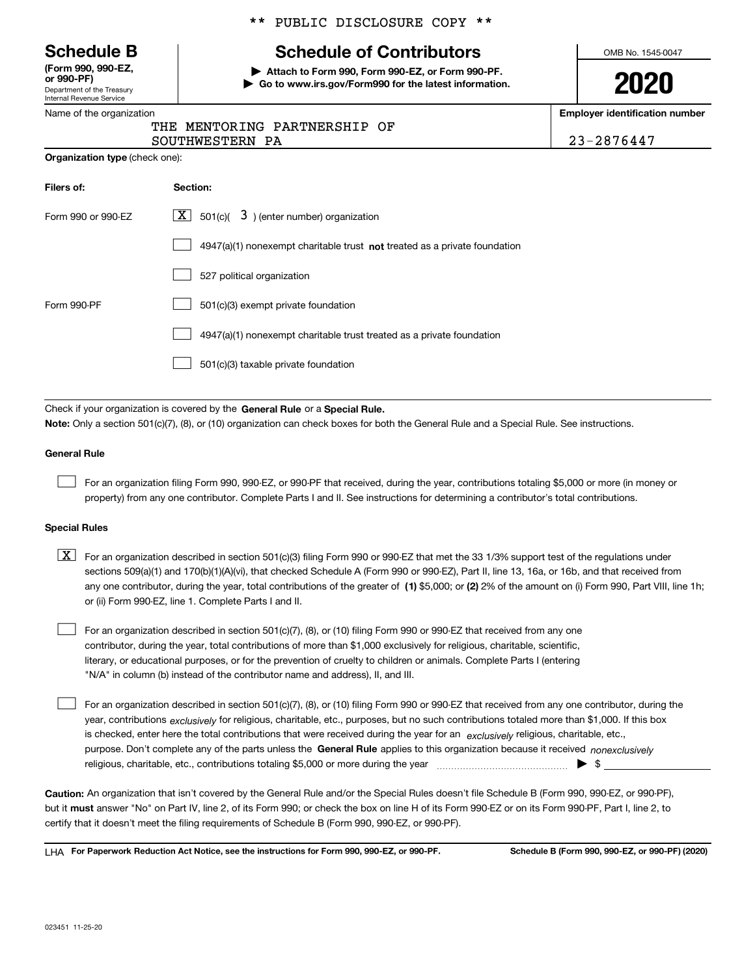Department of the Treasury Internal Revenue Service **(Form 990, 990-EZ, or 990-PF)**

|  | Name of the organization |  |
|--|--------------------------|--|
|  |                          |  |

**Organization type** (check one):

#### \*\* PUBLIC DISCLOSURE COPY \*\*

# **Schedule B Schedule of Contributors**

**| Attach to Form 990, Form 990-EZ, or Form 990-PF. | Go to www.irs.gov/Form990 for the latest information.** OMB No. 1545-0047

**2020**

**Employer identification number**

|  | THE MENTORING PARTNERSHIP OF |  |
|--|------------------------------|--|
|  |                              |  |

SOUTHWESTERN PA 23-2876447

| Filers of:         | Section:                                                                           |
|--------------------|------------------------------------------------------------------------------------|
| Form 990 or 990-EZ | $\lfloor x \rfloor$ 501(c)( 3) (enter number) organization                         |
|                    | $4947(a)(1)$ nonexempt charitable trust <b>not</b> treated as a private foundation |
|                    | 527 political organization                                                         |
| Form 990-PF        | 501(c)(3) exempt private foundation                                                |
|                    | 4947(a)(1) nonexempt charitable trust treated as a private foundation              |
|                    | 501(c)(3) taxable private foundation                                               |

Check if your organization is covered by the **General Rule** or a **Special Rule. Note:**  Only a section 501(c)(7), (8), or (10) organization can check boxes for both the General Rule and a Special Rule. See instructions.

#### **General Rule**

 $\mathcal{L}^{\text{max}}$ 

For an organization filing Form 990, 990-EZ, or 990-PF that received, during the year, contributions totaling \$5,000 or more (in money or property) from any one contributor. Complete Parts I and II. See instructions for determining a contributor's total contributions.

#### **Special Rules**

any one contributor, during the year, total contributions of the greater of  $\,$  (1) \$5,000; or **(2)** 2% of the amount on (i) Form 990, Part VIII, line 1h;  $\boxed{\textbf{X}}$  For an organization described in section 501(c)(3) filing Form 990 or 990-EZ that met the 33 1/3% support test of the regulations under sections 509(a)(1) and 170(b)(1)(A)(vi), that checked Schedule A (Form 990 or 990-EZ), Part II, line 13, 16a, or 16b, and that received from or (ii) Form 990-EZ, line 1. Complete Parts I and II.

For an organization described in section 501(c)(7), (8), or (10) filing Form 990 or 990-EZ that received from any one contributor, during the year, total contributions of more than \$1,000 exclusively for religious, charitable, scientific, literary, or educational purposes, or for the prevention of cruelty to children or animals. Complete Parts I (entering "N/A" in column (b) instead of the contributor name and address), II, and III.  $\mathcal{L}^{\text{max}}$ 

purpose. Don't complete any of the parts unless the **General Rule** applies to this organization because it received *nonexclusively* year, contributions <sub>exclusively</sub> for religious, charitable, etc., purposes, but no such contributions totaled more than \$1,000. If this box is checked, enter here the total contributions that were received during the year for an  $\;$ exclusively religious, charitable, etc., For an organization described in section 501(c)(7), (8), or (10) filing Form 990 or 990-EZ that received from any one contributor, during the religious, charitable, etc., contributions totaling \$5,000 or more during the year  $\Box$ — $\Box$   $\Box$  $\mathcal{L}^{\text{max}}$ 

**Caution:**  An organization that isn't covered by the General Rule and/or the Special Rules doesn't file Schedule B (Form 990, 990-EZ, or 990-PF),  **must** but it answer "No" on Part IV, line 2, of its Form 990; or check the box on line H of its Form 990-EZ or on its Form 990-PF, Part I, line 2, to certify that it doesn't meet the filing requirements of Schedule B (Form 990, 990-EZ, or 990-PF).

**For Paperwork Reduction Act Notice, see the instructions for Form 990, 990-EZ, or 990-PF. Schedule B (Form 990, 990-EZ, or 990-PF) (2020)** LHA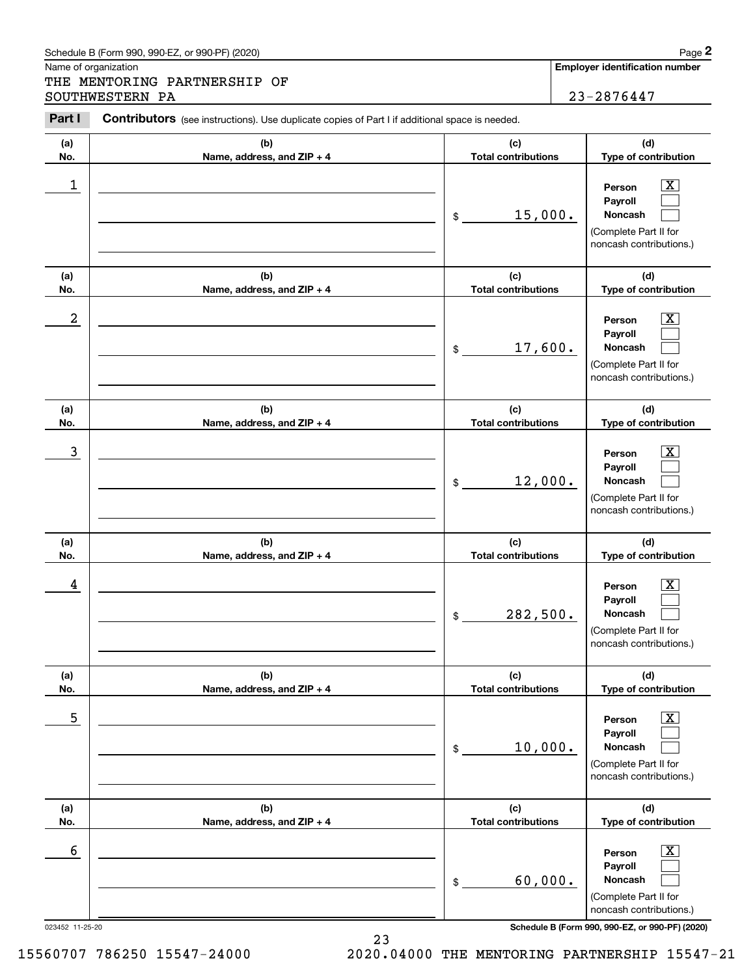| Schedule B (Form 990, 990-EZ, or 990-PF) (2020) | Page |
|-------------------------------------------------|------|
|-------------------------------------------------|------|

Name of organization

Chedule B (Form 990, 990-EZ, or 990-PF) (2020)<br> **2Part II Contributors** (see instructions). Use duplicate copies of Part I if additional space is needed.<br> **23** – 2876447<br> **23** – 2876447 THE MENTORING PARTNERSHIP OF SOUTHWESTERN PA 23-2876447

**Employer identification number**

Contributors (see instructions). Use duplicate copies of Part I if additional space is needed.

| (a)                  | (b)                        | (c)                        | (d)                                                                                                                                                          |
|----------------------|----------------------------|----------------------------|--------------------------------------------------------------------------------------------------------------------------------------------------------------|
| No.                  | Name, address, and ZIP + 4 | <b>Total contributions</b> | Type of contribution                                                                                                                                         |
| 1                    |                            | 15,000.<br>\$              | Х<br>Person<br>Payroll<br>Noncash<br>(Complete Part II for<br>noncash contributions.)                                                                        |
| (a)                  | (b)                        | (c)                        | (d)                                                                                                                                                          |
| No.                  | Name, address, and ZIP + 4 | <b>Total contributions</b> | Type of contribution                                                                                                                                         |
| $\boldsymbol{2}$     |                            | 17,600.<br>\$              | х<br>Person<br>Payroll<br>Noncash<br>(Complete Part II for<br>noncash contributions.)                                                                        |
| (a)                  | (b)                        | (c)                        | (d)                                                                                                                                                          |
| No.                  | Name, address, and ZIP + 4 | <b>Total contributions</b> | Type of contribution                                                                                                                                         |
| 3                    |                            | 12,000.<br>\$              | x<br>Person<br>Payroll<br>Noncash<br>(Complete Part II for<br>noncash contributions.)                                                                        |
| (a)                  | (b)                        | (c)                        | (d)                                                                                                                                                          |
| No.                  | Name, address, and ZIP + 4 | <b>Total contributions</b> | Type of contribution                                                                                                                                         |
| 4                    |                            | 282,500.<br>\$             | x<br>Person<br>Payroll<br>Noncash<br>(Complete Part II for<br>noncash contributions.)                                                                        |
| (a)                  | (b)                        | (c)                        | (d)                                                                                                                                                          |
| No.                  | Name, address, and ZIP + 4 | <b>Total contributions</b> | Type of contribution                                                                                                                                         |
| 5                    |                            | 10,000.<br>\$              | $\overline{\text{X}}$<br>Person<br>Payroll<br>Noncash<br>(Complete Part II for<br>noncash contributions.)                                                    |
| (a)                  | (b)                        | (c)                        | (d)                                                                                                                                                          |
| No.                  | Name, address, and ZIP + 4 | <b>Total contributions</b> | Type of contribution                                                                                                                                         |
| 6<br>023452 11-25-20 |                            | 60,000.<br>\$              | $\overline{\text{X}}$<br>Person<br>Payroll<br>Noncash<br>(Complete Part II for<br>noncash contributions.)<br>Schedule B (Form 990, 990-EZ, or 990-PF) (2020) |

23 15560707 786250 15547-24000 2020.04000 THE MENTORING PARTNERSHIP 15547-21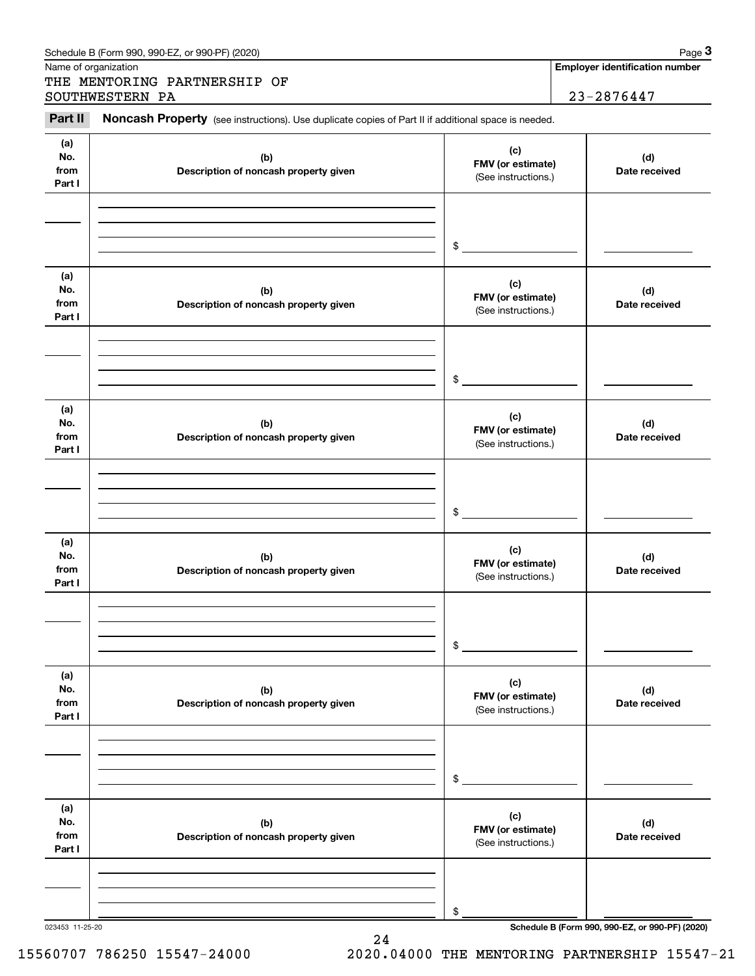|                              | THE MENTORING PARTNERSHIP OF<br>SOUTHWESTERN PA                                                     |                                                 | $23 - 2876447$       |
|------------------------------|-----------------------------------------------------------------------------------------------------|-------------------------------------------------|----------------------|
| Part II                      | Noncash Property (see instructions). Use duplicate copies of Part II if additional space is needed. |                                                 |                      |
| (a)<br>No.<br>from<br>Part I | (b)<br>Description of noncash property given                                                        | (c)<br>FMV (or estimate)<br>(See instructions.) | (d)<br>Date received |
|                              |                                                                                                     | \$                                              |                      |
| (a)<br>No.<br>from<br>Part I | (b)<br>Description of noncash property given                                                        | (c)<br>FMV (or estimate)<br>(See instructions.) | (d)<br>Date received |
|                              |                                                                                                     | \$                                              |                      |
| (a)<br>No.<br>from<br>Part I | (b)<br>Description of noncash property given                                                        | (c)<br>FMV (or estimate)<br>(See instructions.) | (d)<br>Date received |
|                              |                                                                                                     | \$                                              |                      |
| (a)<br>No.<br>from<br>Part I | (b)<br>Description of noncash property given                                                        | (c)<br>FMV (or estimate)<br>(See instructions.) | (d)<br>Date received |
|                              |                                                                                                     | \$                                              |                      |
| (a)<br>No.<br>from<br>Part I | (b)<br>Description of noncash property given                                                        | (c)<br>FMV (or estimate)<br>(See instructions.) | (d)<br>Date received |
|                              |                                                                                                     | \$                                              |                      |
| (a)<br>No.<br>from<br>Part I | (b)<br>Description of noncash property given                                                        | (c)<br>FMV (or estimate)<br>(See instructions.) | (d)<br>Date received |
|                              |                                                                                                     | \$                                              |                      |

15560707 786250 15547-24000 2020.04000 THE MENTORING PARTNERSHIP 15547-21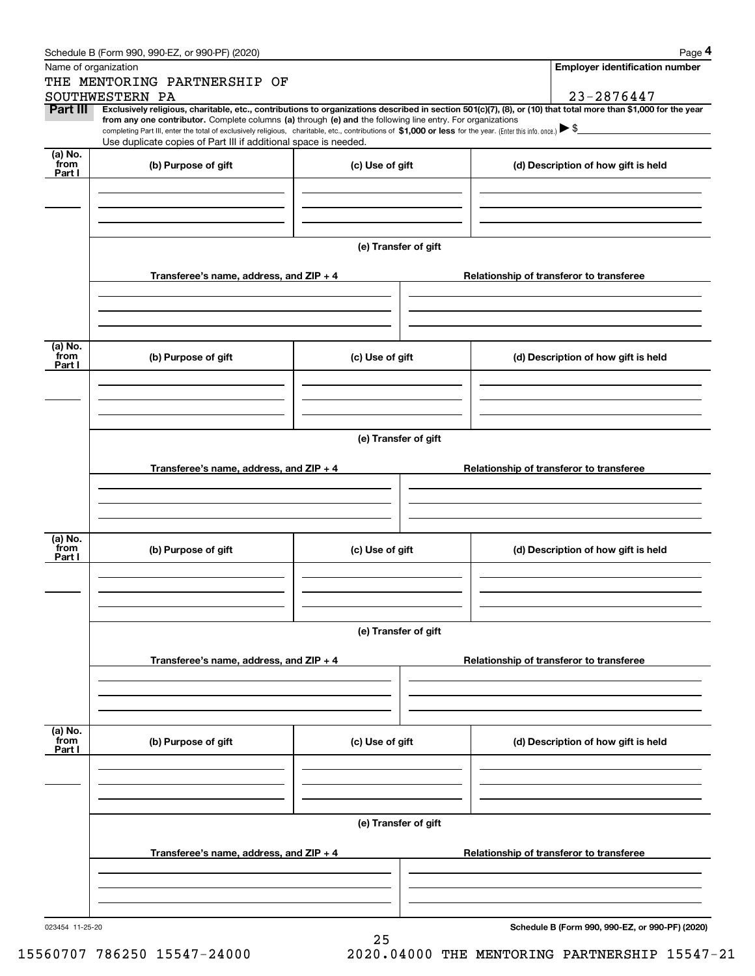|                      | Schedule B (Form 990, 990-EZ, or 990-PF) (2020)                                                                                                                                                                                                      |                      | Page 4                                                                                                                                                                       |  |  |  |  |  |  |
|----------------------|------------------------------------------------------------------------------------------------------------------------------------------------------------------------------------------------------------------------------------------------------|----------------------|------------------------------------------------------------------------------------------------------------------------------------------------------------------------------|--|--|--|--|--|--|
| Name of organization |                                                                                                                                                                                                                                                      |                      | Employer identification number                                                                                                                                               |  |  |  |  |  |  |
|                      | THE MENTORING PARTNERSHIP OF                                                                                                                                                                                                                         |                      |                                                                                                                                                                              |  |  |  |  |  |  |
| Part III             | SOUTHWESTERN PA                                                                                                                                                                                                                                      |                      | 23-2876447<br>Exclusively religious, charitable, etc., contributions to organizations described in section 501(c)(7), (8), or (10) that total more than \$1,000 for the year |  |  |  |  |  |  |
|                      | from any one contributor. Complete columns (a) through (e) and the following line entry. For organizations                                                                                                                                           |                      |                                                                                                                                                                              |  |  |  |  |  |  |
|                      | completing Part III, enter the total of exclusively religious, charitable, etc., contributions of \$1,000 or less for the year. (Enter this info. once.) $\blacktriangleright$ \$<br>Use duplicate copies of Part III if additional space is needed. |                      |                                                                                                                                                                              |  |  |  |  |  |  |
| (a) No.              |                                                                                                                                                                                                                                                      |                      |                                                                                                                                                                              |  |  |  |  |  |  |
| from<br>Part I       | (b) Purpose of gift                                                                                                                                                                                                                                  | (c) Use of gift      | (d) Description of how gift is held                                                                                                                                          |  |  |  |  |  |  |
|                      |                                                                                                                                                                                                                                                      |                      |                                                                                                                                                                              |  |  |  |  |  |  |
|                      |                                                                                                                                                                                                                                                      |                      |                                                                                                                                                                              |  |  |  |  |  |  |
|                      |                                                                                                                                                                                                                                                      |                      |                                                                                                                                                                              |  |  |  |  |  |  |
|                      |                                                                                                                                                                                                                                                      |                      |                                                                                                                                                                              |  |  |  |  |  |  |
|                      |                                                                                                                                                                                                                                                      | (e) Transfer of gift |                                                                                                                                                                              |  |  |  |  |  |  |
|                      | Transferee's name, address, and ZIP + 4                                                                                                                                                                                                              |                      | Relationship of transferor to transferee                                                                                                                                     |  |  |  |  |  |  |
|                      |                                                                                                                                                                                                                                                      |                      |                                                                                                                                                                              |  |  |  |  |  |  |
|                      |                                                                                                                                                                                                                                                      |                      |                                                                                                                                                                              |  |  |  |  |  |  |
|                      |                                                                                                                                                                                                                                                      |                      |                                                                                                                                                                              |  |  |  |  |  |  |
| (a) No.              |                                                                                                                                                                                                                                                      |                      |                                                                                                                                                                              |  |  |  |  |  |  |
| from<br>Part I       | (b) Purpose of gift                                                                                                                                                                                                                                  | (c) Use of gift      | (d) Description of how gift is held                                                                                                                                          |  |  |  |  |  |  |
|                      |                                                                                                                                                                                                                                                      |                      |                                                                                                                                                                              |  |  |  |  |  |  |
|                      |                                                                                                                                                                                                                                                      |                      |                                                                                                                                                                              |  |  |  |  |  |  |
|                      |                                                                                                                                                                                                                                                      |                      |                                                                                                                                                                              |  |  |  |  |  |  |
|                      |                                                                                                                                                                                                                                                      |                      |                                                                                                                                                                              |  |  |  |  |  |  |
|                      | (e) Transfer of gift                                                                                                                                                                                                                                 |                      |                                                                                                                                                                              |  |  |  |  |  |  |
|                      | Transferee's name, address, and $ZIP + 4$                                                                                                                                                                                                            |                      | Relationship of transferor to transferee                                                                                                                                     |  |  |  |  |  |  |
|                      |                                                                                                                                                                                                                                                      |                      |                                                                                                                                                                              |  |  |  |  |  |  |
|                      |                                                                                                                                                                                                                                                      |                      |                                                                                                                                                                              |  |  |  |  |  |  |
|                      |                                                                                                                                                                                                                                                      |                      |                                                                                                                                                                              |  |  |  |  |  |  |
|                      |                                                                                                                                                                                                                                                      |                      |                                                                                                                                                                              |  |  |  |  |  |  |
| (a) No.<br>from      | (b) Purpose of gift                                                                                                                                                                                                                                  | (c) Use of gift      | (d) Description of how gift is held                                                                                                                                          |  |  |  |  |  |  |
| Part I               |                                                                                                                                                                                                                                                      |                      |                                                                                                                                                                              |  |  |  |  |  |  |
|                      |                                                                                                                                                                                                                                                      |                      |                                                                                                                                                                              |  |  |  |  |  |  |
|                      |                                                                                                                                                                                                                                                      |                      |                                                                                                                                                                              |  |  |  |  |  |  |
|                      |                                                                                                                                                                                                                                                      |                      |                                                                                                                                                                              |  |  |  |  |  |  |
|                      |                                                                                                                                                                                                                                                      | (e) Transfer of gift |                                                                                                                                                                              |  |  |  |  |  |  |
|                      | Transferee's name, address, and $ZIP + 4$                                                                                                                                                                                                            |                      | Relationship of transferor to transferee                                                                                                                                     |  |  |  |  |  |  |
|                      |                                                                                                                                                                                                                                                      |                      |                                                                                                                                                                              |  |  |  |  |  |  |
|                      |                                                                                                                                                                                                                                                      |                      |                                                                                                                                                                              |  |  |  |  |  |  |
|                      |                                                                                                                                                                                                                                                      |                      |                                                                                                                                                                              |  |  |  |  |  |  |
|                      |                                                                                                                                                                                                                                                      |                      |                                                                                                                                                                              |  |  |  |  |  |  |
| (a) No.<br>from      | (b) Purpose of gift                                                                                                                                                                                                                                  | (c) Use of gift      | (d) Description of how gift is held                                                                                                                                          |  |  |  |  |  |  |
| Part I               |                                                                                                                                                                                                                                                      |                      |                                                                                                                                                                              |  |  |  |  |  |  |
|                      |                                                                                                                                                                                                                                                      |                      |                                                                                                                                                                              |  |  |  |  |  |  |
|                      |                                                                                                                                                                                                                                                      |                      |                                                                                                                                                                              |  |  |  |  |  |  |
|                      |                                                                                                                                                                                                                                                      |                      |                                                                                                                                                                              |  |  |  |  |  |  |
|                      |                                                                                                                                                                                                                                                      | (e) Transfer of gift |                                                                                                                                                                              |  |  |  |  |  |  |
|                      |                                                                                                                                                                                                                                                      |                      |                                                                                                                                                                              |  |  |  |  |  |  |
|                      | Transferee's name, address, and $ZIP + 4$                                                                                                                                                                                                            |                      | Relationship of transferor to transferee                                                                                                                                     |  |  |  |  |  |  |
|                      |                                                                                                                                                                                                                                                      |                      |                                                                                                                                                                              |  |  |  |  |  |  |
|                      |                                                                                                                                                                                                                                                      |                      |                                                                                                                                                                              |  |  |  |  |  |  |
|                      |                                                                                                                                                                                                                                                      |                      |                                                                                                                                                                              |  |  |  |  |  |  |

023454 11-25-20

**Schedule B (Form 990, 990-EZ, or 990-PF) (2020)**

15560707 786250 15547-24000 2020.04000 THE MENTORING PARTNERSHIP 15547-21

25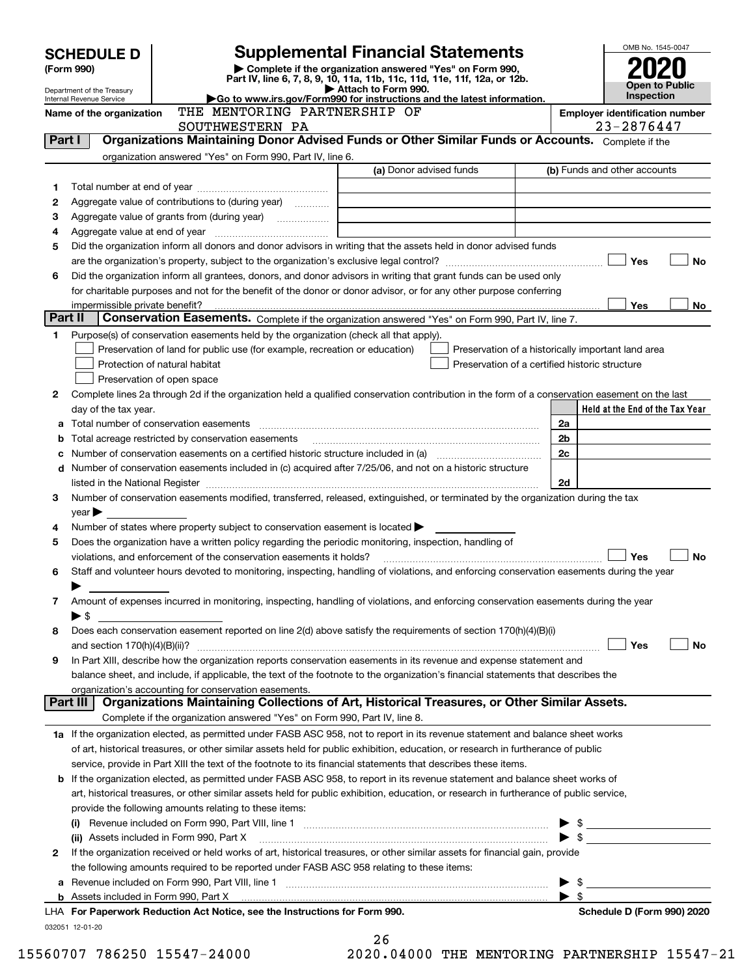| <b>SCHEDULE D</b> |                                 |                                                                                                        | <b>Supplemental Financial Statements</b>                                                                                                                                                                                                                             |                         | OMB No. 1545-0047                     |
|-------------------|---------------------------------|--------------------------------------------------------------------------------------------------------|----------------------------------------------------------------------------------------------------------------------------------------------------------------------------------------------------------------------------------------------------------------------|-------------------------|---------------------------------------|
| (Form 990)        |                                 |                                                                                                        | Complete if the organization answered "Yes" on Form 990,                                                                                                                                                                                                             |                         |                                       |
|                   | Department of the Treasury      |                                                                                                        | Part IV, line 6, 7, 8, 9, 10, 11a, 11b, 11c, 11d, 11e, 11f, 12a, or 12b.<br>Attach to Form 990.                                                                                                                                                                      |                         | <b>Open to Public</b>                 |
|                   | <b>Internal Revenue Service</b> |                                                                                                        | Go to www.irs.gov/Form990 for instructions and the latest information.                                                                                                                                                                                               |                         | Inspection                            |
|                   | Name of the organization        | THE MENTORING PARTNERSHIP OF                                                                           |                                                                                                                                                                                                                                                                      |                         | <b>Employer identification number</b> |
| Part I            |                                 | SOUTHWESTERN PA                                                                                        | Organizations Maintaining Donor Advised Funds or Other Similar Funds or Accounts. Complete if the                                                                                                                                                                    |                         | 23-2876447                            |
|                   |                                 | organization answered "Yes" on Form 990, Part IV, line 6.                                              |                                                                                                                                                                                                                                                                      |                         |                                       |
|                   |                                 |                                                                                                        | (a) Donor advised funds                                                                                                                                                                                                                                              |                         | (b) Funds and other accounts          |
| 1                 |                                 |                                                                                                        |                                                                                                                                                                                                                                                                      |                         |                                       |
| 2                 |                                 | Aggregate value of contributions to (during year)                                                      |                                                                                                                                                                                                                                                                      |                         |                                       |
| з                 |                                 |                                                                                                        |                                                                                                                                                                                                                                                                      |                         |                                       |
| 4                 |                                 |                                                                                                        |                                                                                                                                                                                                                                                                      |                         |                                       |
| 5                 |                                 |                                                                                                        | Did the organization inform all donors and donor advisors in writing that the assets held in donor advised funds                                                                                                                                                     |                         |                                       |
|                   |                                 |                                                                                                        |                                                                                                                                                                                                                                                                      |                         | Yes<br>No                             |
| 6                 |                                 |                                                                                                        | Did the organization inform all grantees, donors, and donor advisors in writing that grant funds can be used only                                                                                                                                                    |                         |                                       |
|                   |                                 |                                                                                                        | for charitable purposes and not for the benefit of the donor or donor advisor, or for any other purpose conferring                                                                                                                                                   |                         |                                       |
|                   |                                 |                                                                                                        |                                                                                                                                                                                                                                                                      |                         | <b>Yes</b><br>No                      |
| Part II           |                                 |                                                                                                        | Conservation Easements. Complete if the organization answered "Yes" on Form 990, Part IV, line 7.                                                                                                                                                                    |                         |                                       |
| 1                 |                                 | Purpose(s) of conservation easements held by the organization (check all that apply).                  |                                                                                                                                                                                                                                                                      |                         |                                       |
|                   |                                 | Preservation of land for public use (for example, recreation or education)                             | Preservation of a historically important land area                                                                                                                                                                                                                   |                         |                                       |
|                   |                                 | Protection of natural habitat                                                                          | Preservation of a certified historic structure                                                                                                                                                                                                                       |                         |                                       |
|                   |                                 | Preservation of open space                                                                             |                                                                                                                                                                                                                                                                      |                         |                                       |
| 2                 |                                 |                                                                                                        | Complete lines 2a through 2d if the organization held a qualified conservation contribution in the form of a conservation easement on the last                                                                                                                       |                         |                                       |
|                   | day of the tax year.            |                                                                                                        |                                                                                                                                                                                                                                                                      |                         | Held at the End of the Tax Year       |
|                   |                                 |                                                                                                        |                                                                                                                                                                                                                                                                      | 2a                      |                                       |
|                   |                                 | Total acreage restricted by conservation easements                                                     |                                                                                                                                                                                                                                                                      | 2 <sub>b</sub><br>2c    |                                       |
| d                 |                                 |                                                                                                        | Number of conservation easements on a certified historic structure included in (a) manufacture included in (a)<br>Number of conservation easements included in (c) acquired after 7/25/06, and not on a historic structure                                           |                         |                                       |
|                   |                                 |                                                                                                        |                                                                                                                                                                                                                                                                      | 2d                      |                                       |
| 3                 |                                 |                                                                                                        | Number of conservation easements modified, transferred, released, extinguished, or terminated by the organization during the tax                                                                                                                                     |                         |                                       |
|                   | $year \triangleright$           |                                                                                                        |                                                                                                                                                                                                                                                                      |                         |                                       |
| 4                 |                                 | Number of states where property subject to conservation easement is located $\blacktriangleright$      |                                                                                                                                                                                                                                                                      |                         |                                       |
| 5                 |                                 | Does the organization have a written policy regarding the periodic monitoring, inspection, handling of |                                                                                                                                                                                                                                                                      |                         |                                       |
|                   |                                 | violations, and enforcement of the conservation easements it holds?                                    |                                                                                                                                                                                                                                                                      |                         | <b>No</b><br>Yes                      |
| 6                 |                                 |                                                                                                        | Staff and volunteer hours devoted to monitoring, inspecting, handling of violations, and enforcing conservation easements during the year                                                                                                                            |                         |                                       |
|                   |                                 |                                                                                                        |                                                                                                                                                                                                                                                                      |                         |                                       |
| 7                 |                                 |                                                                                                        | Amount of expenses incurred in monitoring, inspecting, handling of violations, and enforcing conservation easements during the year                                                                                                                                  |                         |                                       |
|                   | ► \$                            |                                                                                                        |                                                                                                                                                                                                                                                                      |                         |                                       |
| 8                 |                                 |                                                                                                        | Does each conservation easement reported on line 2(d) above satisfy the requirements of section 170(h)(4)(B)(i)                                                                                                                                                      |                         |                                       |
|                   | and section $170(h)(4)(B)(ii)?$ |                                                                                                        |                                                                                                                                                                                                                                                                      |                         | Yes<br>No                             |
| 9                 |                                 |                                                                                                        | In Part XIII, describe how the organization reports conservation easements in its revenue and expense statement and                                                                                                                                                  |                         |                                       |
|                   |                                 |                                                                                                        | balance sheet, and include, if applicable, the text of the footnote to the organization's financial statements that describes the                                                                                                                                    |                         |                                       |
|                   | Part III l                      | organization's accounting for conservation easements.                                                  | Organizations Maintaining Collections of Art, Historical Treasures, or Other Similar Assets.                                                                                                                                                                         |                         |                                       |
|                   |                                 | Complete if the organization answered "Yes" on Form 990, Part IV, line 8.                              |                                                                                                                                                                                                                                                                      |                         |                                       |
|                   |                                 |                                                                                                        |                                                                                                                                                                                                                                                                      |                         |                                       |
|                   |                                 |                                                                                                        | 1a If the organization elected, as permitted under FASB ASC 958, not to report in its revenue statement and balance sheet works<br>of art, historical treasures, or other similar assets held for public exhibition, education, or research in furtherance of public |                         |                                       |
|                   |                                 |                                                                                                        | service, provide in Part XIII the text of the footnote to its financial statements that describes these items.                                                                                                                                                       |                         |                                       |
|                   |                                 |                                                                                                        | <b>b</b> If the organization elected, as permitted under FASB ASC 958, to report in its revenue statement and balance sheet works of                                                                                                                                 |                         |                                       |
|                   |                                 |                                                                                                        | art, historical treasures, or other similar assets held for public exhibition, education, or research in furtherance of public service,                                                                                                                              |                         |                                       |
|                   |                                 | provide the following amounts relating to these items:                                                 |                                                                                                                                                                                                                                                                      |                         |                                       |
|                   |                                 |                                                                                                        |                                                                                                                                                                                                                                                                      |                         |                                       |
|                   |                                 | (ii) Assets included in Form 990, Part X                                                               |                                                                                                                                                                                                                                                                      |                         | $\bullet$ \$                          |
| 2                 |                                 |                                                                                                        | If the organization received or held works of art, historical treasures, or other similar assets for financial gain, provide                                                                                                                                         |                         |                                       |
|                   |                                 | the following amounts required to be reported under FASB ASC 958 relating to these items:              |                                                                                                                                                                                                                                                                      |                         |                                       |
| а                 |                                 |                                                                                                        |                                                                                                                                                                                                                                                                      | $\blacktriangleright$ s |                                       |
|                   |                                 |                                                                                                        |                                                                                                                                                                                                                                                                      | ▶ \$                    |                                       |
|                   |                                 | LHA For Paperwork Reduction Act Notice, see the Instructions for Form 990.                             |                                                                                                                                                                                                                                                                      |                         | Schedule D (Form 990) 2020            |
|                   | 032051 12-01-20                 |                                                                                                        |                                                                                                                                                                                                                                                                      |                         |                                       |
|                   |                                 |                                                                                                        | 26                                                                                                                                                                                                                                                                   |                         |                                       |

| ∠ ∪ |  |       |  |
|-----|--|-------|--|
| ۱ ک |  | 01000 |  |

15560707 786250 15547-24000 2020.04000 THE MENTORING PARTNERSHIP 15547-21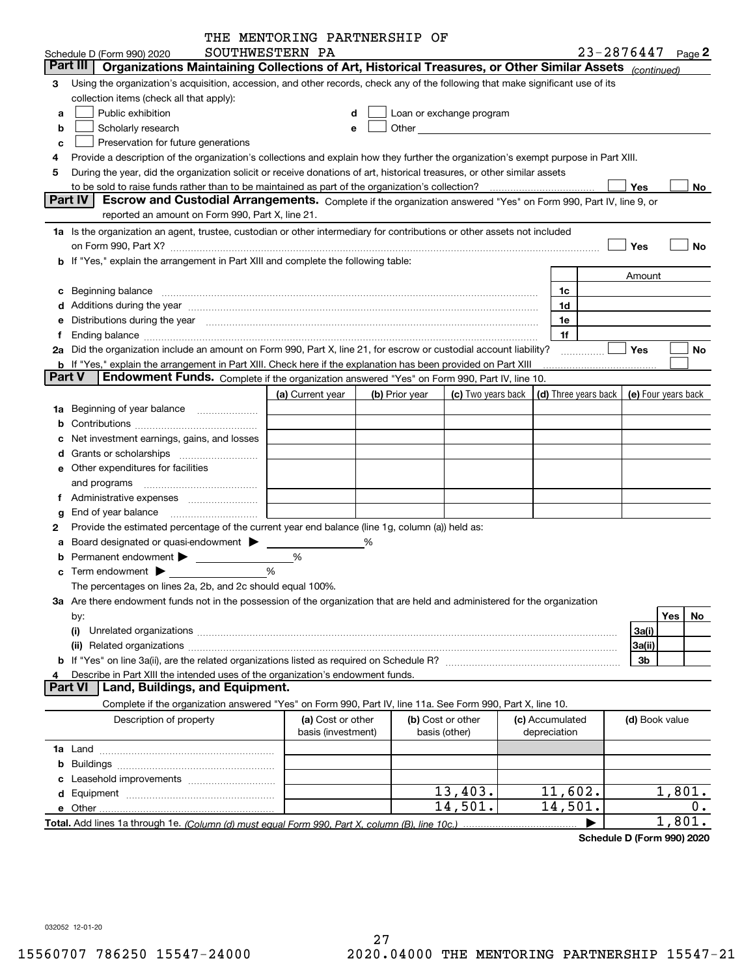|               |                                                                                                                                                                                                                                | THE MENTORING PARTNERSHIP OF |                |                   |                                                                                                                                                                                                                               |                 |                                            |           |
|---------------|--------------------------------------------------------------------------------------------------------------------------------------------------------------------------------------------------------------------------------|------------------------------|----------------|-------------------|-------------------------------------------------------------------------------------------------------------------------------------------------------------------------------------------------------------------------------|-----------------|--------------------------------------------|-----------|
|               | Schedule D (Form 990) 2020                                                                                                                                                                                                     | SOUTHWESTERN PA              |                |                   |                                                                                                                                                                                                                               |                 | $23 - 2876447$ Page 2                      |           |
|               | Part III<br>Organizations Maintaining Collections of Art, Historical Treasures, or Other Similar Assets (continued)                                                                                                            |                              |                |                   |                                                                                                                                                                                                                               |                 |                                            |           |
| З             | Using the organization's acquisition, accession, and other records, check any of the following that make significant use of its                                                                                                |                              |                |                   |                                                                                                                                                                                                                               |                 |                                            |           |
|               | collection items (check all that apply):                                                                                                                                                                                       |                              |                |                   |                                                                                                                                                                                                                               |                 |                                            |           |
| a             | Public exhibition                                                                                                                                                                                                              |                              | d              |                   | Loan or exchange program                                                                                                                                                                                                      |                 |                                            |           |
| b             | Scholarly research                                                                                                                                                                                                             |                              | е              |                   | Other and the contract of the contract of the contract of the contract of the contract of the contract of the contract of the contract of the contract of the contract of the contract of the contract of the contract of the |                 |                                            |           |
| c             | Preservation for future generations                                                                                                                                                                                            |                              |                |                   |                                                                                                                                                                                                                               |                 |                                            |           |
|               | Provide a description of the organization's collections and explain how they further the organization's exempt purpose in Part XIII.                                                                                           |                              |                |                   |                                                                                                                                                                                                                               |                 |                                            |           |
| 5             | During the year, did the organization solicit or receive donations of art, historical treasures, or other similar assets                                                                                                       |                              |                |                   |                                                                                                                                                                                                                               |                 |                                            |           |
|               | to be sold to raise funds rather than to be maintained as part of the organization's collection?                                                                                                                               |                              |                |                   |                                                                                                                                                                                                                               |                 | Yes                                        | No        |
|               | Part IV<br>Escrow and Custodial Arrangements. Complete if the organization answered "Yes" on Form 990, Part IV, line 9, or                                                                                                     |                              |                |                   |                                                                                                                                                                                                                               |                 |                                            |           |
|               | reported an amount on Form 990, Part X, line 21.                                                                                                                                                                               |                              |                |                   |                                                                                                                                                                                                                               |                 |                                            |           |
|               | 1a Is the organization an agent, trustee, custodian or other intermediary for contributions or other assets not included                                                                                                       |                              |                |                   |                                                                                                                                                                                                                               |                 |                                            |           |
|               |                                                                                                                                                                                                                                |                              |                |                   |                                                                                                                                                                                                                               |                 |                                            |           |
|               | on Form 990, Part X? [11] matter and the contract of the contract of the contract of the contract of the contract of the contract of the contract of the contract of the contract of the contract of the contract of the contr |                              |                |                   |                                                                                                                                                                                                                               |                 | Yes                                        | No        |
|               | b If "Yes," explain the arrangement in Part XIII and complete the following table:                                                                                                                                             |                              |                |                   |                                                                                                                                                                                                                               |                 |                                            |           |
|               |                                                                                                                                                                                                                                |                              |                |                   |                                                                                                                                                                                                                               |                 | Amount                                     |           |
| c             |                                                                                                                                                                                                                                |                              |                |                   |                                                                                                                                                                                                                               | 1c              |                                            |           |
|               |                                                                                                                                                                                                                                |                              |                |                   |                                                                                                                                                                                                                               | 1d              |                                            |           |
|               | Distributions during the year manufactured and continuum and contained and the year manufactured and contained                                                                                                                 |                              |                |                   |                                                                                                                                                                                                                               | 1e              |                                            |           |
|               |                                                                                                                                                                                                                                |                              |                |                   |                                                                                                                                                                                                                               | 1f              |                                            |           |
|               | 2a Did the organization include an amount on Form 990, Part X, line 21, for escrow or custodial account liability?                                                                                                             |                              |                |                   |                                                                                                                                                                                                                               |                 | Yes                                        | No        |
|               | <b>b</b> If "Yes," explain the arrangement in Part XIII. Check here if the explanation has been provided on Part XIII                                                                                                          |                              |                |                   |                                                                                                                                                                                                                               |                 |                                            |           |
| <b>Part V</b> | Endowment Funds. Complete if the organization answered "Yes" on Form 990, Part IV, line 10.                                                                                                                                    |                              |                |                   |                                                                                                                                                                                                                               |                 |                                            |           |
|               |                                                                                                                                                                                                                                | (a) Current year             | (b) Prior year |                   | (c) Two years back                                                                                                                                                                                                            |                 | (d) Three years back   (e) Four years back |           |
| 1a            | Beginning of year balance                                                                                                                                                                                                      |                              |                |                   |                                                                                                                                                                                                                               |                 |                                            |           |
|               |                                                                                                                                                                                                                                |                              |                |                   |                                                                                                                                                                                                                               |                 |                                            |           |
|               | Net investment earnings, gains, and losses                                                                                                                                                                                     |                              |                |                   |                                                                                                                                                                                                                               |                 |                                            |           |
|               | Grants or scholarships                                                                                                                                                                                                         |                              |                |                   |                                                                                                                                                                                                                               |                 |                                            |           |
|               | e Other expenditures for facilities                                                                                                                                                                                            |                              |                |                   |                                                                                                                                                                                                                               |                 |                                            |           |
|               |                                                                                                                                                                                                                                |                              |                |                   |                                                                                                                                                                                                                               |                 |                                            |           |
|               |                                                                                                                                                                                                                                |                              |                |                   |                                                                                                                                                                                                                               |                 |                                            |           |
|               | End of year balance                                                                                                                                                                                                            |                              |                |                   |                                                                                                                                                                                                                               |                 |                                            |           |
| 2             | Provide the estimated percentage of the current year end balance (line 1g, column (a)) held as:                                                                                                                                |                              |                |                   |                                                                                                                                                                                                                               |                 |                                            |           |
|               | Board designated or quasi-endowment >                                                                                                                                                                                          |                              | ℅              |                   |                                                                                                                                                                                                                               |                 |                                            |           |
|               |                                                                                                                                                                                                                                | %                            |                |                   |                                                                                                                                                                                                                               |                 |                                            |           |
|               |                                                                                                                                                                                                                                | %                            |                |                   |                                                                                                                                                                                                                               |                 |                                            |           |
|               | The percentages on lines 2a, 2b, and 2c should equal 100%.                                                                                                                                                                     |                              |                |                   |                                                                                                                                                                                                                               |                 |                                            |           |
|               | 3a Are there endowment funds not in the possession of the organization that are held and administered for the organization                                                                                                     |                              |                |                   |                                                                                                                                                                                                                               |                 |                                            |           |
|               |                                                                                                                                                                                                                                |                              |                |                   |                                                                                                                                                                                                                               |                 |                                            | Yes<br>No |
|               | by:                                                                                                                                                                                                                            |                              |                |                   |                                                                                                                                                                                                                               |                 |                                            |           |
|               | (i)                                                                                                                                                                                                                            |                              |                |                   |                                                                                                                                                                                                                               |                 | 3a(i)                                      |           |
|               | (ii)                                                                                                                                                                                                                           |                              |                |                   |                                                                                                                                                                                                                               |                 | 3a(ii)                                     |           |
|               |                                                                                                                                                                                                                                |                              |                |                   |                                                                                                                                                                                                                               |                 | 3b                                         |           |
|               | Describe in Part XIII the intended uses of the organization's endowment funds.<br>Land, Buildings, and Equipment.<br><b>Part VI</b>                                                                                            |                              |                |                   |                                                                                                                                                                                                                               |                 |                                            |           |
|               |                                                                                                                                                                                                                                |                              |                |                   |                                                                                                                                                                                                                               |                 |                                            |           |
|               | Complete if the organization answered "Yes" on Form 990, Part IV, line 11a. See Form 990, Part X, line 10.                                                                                                                     |                              |                |                   |                                                                                                                                                                                                                               |                 |                                            |           |
|               | Description of property                                                                                                                                                                                                        | (a) Cost or other            |                | (b) Cost or other |                                                                                                                                                                                                                               | (c) Accumulated | (d) Book value                             |           |
|               |                                                                                                                                                                                                                                | basis (investment)           |                | basis (other)     |                                                                                                                                                                                                                               | depreciation    |                                            |           |
|               |                                                                                                                                                                                                                                |                              |                |                   |                                                                                                                                                                                                                               |                 |                                            |           |
|               |                                                                                                                                                                                                                                |                              |                |                   |                                                                                                                                                                                                                               |                 |                                            |           |
|               |                                                                                                                                                                                                                                |                              |                |                   |                                                                                                                                                                                                                               |                 |                                            |           |
|               |                                                                                                                                                                                                                                |                              |                |                   | 13,403.                                                                                                                                                                                                                       | 11,602.         |                                            | 1,801.    |
|               |                                                                                                                                                                                                                                |                              |                |                   | 14,501.                                                                                                                                                                                                                       | 14,501.         |                                            | 0.        |
|               |                                                                                                                                                                                                                                |                              |                |                   |                                                                                                                                                                                                                               |                 |                                            | 1,801.    |

**Schedule D (Form 990) 2020**

032052 12-01-20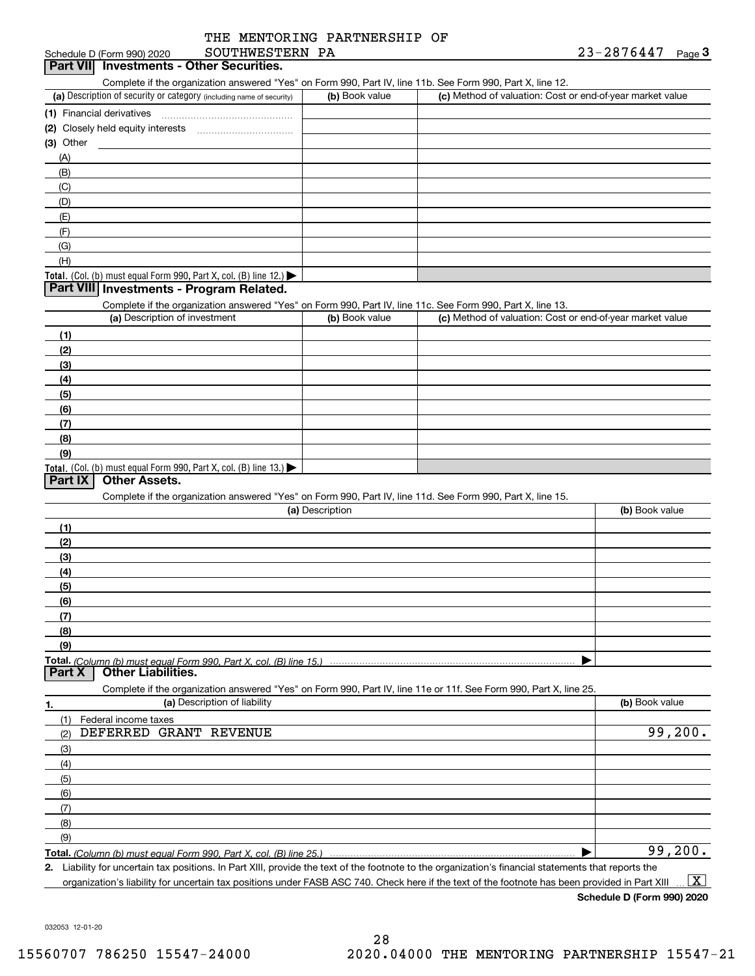|                            | THE<br>: MENTORING PARTNERSHIP OF |            |      |
|----------------------------|-----------------------------------|------------|------|
| Schedule D (Form 990) 2020 | SOUTHWESTERN                      | 23-2876447 | Page |

| Schedule D (Form 990) 2020 |  |
|----------------------------|--|
|                            |  |

L

|           | chedule D (Form 990) 2020 | SOUTHWESTERN                      | PA | 23-2876447 | Page $\ddot{\bm{\omega}}$ |
|-----------|---------------------------|-----------------------------------|----|------------|---------------------------|
| Part VIII |                           | ' Investments - Other Securities. |    |            |                           |

Complete if the organization answered "Yes" on Form 990, Part IV, line 11b. See Form 990, Part X, line 12.

| (a) Description of security or category (including name of security)                          | (b) Book value | (c) Method of valuation: Cost or end-of-year market value |
|-----------------------------------------------------------------------------------------------|----------------|-----------------------------------------------------------|
| (1) Financial derivatives                                                                     |                |                                                           |
| (2) Closely held equity interests<br>                                                         |                |                                                           |
| $(3)$ Other                                                                                   |                |                                                           |
| (A)                                                                                           |                |                                                           |
| (B)                                                                                           |                |                                                           |
| (C)                                                                                           |                |                                                           |
| (D)                                                                                           |                |                                                           |
| (E)                                                                                           |                |                                                           |
| (F)                                                                                           |                |                                                           |
| (G)                                                                                           |                |                                                           |
| (H)                                                                                           |                |                                                           |
| <b>Total.</b> (Col. (b) must equal Form 990, Part X, col. (B) line 12.) $\blacktriangleright$ |                |                                                           |

#### **Part VIII Investments - Program Related.**

Complete if the organization answered "Yes" on Form 990, Part IV, line 11c. See Form 990, Part X, line 13.

| (a) Description of investment                                       | (b) Book value | (c) Method of valuation: Cost or end-of-year market value |
|---------------------------------------------------------------------|----------------|-----------------------------------------------------------|
| (1)                                                                 |                |                                                           |
| (2)                                                                 |                |                                                           |
| $\frac{1}{2}$                                                       |                |                                                           |
| (4)                                                                 |                |                                                           |
| $\frac{1}{2}$                                                       |                |                                                           |
| (6)                                                                 |                |                                                           |
| $\sqrt{(7)}$                                                        |                |                                                           |
| (8)                                                                 |                |                                                           |
| (9)                                                                 |                |                                                           |
| Total. (Col. (b) must equal Form 990, Part X, col. (B) line $13.$ ) |                |                                                           |

#### **Part IX Other Assets.**

Complete if the organization answered "Yes" on Form 990, Part IV, line 11d. See Form 990, Part X, line 15.

| (a) Description                                                                                                                       | (b) Book value |
|---------------------------------------------------------------------------------------------------------------------------------------|----------------|
|                                                                                                                                       |                |
| (2)                                                                                                                                   |                |
| (3)                                                                                                                                   |                |
| (4)                                                                                                                                   |                |
| (5)                                                                                                                                   |                |
| (6)                                                                                                                                   |                |
|                                                                                                                                       |                |
| (8)                                                                                                                                   |                |
| (9)                                                                                                                                   |                |
|                                                                                                                                       |                |
| Total. (Column (b) must equal Form 990, Part X, col. (B) line 15.) ………………………………………………………………………………………<br>  Part X   Other Liabilities. |                |

**1.(a)** Description of liability **Book value** Book value Book value Book value Book value **Total.**  *(Column (b) must equal Form 990, Part X, col. (B) line 25.)* Complete if the organization answered "Yes" on Form 990, Part IV, line 11e or 11f. See Form 990, Part X, line 25. (1)(2)(3)(4)(5) (6)(7)(8)(9)Federal income taxes  $\blacktriangleright$ DEFERRED GRANT REVENUE 99,200. 99,200.

**2.**Liability for uncertain tax positions. In Part XIII, provide the text of the footnote to the organization's financial statements that reports the organization's liability for uncertain tax positions under FASB ASC 740. Check here if the text of the footnote has been provided in Part XIII  $\boxed{\text{X}}$ 

**Schedule D (Form 990) 2020**

032053 12-01-20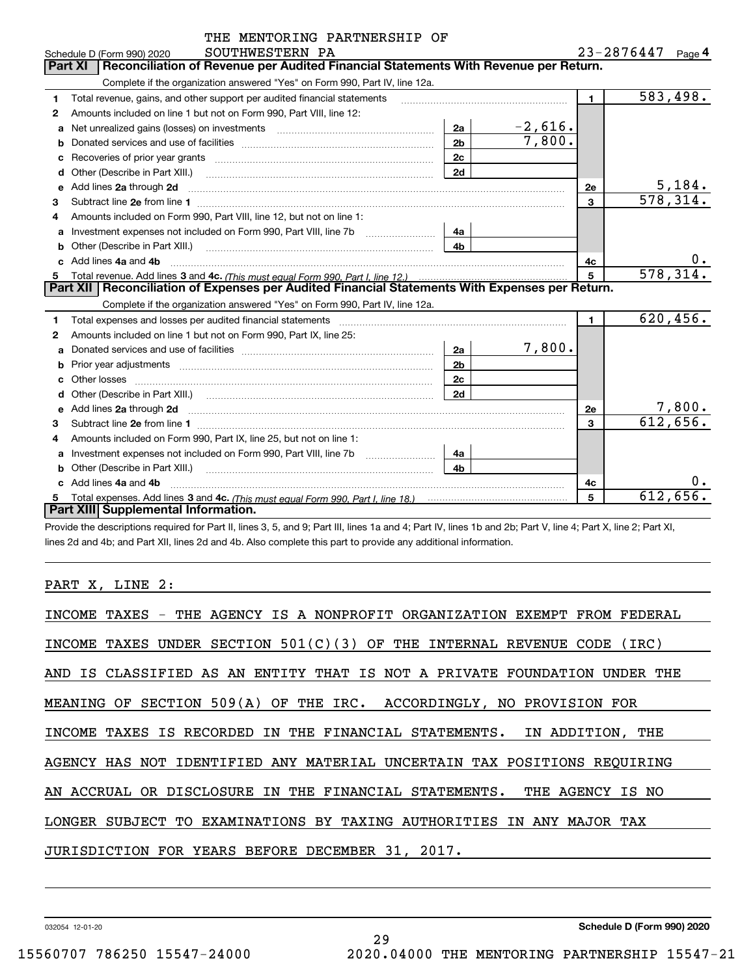|    | THE MENTORING PARTNERSHIP OF                                                                                                                                                                                                        |                |           |                       |                        |
|----|-------------------------------------------------------------------------------------------------------------------------------------------------------------------------------------------------------------------------------------|----------------|-----------|-----------------------|------------------------|
|    | SOUTHWESTERN PA<br>Schedule D (Form 990) 2020                                                                                                                                                                                       |                |           | $23 - 2876447$ Page 4 |                        |
|    | Reconciliation of Revenue per Audited Financial Statements With Revenue per Return.<br>Part XI                                                                                                                                      |                |           |                       |                        |
|    | Complete if the organization answered "Yes" on Form 990, Part IV, line 12a.                                                                                                                                                         |                |           |                       |                        |
| 1  | Total revenue, gains, and other support per audited financial statements                                                                                                                                                            |                |           | $\blacksquare$        | $\overline{583,498}$ . |
| 2  | Amounts included on line 1 but not on Form 990, Part VIII, line 12:                                                                                                                                                                 |                |           |                       |                        |
| a  |                                                                                                                                                                                                                                     | 2a             | $-2,616.$ |                       |                        |
| b  |                                                                                                                                                                                                                                     | 2 <sub>b</sub> | 7,800.    |                       |                        |
|    | Recoveries of prior year grants [11,111] Recoveries of prior year grants [11,111] Recoveries of prior year grants                                                                                                                   | 2c             |           |                       |                        |
|    | Other (Describe in Part XIII.) <b>Construction Contract Construction</b> Chemistry Chemistry Chemistry Chemistry Chemistry                                                                                                          | 2d             |           |                       |                        |
| e  | Add lines 2a through 2d                                                                                                                                                                                                             |                |           | 2e                    | 5,184.                 |
| 3  |                                                                                                                                                                                                                                     |                |           | 3                     | 578,314.               |
| 4  | Amounts included on Form 990, Part VIII, line 12, but not on line 1:                                                                                                                                                                |                |           |                       |                        |
| а  |                                                                                                                                                                                                                                     | 4a             |           |                       |                        |
| b  | Other (Describe in Part XIII.) <b>Construction and Construction</b> Chern Construction Chern Chern Chern Chern Chern Chern Chern Chern Chern Chern Chern Chern Chern Chern Chern Chern Chern Chern Chern Chern Chern Chern Chern Ch | 4 <sub>b</sub> |           |                       |                        |
| c. | Add lines 4a and 4b                                                                                                                                                                                                                 |                |           | 4с                    | 0.                     |
|    |                                                                                                                                                                                                                                     |                |           | 5                     | 578, 314.              |
|    | Part XII   Reconciliation of Expenses per Audited Financial Statements With Expenses per Return.                                                                                                                                    |                |           |                       |                        |
|    | Complete if the organization answered "Yes" on Form 990, Part IV, line 12a.                                                                                                                                                         |                |           |                       |                        |
| 1  | Total expenses and losses per audited financial statements                                                                                                                                                                          |                |           | 1.                    | 620, 456.              |
| 2  | Amounts included on line 1 but not on Form 990, Part IX, line 25:                                                                                                                                                                   |                |           |                       |                        |
| a  |                                                                                                                                                                                                                                     | 2a             | 7,800.    |                       |                        |
| b  |                                                                                                                                                                                                                                     | 2 <sub>b</sub> |           |                       |                        |
|    |                                                                                                                                                                                                                                     | 2 <sub>c</sub> |           |                       |                        |
| d  |                                                                                                                                                                                                                                     | 2d             |           |                       |                        |
|    | e Add lines 2a through 2d <b>[10]</b> Manuscription and the Add lines 2a through 2d <b>[10]</b> Manuscription <b>Add lines</b> 2a through 2d                                                                                        |                |           | 2e                    | 7,800.                 |
| 3  |                                                                                                                                                                                                                                     |                |           | 3                     | 612,656.               |
| 4  | Amounts included on Form 990, Part IX, line 25, but not on line 1:                                                                                                                                                                  |                |           |                       |                        |
| a  |                                                                                                                                                                                                                                     | 4a             |           |                       |                        |
| b  |                                                                                                                                                                                                                                     | 4 <sub>h</sub> |           |                       |                        |
|    | Add lines 4a and 4b                                                                                                                                                                                                                 |                |           | 4c                    | 0.                     |
|    |                                                                                                                                                                                                                                     |                |           | 5                     | 612,656.               |
|    | Part XIII Supplemental Information.                                                                                                                                                                                                 |                |           |                       |                        |

Provide the descriptions required for Part II, lines 3, 5, and 9; Part III, lines 1a and 4; Part IV, lines 1b and 2b; Part V, line 4; Part X, line 2; Part XI, lines 2d and 4b; and Part XII, lines 2d and 4b. Also complete this part to provide any additional information.

PART X, LINE 2:

| INCOME TAXES - THE AGENCY IS A NONPROFIT ORGANIZATION EXEMPT FROM FEDERAL |
|---------------------------------------------------------------------------|
| INCOME TAXES UNDER SECTION $501(C)(3)$ OF THE INTERNAL REVENUE CODE (IRC) |
| AND IS CLASSIFIED AS AN ENTITY THAT IS NOT A PRIVATE FOUNDATION UNDER THE |
| MEANING OF SECTION 509(A) OF THE IRC. ACCORDINGLY, NO PROVISION FOR       |
| INCOME TAXES IS RECORDED IN THE FINANCIAL STATEMENTS. IN ADDITION, THE    |
| AGENCY HAS NOT IDENTIFIED ANY MATERIAL UNCERTAIN TAX POSITIONS REQUIRING  |
| AN ACCRUAL OR DISCLOSURE IN THE FINANCIAL STATEMENTS. THE AGENCY IS NO    |
| LONGER SUBJECT TO EXAMINATIONS BY TAXING AUTHORITIES IN ANY MAJOR TAX     |
| JURISDICTION FOR YEARS BEFORE DECEMBER 31, 2017.                          |
|                                                                           |

29

032054 12-01-20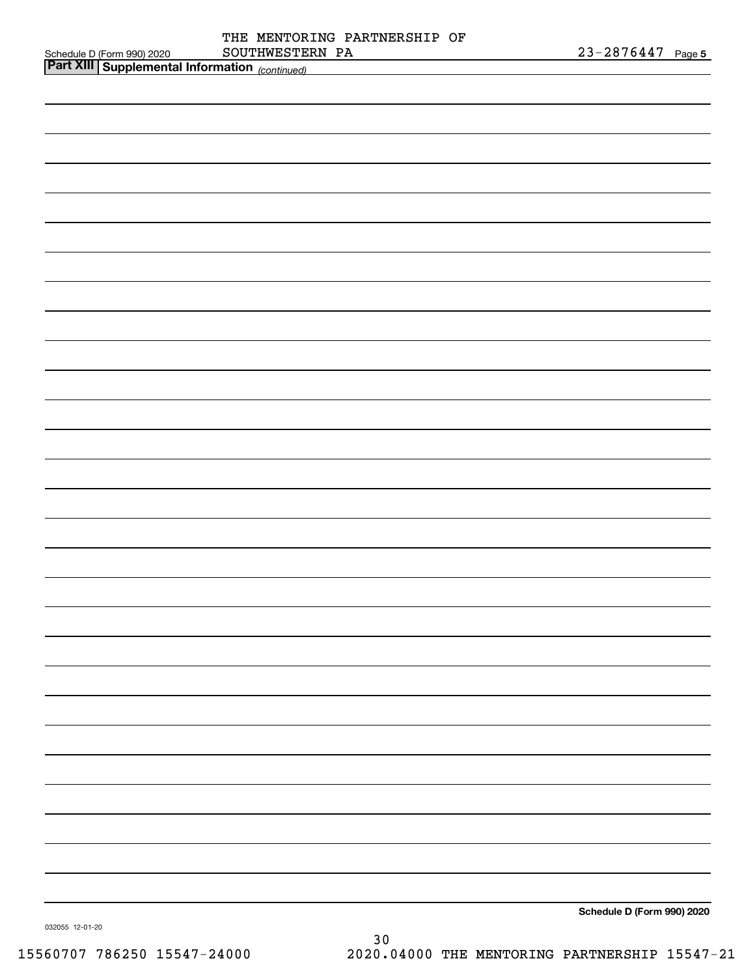| SOUTHWESTERN PA                                                                          | $23 - 2876447$ Page 5      |
|------------------------------------------------------------------------------------------|----------------------------|
| Schedule D (Form 990) 2020 SOUTHWESTED<br>Part XIII Supplemental Information (continued) |                            |
|                                                                                          |                            |
|                                                                                          |                            |
|                                                                                          |                            |
|                                                                                          |                            |
|                                                                                          |                            |
|                                                                                          |                            |
|                                                                                          |                            |
|                                                                                          |                            |
|                                                                                          |                            |
|                                                                                          |                            |
|                                                                                          |                            |
|                                                                                          |                            |
|                                                                                          |                            |
|                                                                                          |                            |
|                                                                                          |                            |
|                                                                                          |                            |
|                                                                                          |                            |
|                                                                                          |                            |
|                                                                                          |                            |
|                                                                                          |                            |
|                                                                                          |                            |
|                                                                                          |                            |
|                                                                                          |                            |
|                                                                                          |                            |
|                                                                                          |                            |
|                                                                                          |                            |
|                                                                                          |                            |
|                                                                                          |                            |
|                                                                                          |                            |
|                                                                                          |                            |
|                                                                                          |                            |
|                                                                                          |                            |
|                                                                                          |                            |
|                                                                                          |                            |
|                                                                                          |                            |
|                                                                                          |                            |
|                                                                                          |                            |
|                                                                                          |                            |
|                                                                                          |                            |
|                                                                                          |                            |
|                                                                                          |                            |
|                                                                                          |                            |
|                                                                                          |                            |
|                                                                                          |                            |
|                                                                                          |                            |
|                                                                                          |                            |
|                                                                                          | Schedule D (Form 990) 2020 |
| 032055 12-01-20                                                                          |                            |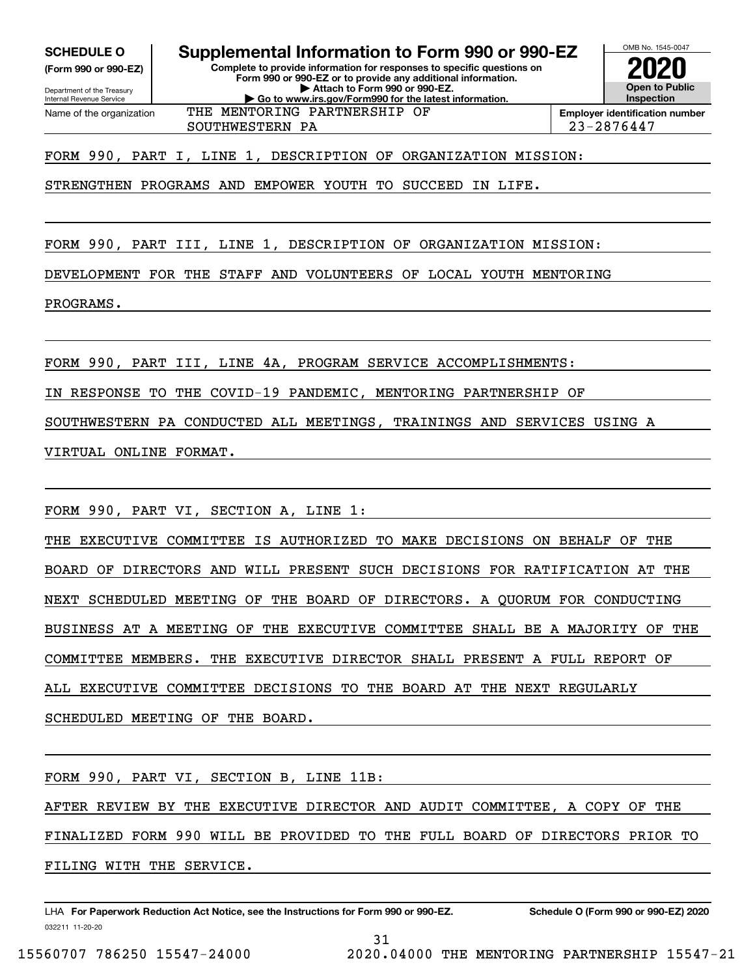**(Form 990 or 990-EZ)**

Department of the Treasury Internal Revenue Service Name of the organization

**Complete to provide information for responses to specific questions on Form 990 or 990-EZ or to provide any additional information. SCHEDULE O Supplemental Information to Form 990 or 990-EZ**

**| Attach to Form 990 or 990-EZ.**

**| Go to www.irs.gov/Form990 for the latest information.** THE MENTORING PARTNERSHIP OF

SOUTHWESTERN PA 23-2876447

**InspectionEmployer identification number**

OMB No. 1545-0047

**2020**

**Open to Public**

FORM 990, PART I, LINE 1, DESCRIPTION OF ORGANIZATION MISSION:

STRENGTHEN PROGRAMS AND EMPOWER YOUTH TO SUCCEED IN LIFE.

FORM 990, PART III, LINE 1, DESCRIPTION OF ORGANIZATION MISSION:

DEVELOPMENT FOR THE STAFF AND VOLUNTEERS OF LOCAL YOUTH MENTORING

PROGRAMS.

FORM 990, PART III, LINE 4A, PROGRAM SERVICE ACCOMPLISHMENTS:

IN RESPONSE TO THE COVID-19 PANDEMIC, MENTORING PARTNERSHIP OF

SOUTHWESTERN PA CONDUCTED ALL MEETINGS, TRAININGS AND SERVICES USING A

VIRTUAL ONLINE FORMAT.

FORM 990, PART VI, SECTION A, LINE 1:

THE EXECUTIVE COMMITTEE IS AUTHORIZED TO MAKE DECISIONS ON BEHALF OF THE BOARD OF DIRECTORS AND WILL PRESENT SUCH DECISIONS FOR RATIFICATION AT THE NEXT SCHEDULED MEETING OF THE BOARD OF DIRECTORS. A QUORUM FOR CONDUCTING BUSINESS AT A MEETING OF THE EXECUTIVE COMMITTEE SHALL BE A MAJORITY OF THE COMMITTEE MEMBERS. THE EXECUTIVE DIRECTOR SHALL PRESENT A FULL REPORT OF ALL EXECUTIVE COMMITTEE DECISIONS TO THE BOARD AT THE NEXT REGULARLY SCHEDULED MEETING OF THE BOARD.

FORM 990, PART VI, SECTION B, LINE 11B:

AFTER REVIEW BY THE EXECUTIVE DIRECTOR AND AUDIT COMMITTEE, A COPY OF THE FINALIZED FORM 990 WILL BE PROVIDED TO THE FULL BOARD OF DIRECTORS PRIOR TO FILING WITH THE SERVICE.

31

032211 11-20-20 LHA For Paperwork Reduction Act Notice, see the Instructions for Form 990 or 990-EZ. Schedule O (Form 990 or 990-EZ) 2020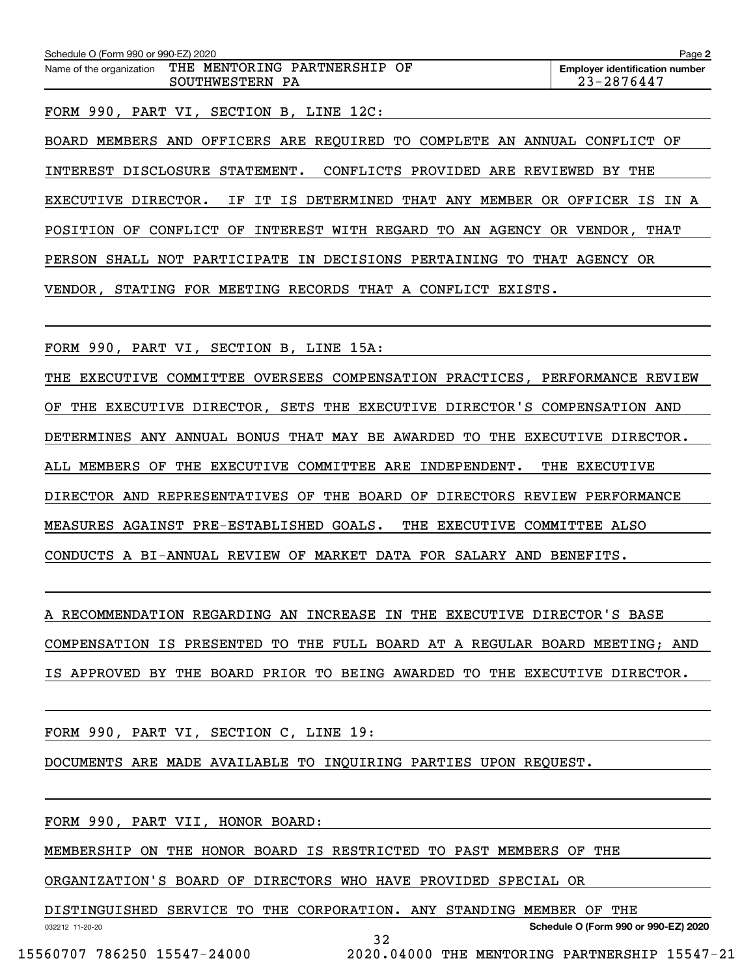| Schedule O (Form 990 or 990-EZ) 2020 |                              | Page 2                                |
|--------------------------------------|------------------------------|---------------------------------------|
| Name of the organization             | THE MENTORING PARTNERSHIP OF | <b>Employer identification number</b> |
|                                      | SOUTHWESTERN PA              | 23-2876447                            |

FORM 990, PART VI, SECTION B, LINE 12C:

BOARD MEMBERS AND OFFICERS ARE REQUIRED TO COMPLETE AN ANNUAL CONFLICT OF INTEREST DISCLOSURE STATEMENT. CONFLICTS PROVIDED ARE REVIEWED BY THE EXECUTIVE DIRECTOR. IF IT IS DETERMINED THAT ANY MEMBER OR OFFICER IS IN A POSITION OF CONFLICT OF INTEREST WITH REGARD TO AN AGENCY OR VENDOR, THAT PERSON SHALL NOT PARTICIPATE IN DECISIONS PERTAINING TO THAT AGENCY OR VENDOR, STATING FOR MEETING RECORDS THAT A CONFLICT EXISTS.

FORM 990, PART VI, SECTION B, LINE 15A:

THE EXECUTIVE COMMITTEE OVERSEES COMPENSATION PRACTICES, PERFORMANCE REVIEW OF THE EXECUTIVE DIRECTOR, SETS THE EXECUTIVE DIRECTOR'S COMPENSATION AND DETERMINES ANY ANNUAL BONUS THAT MAY BE AWARDED TO THE EXECUTIVE DIRECTOR. ALL MEMBERS OF THE EXECUTIVE COMMITTEE ARE INDEPENDENT. THE EXECUTIVE DIRECTOR AND REPRESENTATIVES OF THE BOARD OF DIRECTORS REVIEW PERFORMANCE MEASURES AGAINST PRE-ESTABLISHED GOALS. THE EXECUTIVE COMMITTEE ALSO CONDUCTS A BI-ANNUAL REVIEW OF MARKET DATA FOR SALARY AND BENEFITS.

A RECOMMENDATION REGARDING AN INCREASE IN THE EXECUTIVE DIRECTOR'S BASE COMPENSATION IS PRESENTED TO THE FULL BOARD AT A REGULAR BOARD MEETING; AND IS APPROVED BY THE BOARD PRIOR TO BEING AWARDED TO THE EXECUTIVE DIRECTOR.

FORM 990, PART VI, SECTION C, LINE 19:

DOCUMENTS ARE MADE AVAILABLE TO INQUIRING PARTIES UPON REQUEST.

FORM 990, PART VII, HONOR BOARD:

MEMBERSHIP ON THE HONOR BOARD IS RESTRICTED TO PAST MEMBERS OF THE

ORGANIZATION'S BOARD OF DIRECTORS WHO HAVE PROVIDED SPECIAL OR

DISTINGUISHED SERVICE TO THE CORPORATION. ANY STANDING MEMBER OF THE

32

**Schedule O (Form 990 or 990-EZ) 2020**

032212 11-20-20

15560707 786250 15547-24000 2020.04000 THE MENTORING PARTNERSHIP 15547-21